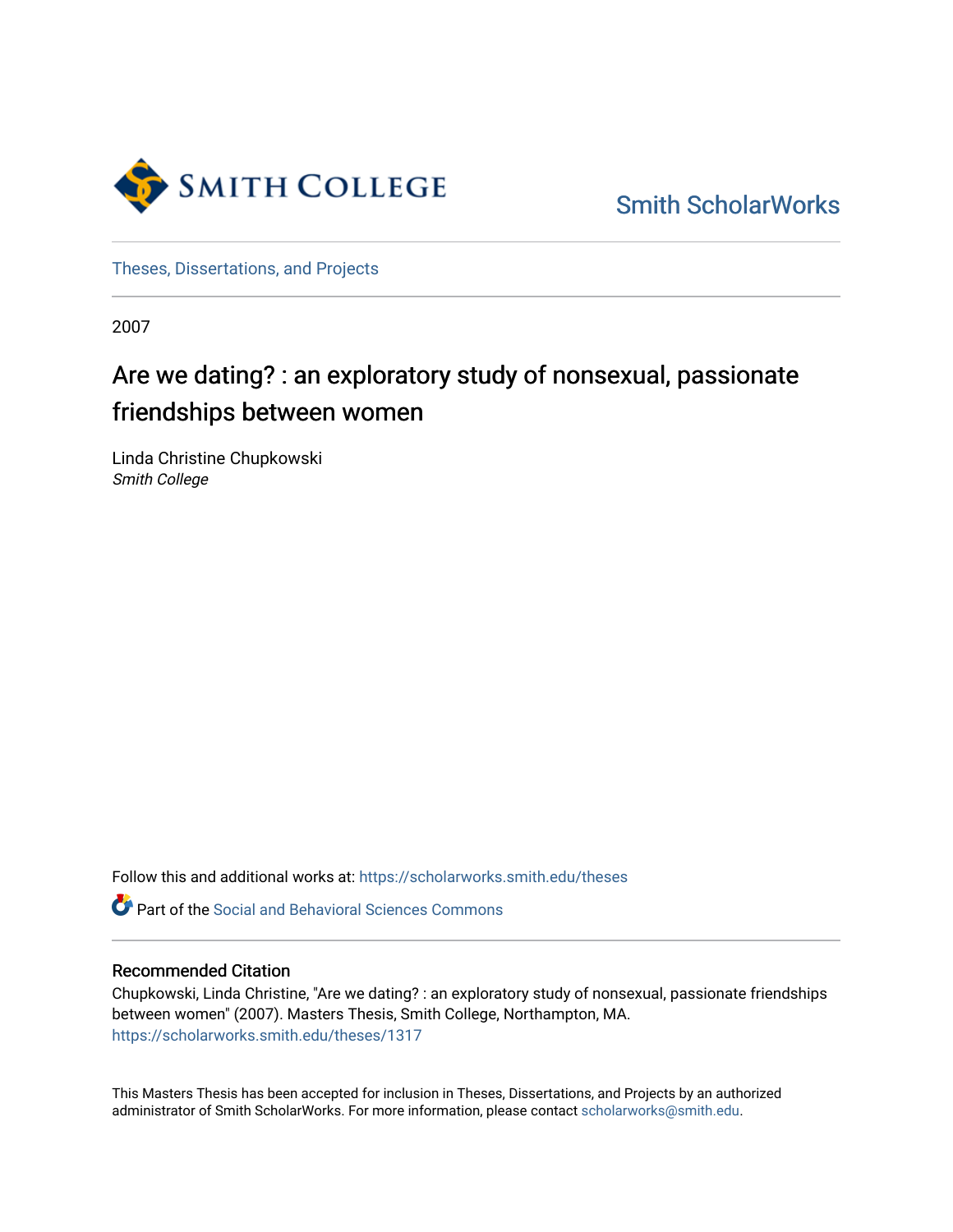

[Smith ScholarWorks](https://scholarworks.smith.edu/) 

[Theses, Dissertations, and Projects](https://scholarworks.smith.edu/theses) 

2007

# Are we dating? : an exploratory study of nonsexual, passionate friendships between women

Linda Christine Chupkowski Smith College

Follow this and additional works at: [https://scholarworks.smith.edu/theses](https://scholarworks.smith.edu/theses?utm_source=scholarworks.smith.edu%2Ftheses%2F1317&utm_medium=PDF&utm_campaign=PDFCoverPages) 

**C** Part of the Social and Behavioral Sciences Commons

## Recommended Citation

Chupkowski, Linda Christine, "Are we dating? : an exploratory study of nonsexual, passionate friendships between women" (2007). Masters Thesis, Smith College, Northampton, MA. [https://scholarworks.smith.edu/theses/1317](https://scholarworks.smith.edu/theses/1317?utm_source=scholarworks.smith.edu%2Ftheses%2F1317&utm_medium=PDF&utm_campaign=PDFCoverPages)

This Masters Thesis has been accepted for inclusion in Theses, Dissertations, and Projects by an authorized administrator of Smith ScholarWorks. For more information, please contact [scholarworks@smith.edu](mailto:scholarworks@smith.edu).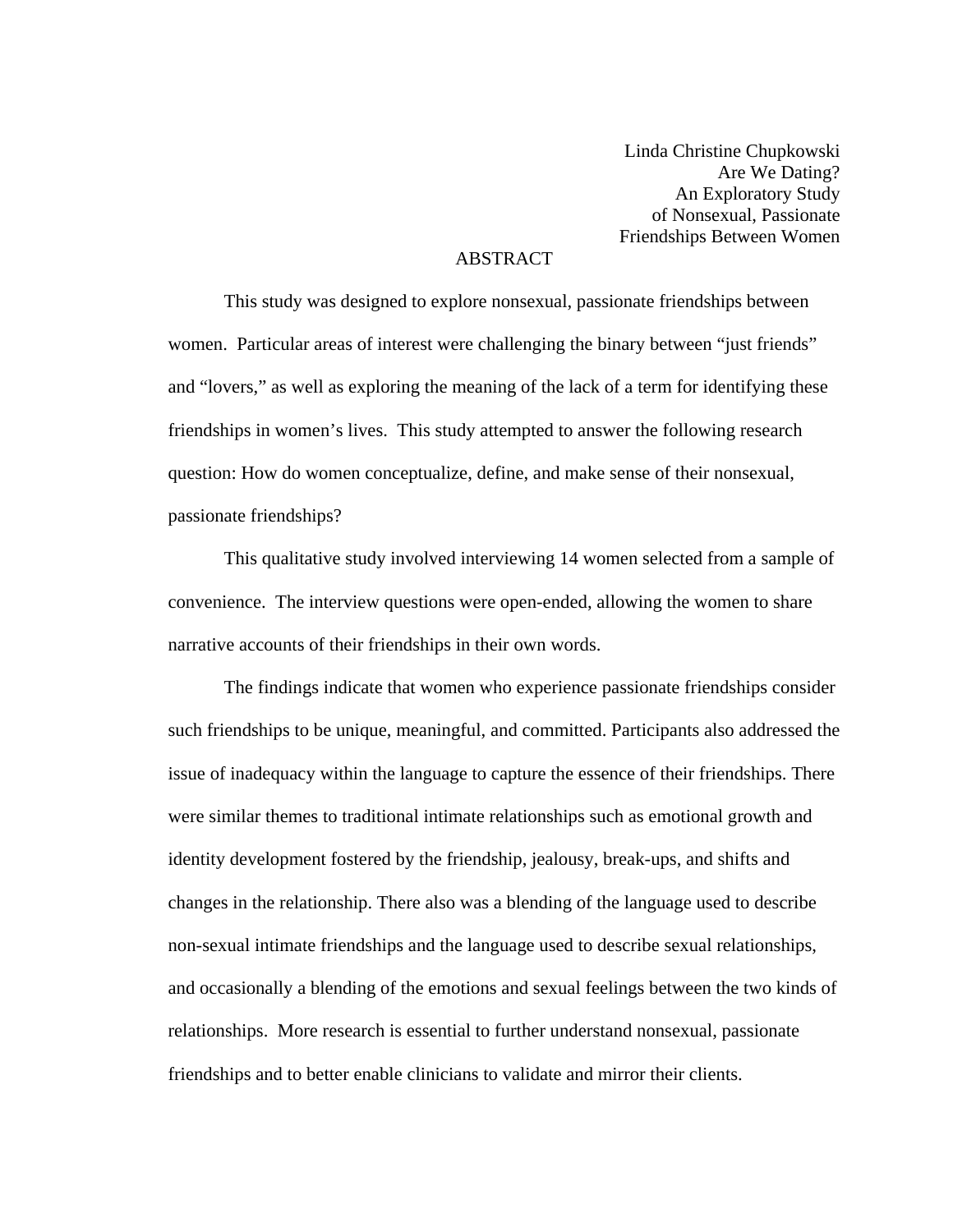Linda Christine Chupkowski Are We Dating? An Exploratory Study of Nonsexual, Passionate Friendships Between Women

# ABSTRACT

This study was designed to explore nonsexual, passionate friendships between women. Particular areas of interest were challenging the binary between "just friends" and "lovers," as well as exploring the meaning of the lack of a term for identifying these friendships in women's lives. This study attempted to answer the following research question: How do women conceptualize, define, and make sense of their nonsexual, passionate friendships?

 This qualitative study involved interviewing 14 women selected from a sample of convenience. The interview questions were open-ended, allowing the women to share narrative accounts of their friendships in their own words.

The findings indicate that women who experience passionate friendships consider such friendships to be unique, meaningful, and committed. Participants also addressed the issue of inadequacy within the language to capture the essence of their friendships. There were similar themes to traditional intimate relationships such as emotional growth and identity development fostered by the friendship, jealousy, break-ups, and shifts and changes in the relationship. There also was a blending of the language used to describe non-sexual intimate friendships and the language used to describe sexual relationships, and occasionally a blending of the emotions and sexual feelings between the two kinds of relationships. More research is essential to further understand nonsexual, passionate friendships and to better enable clinicians to validate and mirror their clients.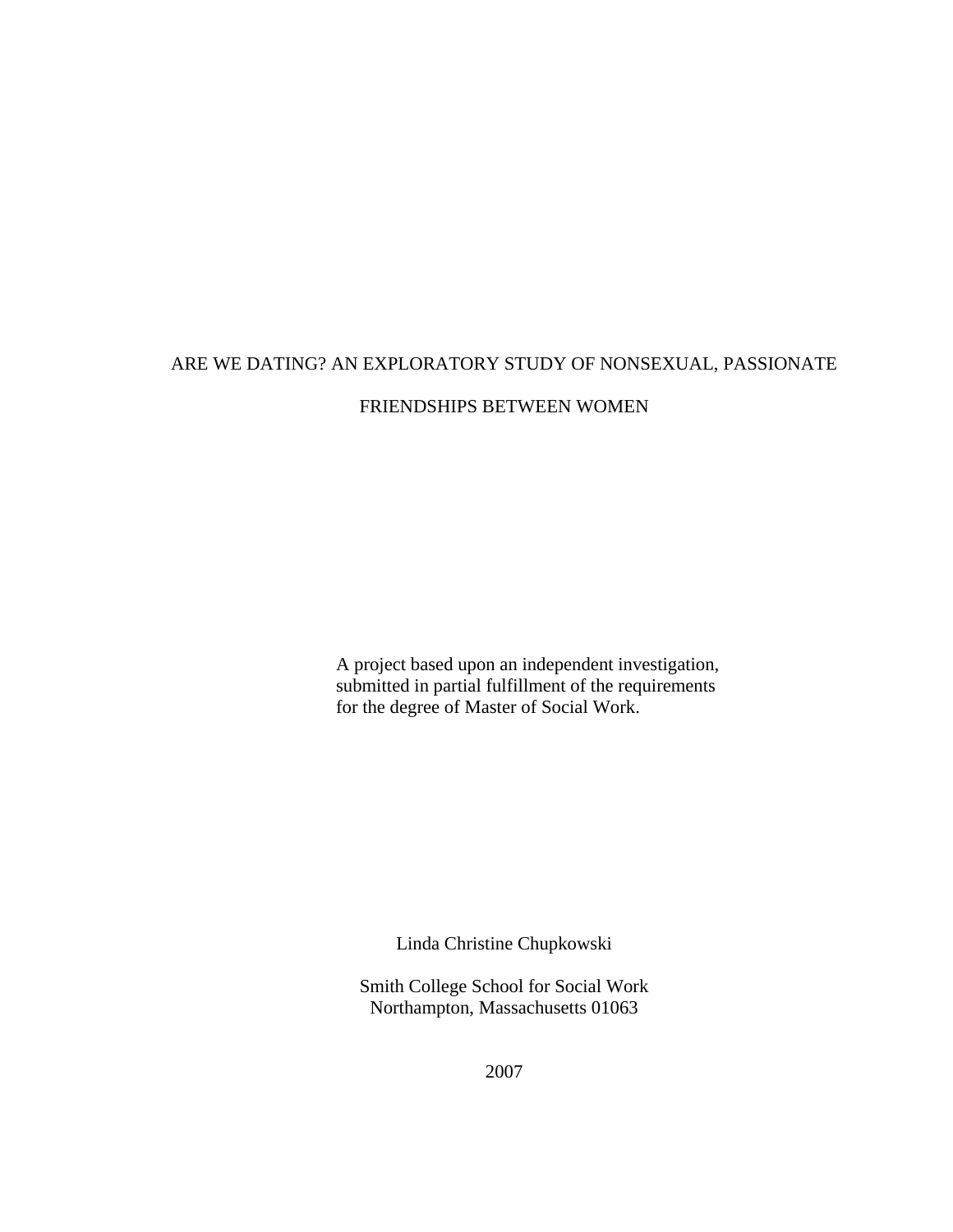# ARE WE DATING? AN EXPLORATORY STUDY OF NONSEXUAL, PASSIONATE FRIENDSHIPS BETWEEN WOMEN

A project based upon an independent investigation, submitted in partial fulfillment of the requirements for the degree of Master of Social Work.

Linda Christine Chupkowski

Smith College School for Social Work Northampton, Massachusetts 01063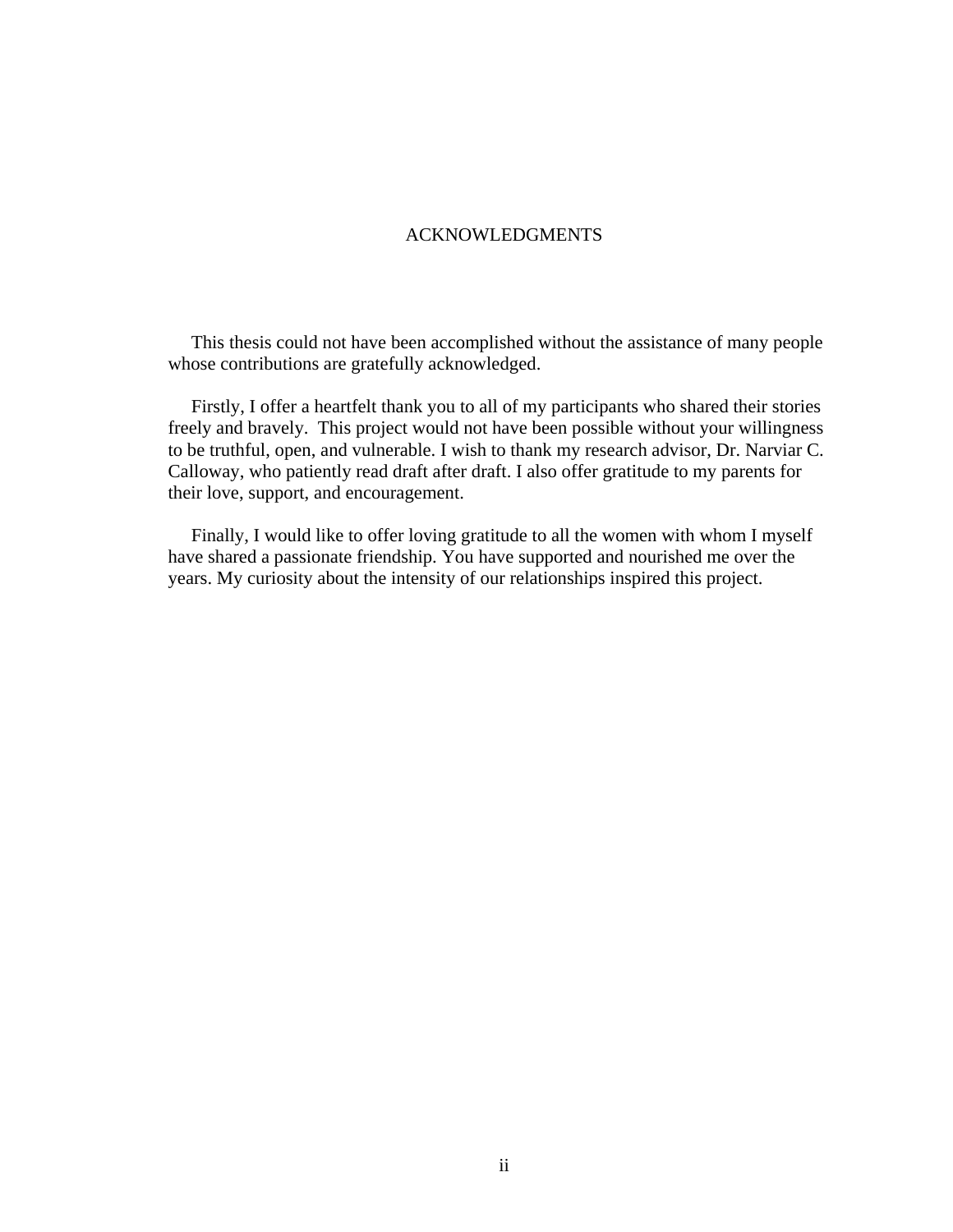#### ACKNOWLEDGMENTS

 This thesis could not have been accomplished without the assistance of many people whose contributions are gratefully acknowledged.

 Firstly, I offer a heartfelt thank you to all of my participants who shared their stories freely and bravely. This project would not have been possible without your willingness to be truthful, open, and vulnerable. I wish to thank my research advisor, Dr. Narviar C. Calloway, who patiently read draft after draft. I also offer gratitude to my parents for their love, support, and encouragement.

 Finally, I would like to offer loving gratitude to all the women with whom I myself have shared a passionate friendship. You have supported and nourished me over the years. My curiosity about the intensity of our relationships inspired this project.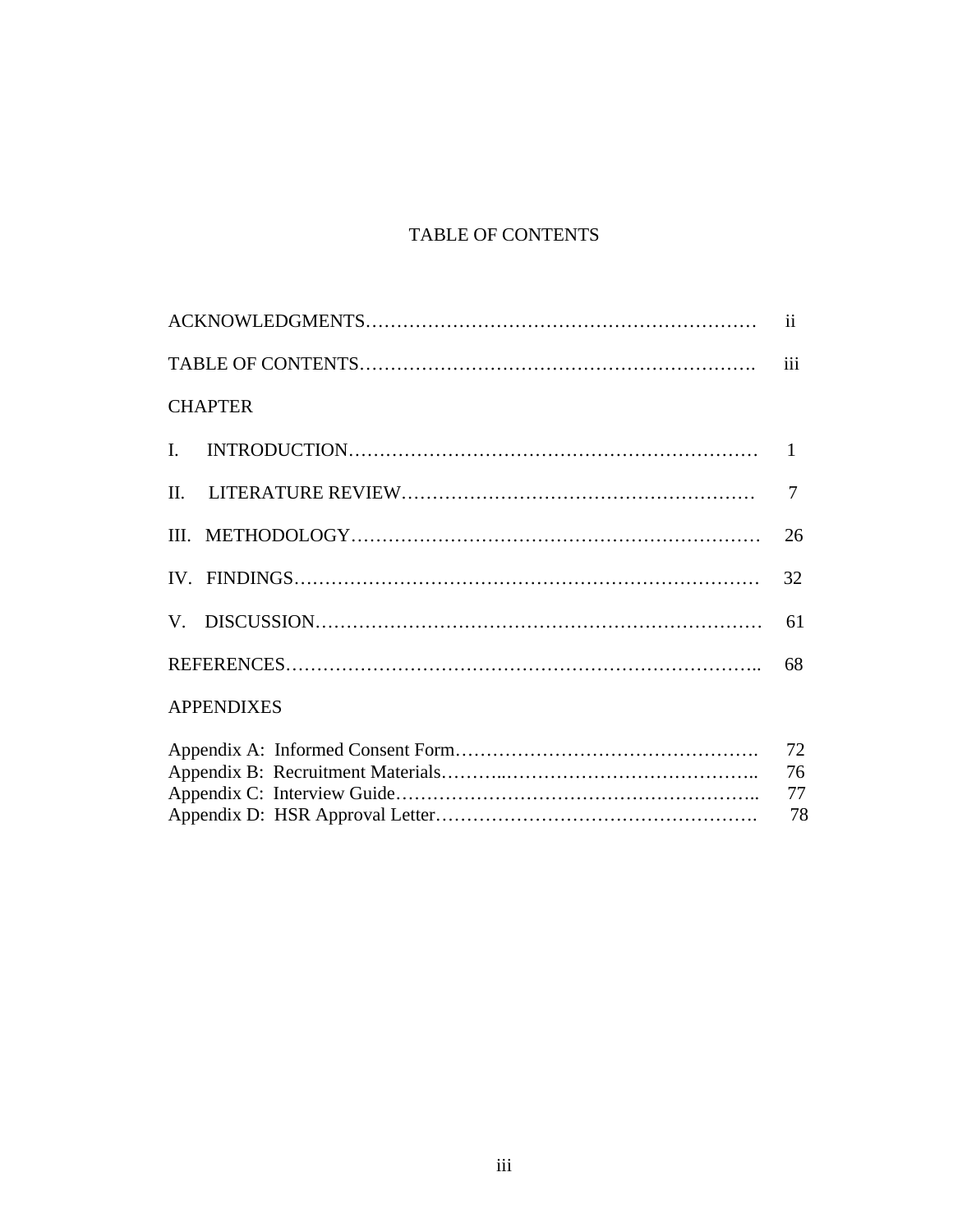# TABLE OF CONTENTS

|                   | $\overline{\mathbf{ii}}$ |
|-------------------|--------------------------|
|                   | iii                      |
| <b>CHAPTER</b>    |                          |
| $\mathbf{I}$ .    |                          |
|                   | 7                        |
|                   | 26                       |
|                   |                          |
|                   | 61                       |
|                   |                          |
| <b>APPENDIXES</b> |                          |
|                   | 72<br>76<br>77           |
|                   | 78                       |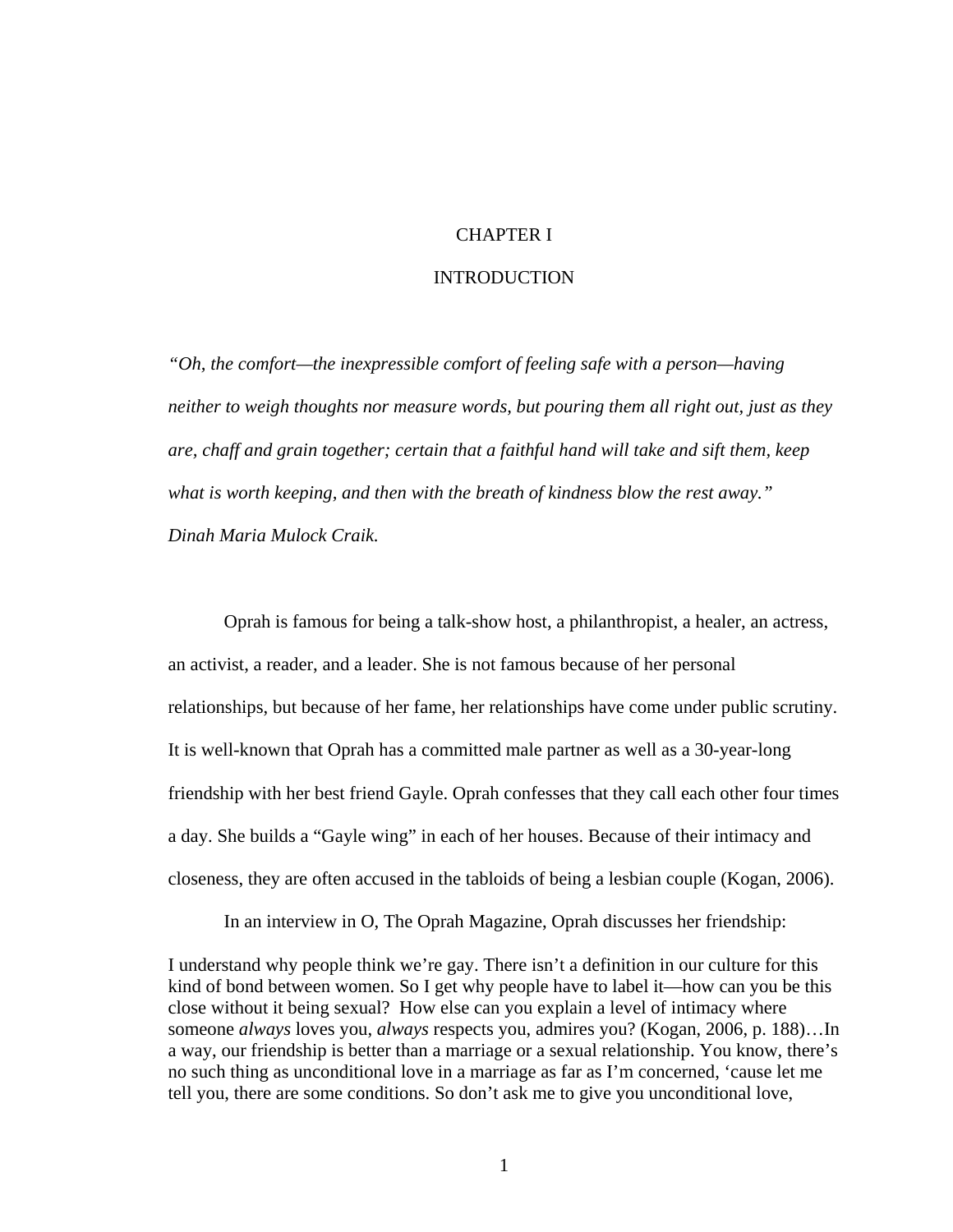### CHAPTER I

#### INTRODUCTION

*"Oh, the comfort—the inexpressible comfort of feeling safe with a person—having neither to weigh thoughts nor measure words, but pouring them all right out, just as they are, chaff and grain together; certain that a faithful hand will take and sift them, keep what is worth keeping, and then with the breath of kindness blow the rest away." Dinah Maria Mulock Craik.* 

Oprah is famous for being a talk-show host, a philanthropist, a healer, an actress, an activist, a reader, and a leader. She is not famous because of her personal relationships, but because of her fame, her relationships have come under public scrutiny. It is well-known that Oprah has a committed male partner as well as a 30-year-long friendship with her best friend Gayle. Oprah confesses that they call each other four times a day. She builds a "Gayle wing" in each of her houses. Because of their intimacy and closeness, they are often accused in the tabloids of being a lesbian couple (Kogan, 2006).

In an interview in O, The Oprah Magazine, Oprah discusses her friendship:

I understand why people think we're gay. There isn't a definition in our culture for this kind of bond between women. So I get why people have to label it—how can you be this close without it being sexual? How else can you explain a level of intimacy where someone *always* loves you, *always* respects you, admires you? (Kogan, 2006, p. 188)…In a way, our friendship is better than a marriage or a sexual relationship. You know, there's no such thing as unconditional love in a marriage as far as I'm concerned, 'cause let me tell you, there are some conditions. So don't ask me to give you unconditional love,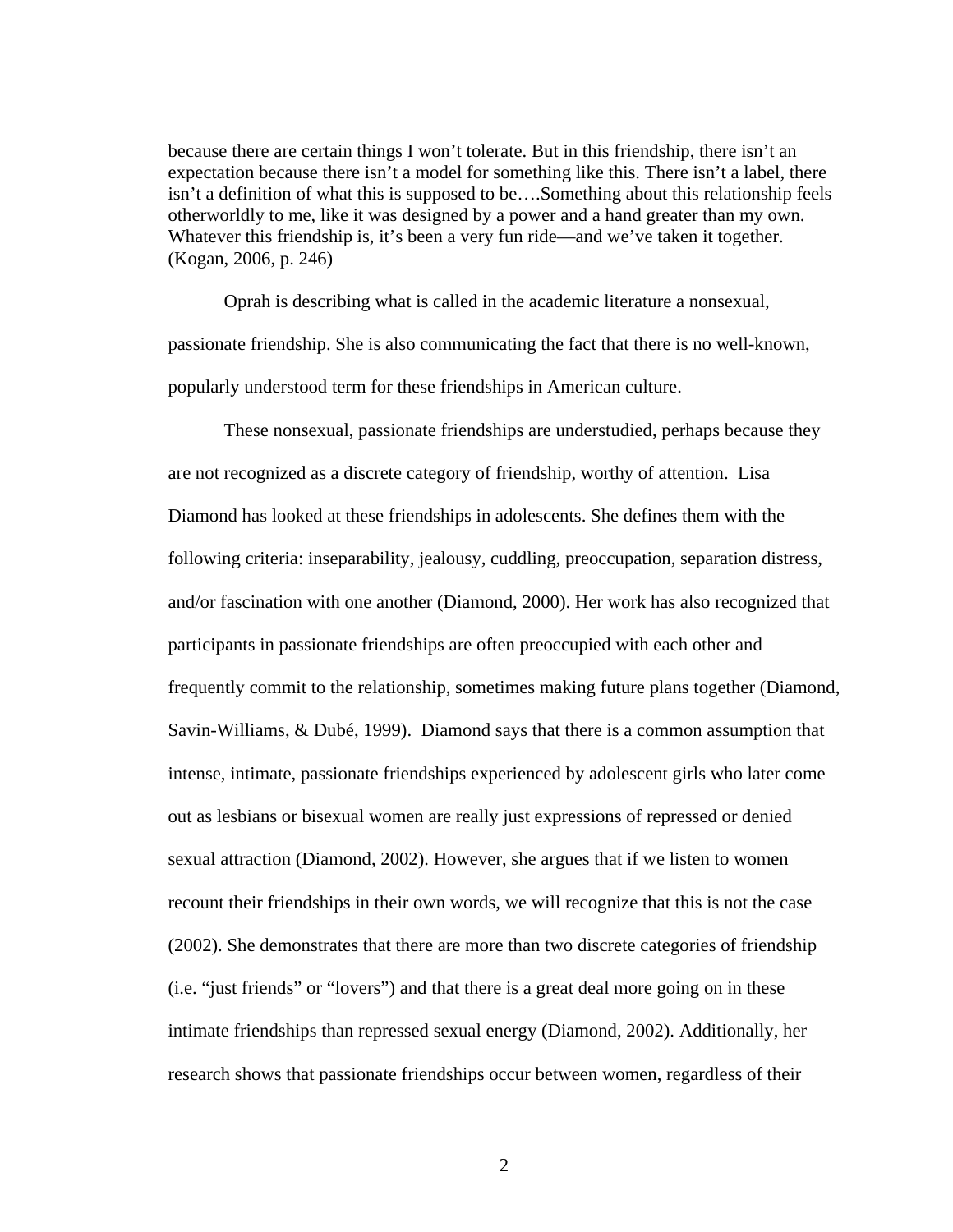because there are certain things I won't tolerate. But in this friendship, there isn't an expectation because there isn't a model for something like this. There isn't a label, there isn't a definition of what this is supposed to be….Something about this relationship feels otherworldly to me, like it was designed by a power and a hand greater than my own. Whatever this friendship is, it's been a very fun ride—and we've taken it together. (Kogan, 2006, p. 246)

Oprah is describing what is called in the academic literature a nonsexual, passionate friendship. She is also communicating the fact that there is no well-known, popularly understood term for these friendships in American culture.

These nonsexual, passionate friendships are understudied, perhaps because they are not recognized as a discrete category of friendship, worthy of attention. Lisa Diamond has looked at these friendships in adolescents. She defines them with the following criteria: inseparability, jealousy, cuddling, preoccupation, separation distress, and/or fascination with one another (Diamond, 2000). Her work has also recognized that participants in passionate friendships are often preoccupied with each other and frequently commit to the relationship, sometimes making future plans together (Diamond, Savin-Williams, & Dubé, 1999). Diamond says that there is a common assumption that intense, intimate, passionate friendships experienced by adolescent girls who later come out as lesbians or bisexual women are really just expressions of repressed or denied sexual attraction (Diamond, 2002). However, she argues that if we listen to women recount their friendships in their own words, we will recognize that this is not the case (2002). She demonstrates that there are more than two discrete categories of friendship (i.e. "just friends" or "lovers") and that there is a great deal more going on in these intimate friendships than repressed sexual energy (Diamond, 2002). Additionally, her research shows that passionate friendships occur between women, regardless of their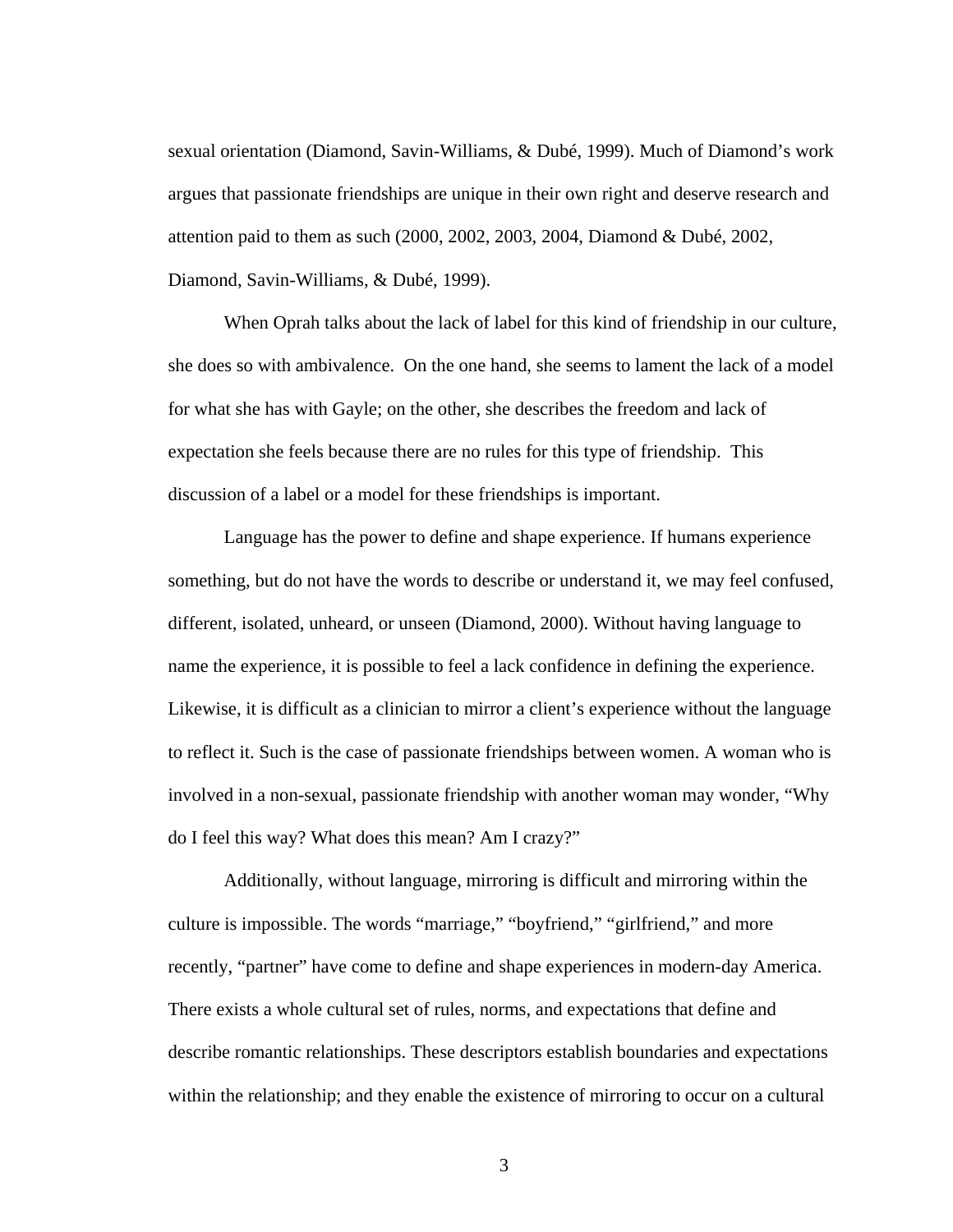sexual orientation (Diamond, Savin-Williams, & Dubé, 1999). Much of Diamond's work argues that passionate friendships are unique in their own right and deserve research and attention paid to them as such (2000, 2002, 2003, 2004, Diamond & Dubé, 2002, Diamond, Savin-Williams, & Dubé, 1999).

When Oprah talks about the lack of label for this kind of friendship in our culture, she does so with ambivalence. On the one hand, she seems to lament the lack of a model for what she has with Gayle; on the other, she describes the freedom and lack of expectation she feels because there are no rules for this type of friendship. This discussion of a label or a model for these friendships is important.

Language has the power to define and shape experience. If humans experience something, but do not have the words to describe or understand it, we may feel confused, different, isolated, unheard, or unseen (Diamond, 2000). Without having language to name the experience, it is possible to feel a lack confidence in defining the experience. Likewise, it is difficult as a clinician to mirror a client's experience without the language to reflect it. Such is the case of passionate friendships between women. A woman who is involved in a non-sexual, passionate friendship with another woman may wonder, "Why do I feel this way? What does this mean? Am I crazy?"

Additionally, without language, mirroring is difficult and mirroring within the culture is impossible. The words "marriage," "boyfriend," "girlfriend," and more recently, "partner" have come to define and shape experiences in modern-day America. There exists a whole cultural set of rules, norms, and expectations that define and describe romantic relationships. These descriptors establish boundaries and expectations within the relationship; and they enable the existence of mirroring to occur on a cultural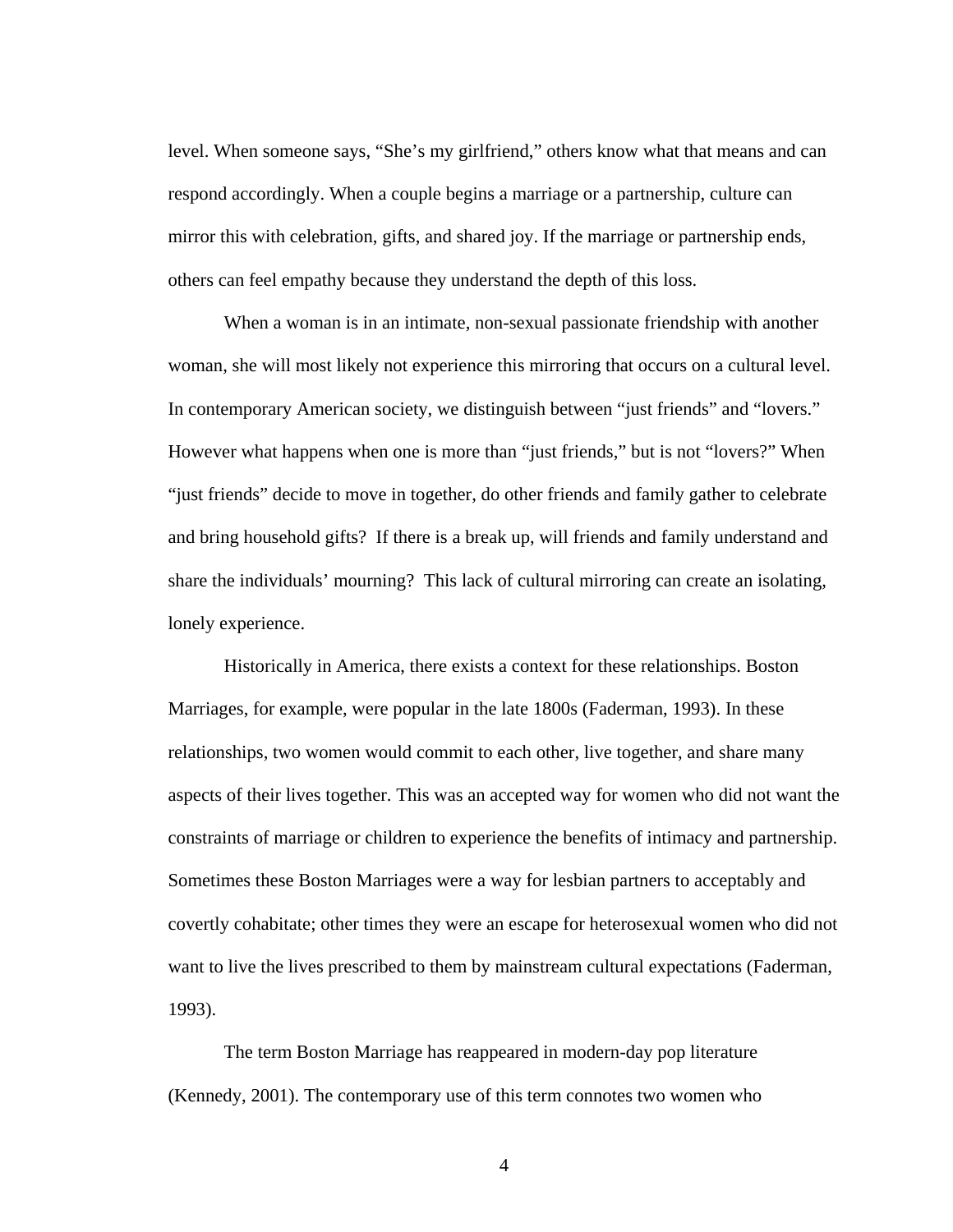level. When someone says, "She's my girlfriend," others know what that means and can respond accordingly. When a couple begins a marriage or a partnership, culture can mirror this with celebration, gifts, and shared joy. If the marriage or partnership ends, others can feel empathy because they understand the depth of this loss.

When a woman is in an intimate, non-sexual passionate friendship with another woman, she will most likely not experience this mirroring that occurs on a cultural level. In contemporary American society, we distinguish between "just friends" and "lovers." However what happens when one is more than "just friends," but is not "lovers?" When "just friends" decide to move in together, do other friends and family gather to celebrate and bring household gifts? If there is a break up, will friends and family understand and share the individuals' mourning? This lack of cultural mirroring can create an isolating, lonely experience.

Historically in America, there exists a context for these relationships. Boston Marriages, for example, were popular in the late 1800s (Faderman, 1993). In these relationships, two women would commit to each other, live together, and share many aspects of their lives together. This was an accepted way for women who did not want the constraints of marriage or children to experience the benefits of intimacy and partnership. Sometimes these Boston Marriages were a way for lesbian partners to acceptably and covertly cohabitate; other times they were an escape for heterosexual women who did not want to live the lives prescribed to them by mainstream cultural expectations (Faderman, 1993).

The term Boston Marriage has reappeared in modern-day pop literature (Kennedy, 2001). The contemporary use of this term connotes two women who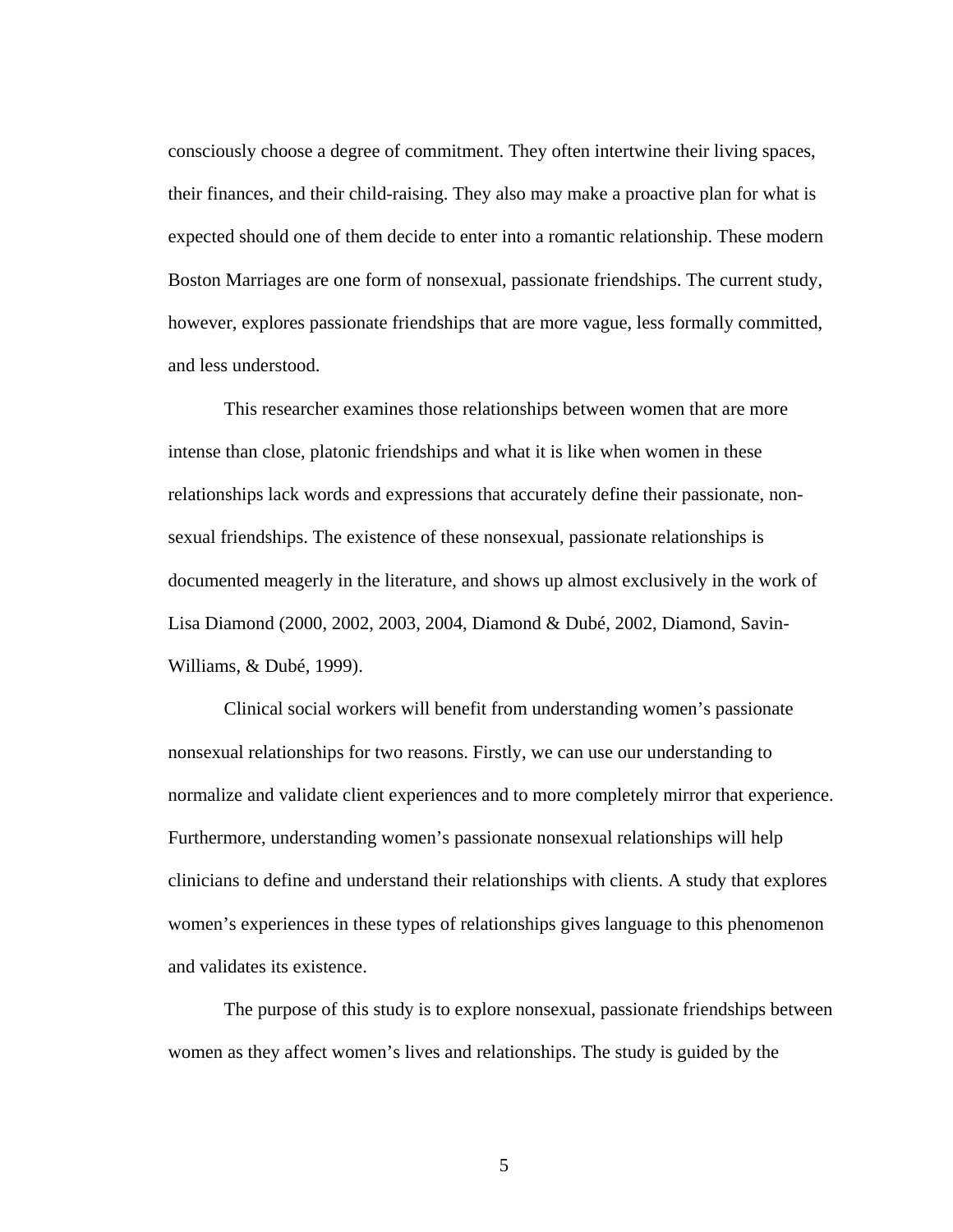consciously choose a degree of commitment. They often intertwine their living spaces, their finances, and their child-raising. They also may make a proactive plan for what is expected should one of them decide to enter into a romantic relationship. These modern Boston Marriages are one form of nonsexual, passionate friendships. The current study, however, explores passionate friendships that are more vague, less formally committed, and less understood.

This researcher examines those relationships between women that are more intense than close, platonic friendships and what it is like when women in these relationships lack words and expressions that accurately define their passionate, nonsexual friendships. The existence of these nonsexual, passionate relationships is documented meagerly in the literature, and shows up almost exclusively in the work of Lisa Diamond (2000, 2002, 2003, 2004, Diamond & Dubé, 2002, Diamond, Savin-Williams, & Dubé, 1999).

Clinical social workers will benefit from understanding women's passionate nonsexual relationships for two reasons. Firstly, we can use our understanding to normalize and validate client experiences and to more completely mirror that experience. Furthermore, understanding women's passionate nonsexual relationships will help clinicians to define and understand their relationships with clients. A study that explores women's experiences in these types of relationships gives language to this phenomenon and validates its existence.

The purpose of this study is to explore nonsexual, passionate friendships between women as they affect women's lives and relationships. The study is guided by the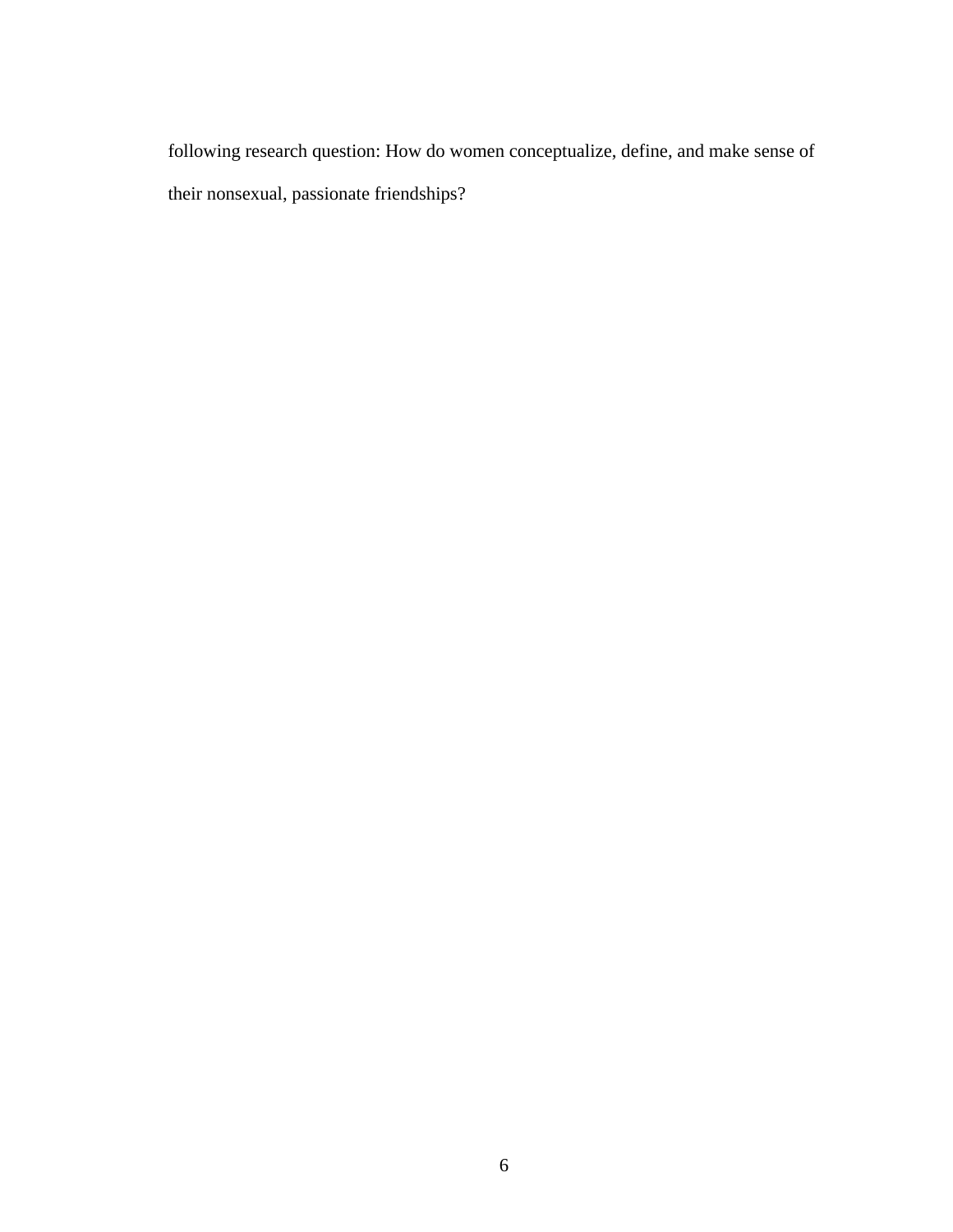following research question: How do women conceptualize, define, and make sense of their nonsexual, passionate friendships?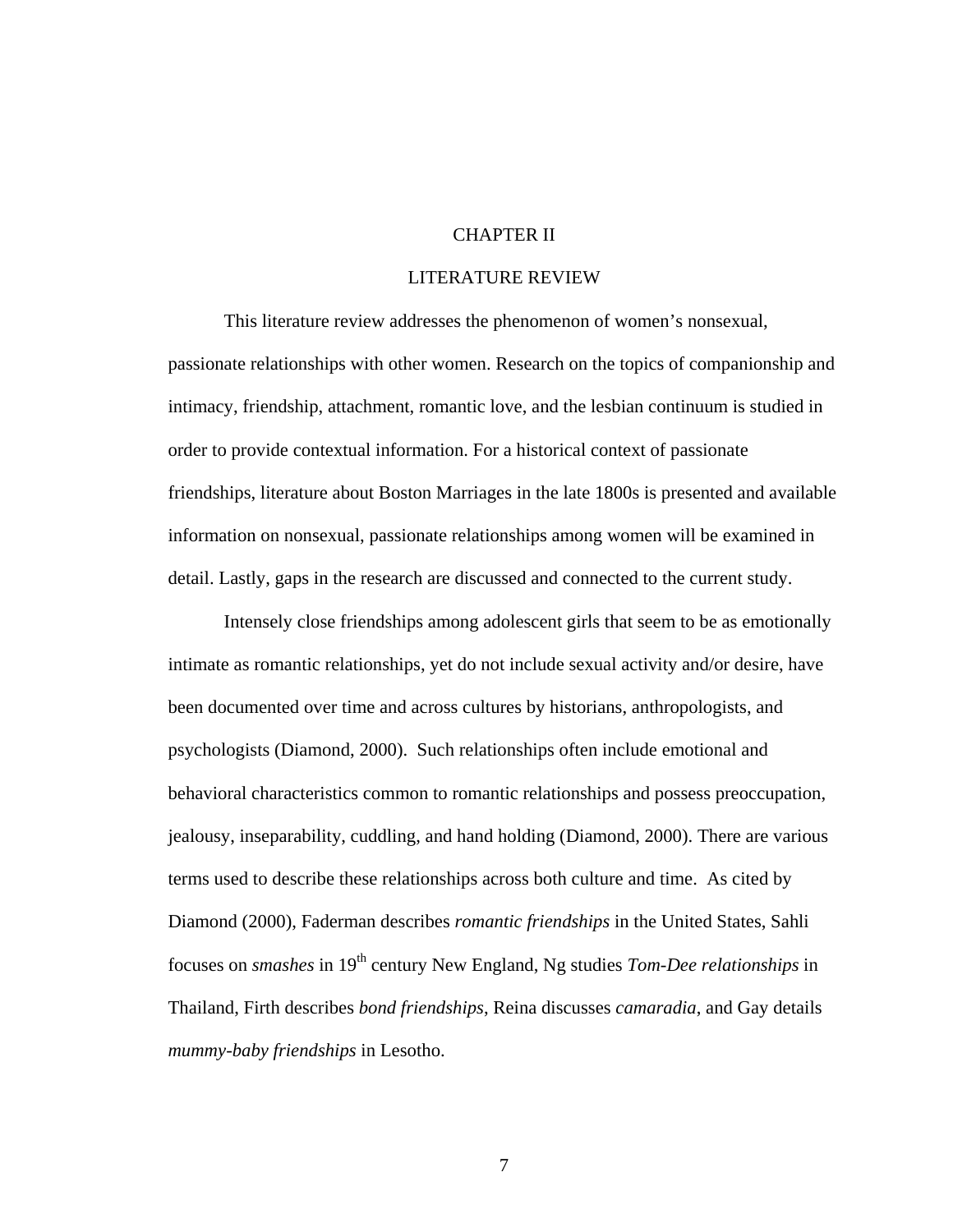### CHAPTER II

#### LITERATURE REVIEW

 This literature review addresses the phenomenon of women's nonsexual, passionate relationships with other women. Research on the topics of companionship and intimacy, friendship, attachment, romantic love, and the lesbian continuum is studied in order to provide contextual information. For a historical context of passionate friendships, literature about Boston Marriages in the late 1800s is presented and available information on nonsexual, passionate relationships among women will be examined in detail. Lastly, gaps in the research are discussed and connected to the current study.

Intensely close friendships among adolescent girls that seem to be as emotionally intimate as romantic relationships, yet do not include sexual activity and/or desire, have been documented over time and across cultures by historians, anthropologists, and psychologists (Diamond, 2000). Such relationships often include emotional and behavioral characteristics common to romantic relationships and possess preoccupation, jealousy, inseparability, cuddling, and hand holding (Diamond, 2000). There are various terms used to describe these relationships across both culture and time. As cited by Diamond (2000), Faderman describes *romantic friendships* in the United States, Sahli focuses on *smashes* in 19th century New England, Ng studies *Tom-Dee relationships* in Thailand, Firth describes *bond friendships*, Reina discusses *camaradia*, and Gay details *mummy-baby friendships* in Lesotho.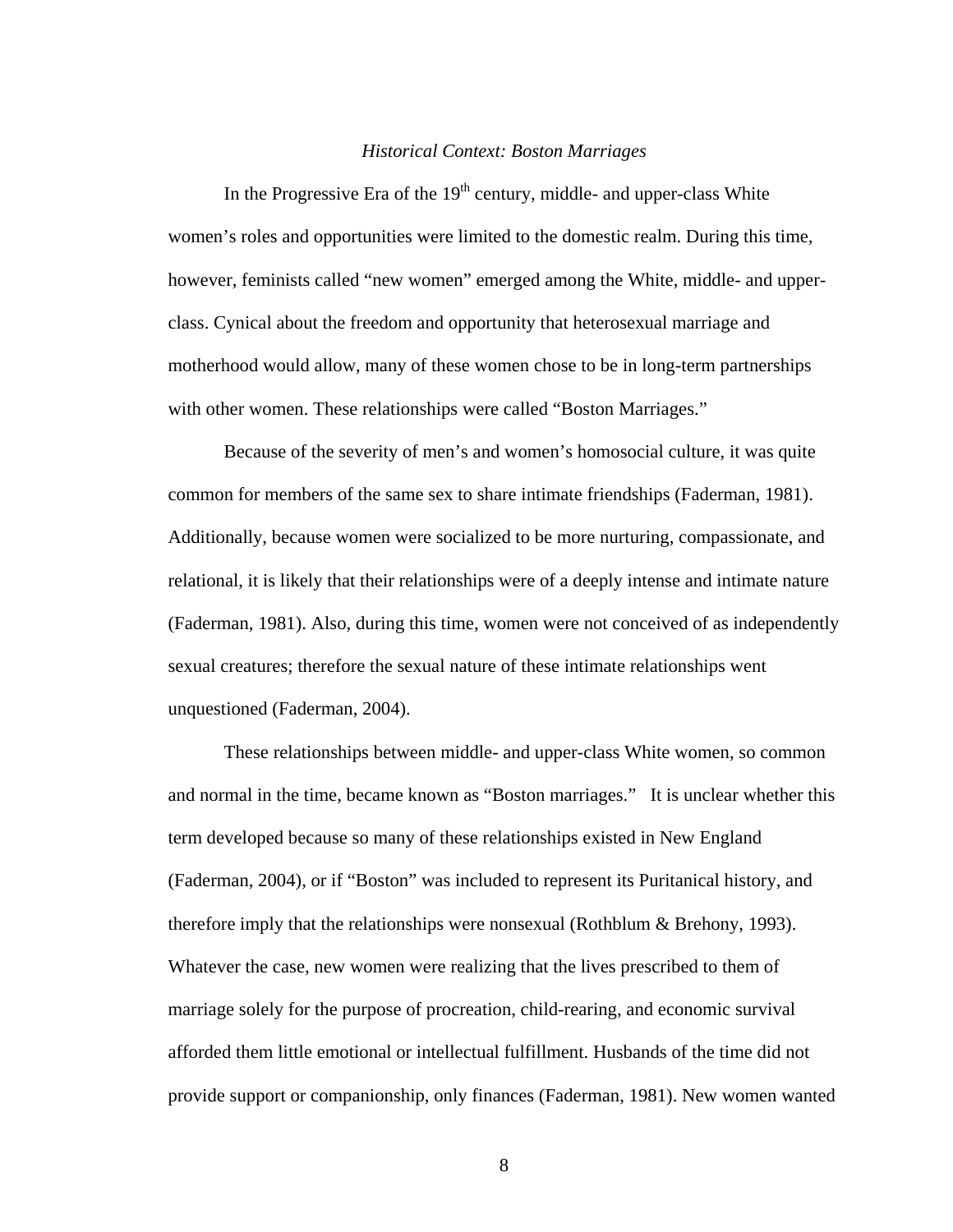#### *Historical Context: Boston Marriages*

In the Progressive Era of the  $19<sup>th</sup>$  century, middle- and upper-class White women's roles and opportunities were limited to the domestic realm. During this time, however, feminists called "new women" emerged among the White, middle- and upperclass. Cynical about the freedom and opportunity that heterosexual marriage and motherhood would allow, many of these women chose to be in long-term partnerships with other women. These relationships were called "Boston Marriages."

 Because of the severity of men's and women's homosocial culture, it was quite common for members of the same sex to share intimate friendships (Faderman, 1981). Additionally, because women were socialized to be more nurturing, compassionate, and relational, it is likely that their relationships were of a deeply intense and intimate nature (Faderman, 1981). Also, during this time, women were not conceived of as independently sexual creatures; therefore the sexual nature of these intimate relationships went unquestioned (Faderman, 2004).

These relationships between middle- and upper-class White women, so common and normal in the time, became known as "Boston marriages." It is unclear whether this term developed because so many of these relationships existed in New England (Faderman, 2004), or if "Boston" was included to represent its Puritanical history, and therefore imply that the relationships were nonsexual (Rothblum & Brehony, 1993). Whatever the case, new women were realizing that the lives prescribed to them of marriage solely for the purpose of procreation, child-rearing, and economic survival afforded them little emotional or intellectual fulfillment. Husbands of the time did not provide support or companionship, only finances (Faderman, 1981). New women wanted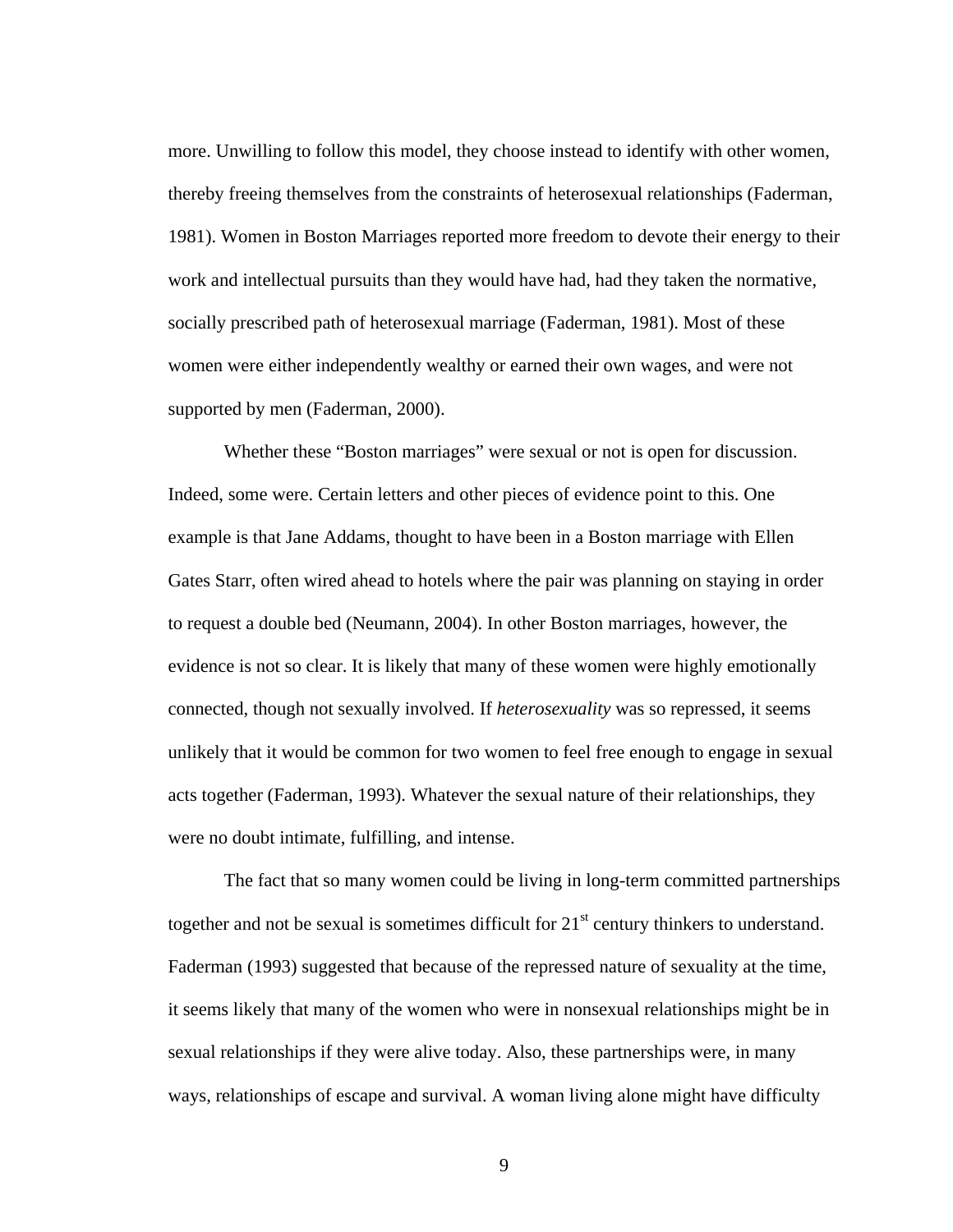more. Unwilling to follow this model, they choose instead to identify with other women, thereby freeing themselves from the constraints of heterosexual relationships (Faderman, 1981). Women in Boston Marriages reported more freedom to devote their energy to their work and intellectual pursuits than they would have had, had they taken the normative, socially prescribed path of heterosexual marriage (Faderman, 1981). Most of these women were either independently wealthy or earned their own wages, and were not supported by men (Faderman, 2000).

Whether these "Boston marriages" were sexual or not is open for discussion. Indeed, some were. Certain letters and other pieces of evidence point to this. One example is that Jane Addams, thought to have been in a Boston marriage with Ellen Gates Starr, often wired ahead to hotels where the pair was planning on staying in order to request a double bed (Neumann, 2004). In other Boston marriages, however, the evidence is not so clear. It is likely that many of these women were highly emotionally connected, though not sexually involved. If *heterosexuality* was so repressed, it seems unlikely that it would be common for two women to feel free enough to engage in sexual acts together (Faderman, 1993). Whatever the sexual nature of their relationships, they were no doubt intimate, fulfilling, and intense.

 The fact that so many women could be living in long-term committed partnerships together and not be sexual is sometimes difficult for  $21<sup>st</sup>$  century thinkers to understand. Faderman (1993) suggested that because of the repressed nature of sexuality at the time, it seems likely that many of the women who were in nonsexual relationships might be in sexual relationships if they were alive today. Also, these partnerships were, in many ways, relationships of escape and survival. A woman living alone might have difficulty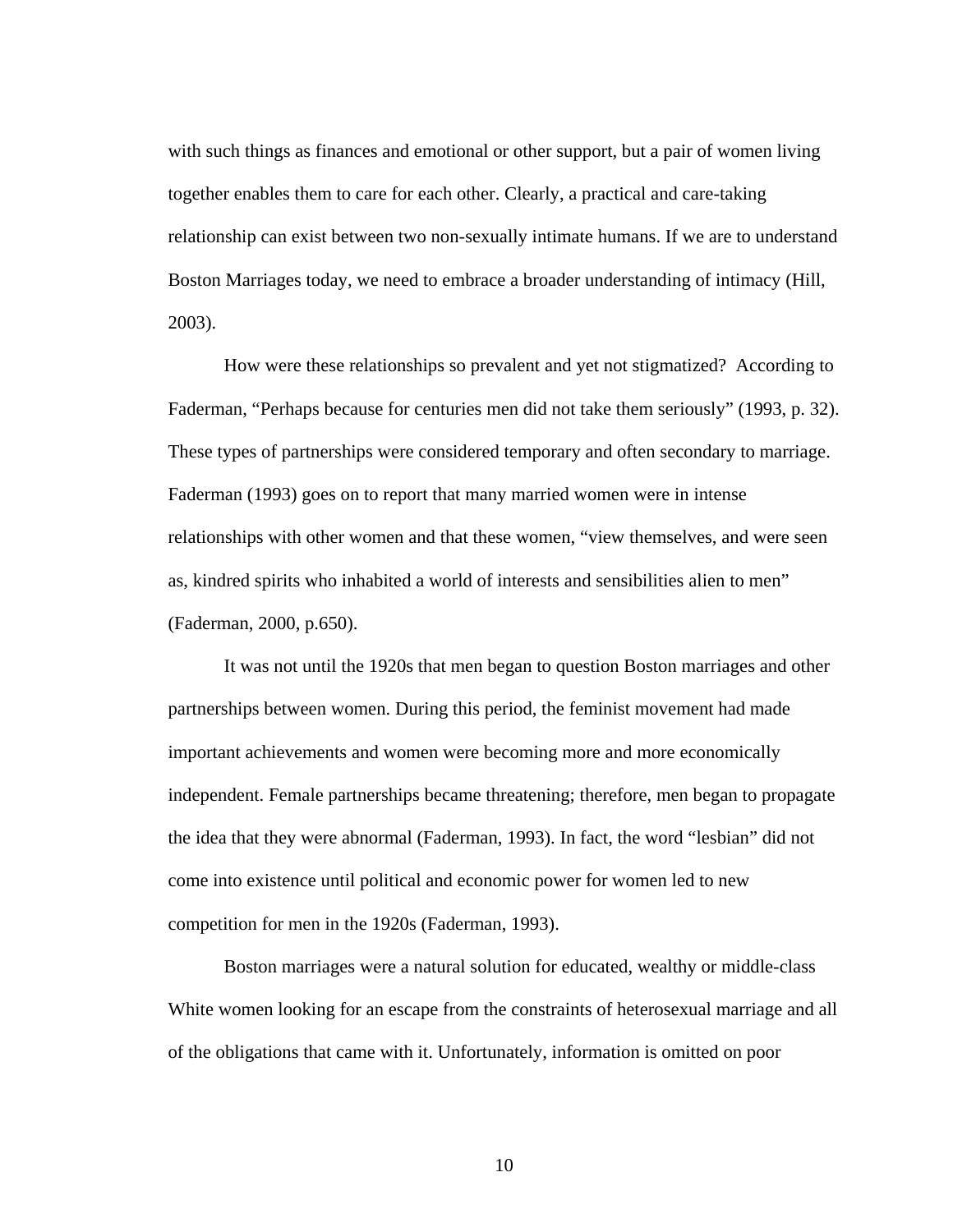with such things as finances and emotional or other support, but a pair of women living together enables them to care for each other. Clearly, a practical and care-taking relationship can exist between two non-sexually intimate humans. If we are to understand Boston Marriages today, we need to embrace a broader understanding of intimacy (Hill, 2003).

How were these relationships so prevalent and yet not stigmatized? According to Faderman, "Perhaps because for centuries men did not take them seriously" (1993, p. 32). These types of partnerships were considered temporary and often secondary to marriage. Faderman (1993) goes on to report that many married women were in intense relationships with other women and that these women, "view themselves, and were seen as, kindred spirits who inhabited a world of interests and sensibilities alien to men" (Faderman, 2000, p.650).

It was not until the 1920s that men began to question Boston marriages and other partnerships between women. During this period, the feminist movement had made important achievements and women were becoming more and more economically independent. Female partnerships became threatening; therefore, men began to propagate the idea that they were abnormal (Faderman, 1993). In fact, the word "lesbian" did not come into existence until political and economic power for women led to new competition for men in the 1920s (Faderman, 1993).

Boston marriages were a natural solution for educated, wealthy or middle-class White women looking for an escape from the constraints of heterosexual marriage and all of the obligations that came with it. Unfortunately, information is omitted on poor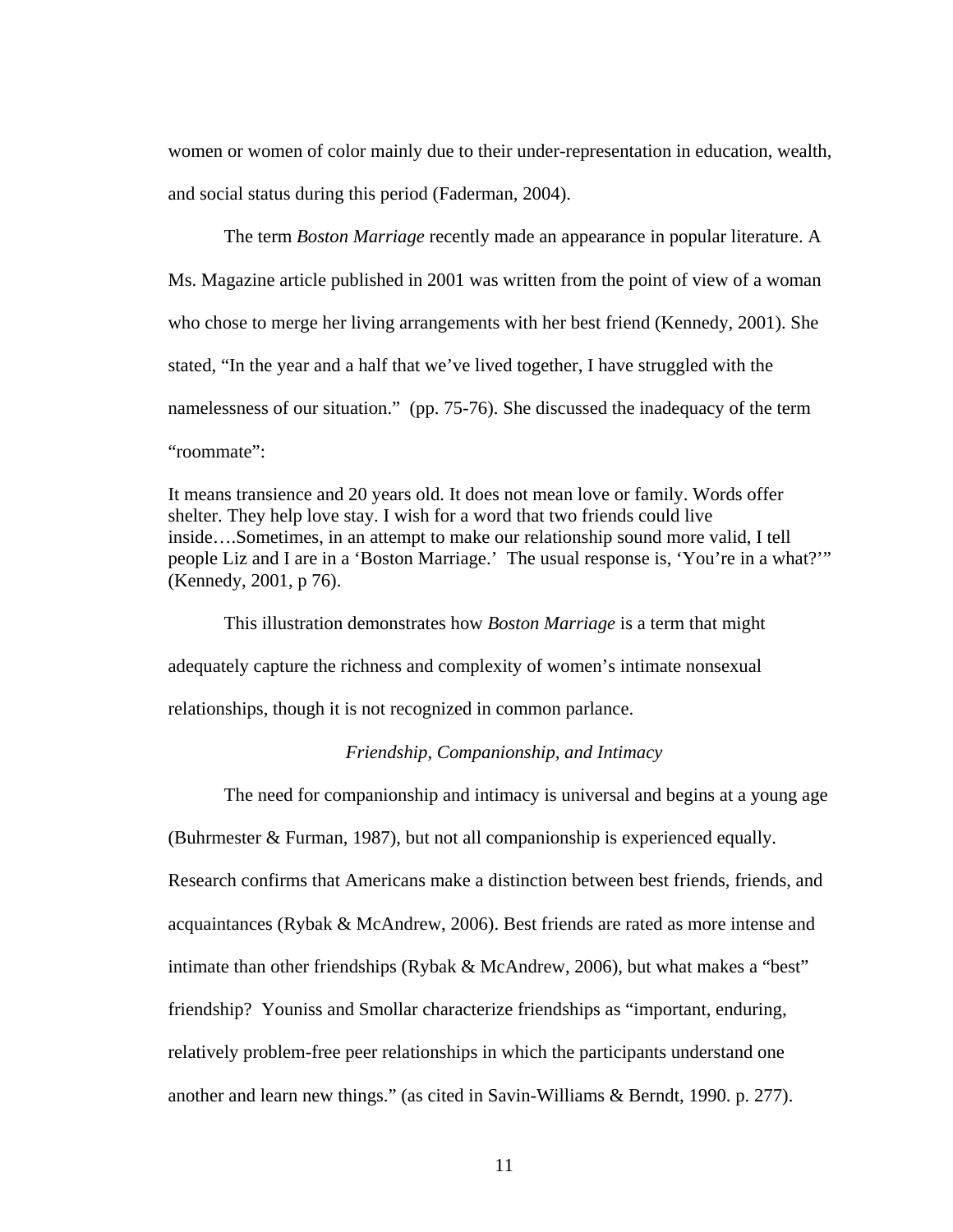women or women of color mainly due to their under-representation in education, wealth, and social status during this period (Faderman, 2004).

The term *Boston Marriage* recently made an appearance in popular literature. A Ms. Magazine article published in 2001 was written from the point of view of a woman who chose to merge her living arrangements with her best friend (Kennedy, 2001). She stated, "In the year and a half that we've lived together, I have struggled with the namelessness of our situation." (pp. 75-76). She discussed the inadequacy of the term "roommate":

It means transience and 20 years old. It does not mean love or family. Words offer shelter. They help love stay. I wish for a word that two friends could live inside….Sometimes, in an attempt to make our relationship sound more valid, I tell people Liz and I are in a 'Boston Marriage.' The usual response is, 'You're in a what?'" (Kennedy, 2001, p 76).

This illustration demonstrates how *Boston Marriage* is a term that might adequately capture the richness and complexity of women's intimate nonsexual relationships, though it is not recognized in common parlance.

### *Friendship, Companionship, and Intimacy*

The need for companionship and intimacy is universal and begins at a young age (Buhrmester & Furman, 1987), but not all companionship is experienced equally. Research confirms that Americans make a distinction between best friends, friends, and acquaintances (Rybak & McAndrew, 2006). Best friends are rated as more intense and intimate than other friendships (Rybak & McAndrew, 2006), but what makes a "best" friendship? Youniss and Smollar characterize friendships as "important, enduring, relatively problem-free peer relationships in which the participants understand one another and learn new things." (as cited in Savin-Williams & Berndt, 1990. p. 277).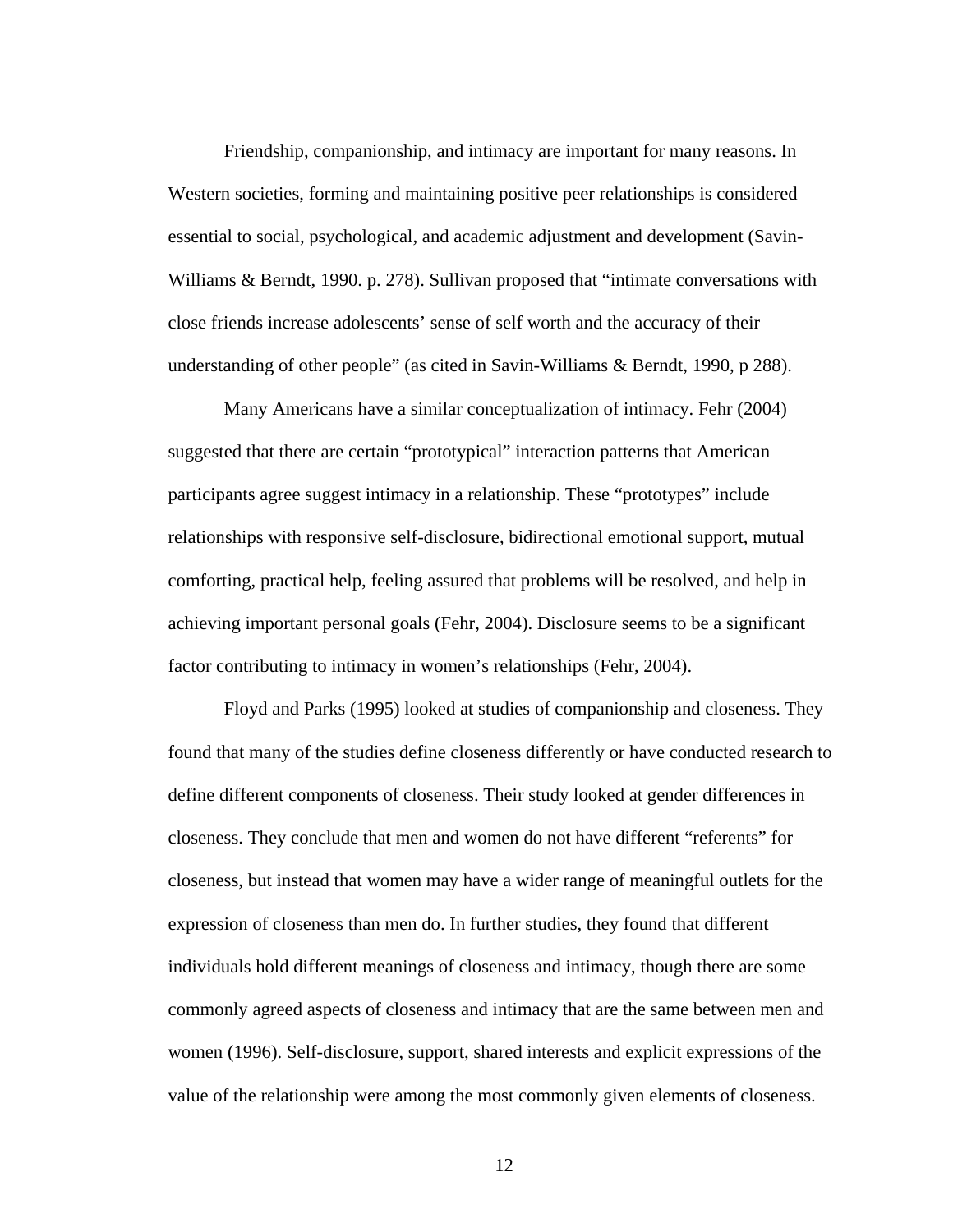Friendship, companionship, and intimacy are important for many reasons. In Western societies, forming and maintaining positive peer relationships is considered essential to social, psychological, and academic adjustment and development (Savin-Williams & Berndt, 1990. p. 278). Sullivan proposed that "intimate conversations with close friends increase adolescents' sense of self worth and the accuracy of their understanding of other people" (as cited in Savin-Williams & Berndt, 1990, p 288).

Many Americans have a similar conceptualization of intimacy. Fehr (2004) suggested that there are certain "prototypical" interaction patterns that American participants agree suggest intimacy in a relationship. These "prototypes" include relationships with responsive self-disclosure, bidirectional emotional support, mutual comforting, practical help, feeling assured that problems will be resolved, and help in achieving important personal goals (Fehr, 2004). Disclosure seems to be a significant factor contributing to intimacy in women's relationships (Fehr, 2004).

Floyd and Parks (1995) looked at studies of companionship and closeness. They found that many of the studies define closeness differently or have conducted research to define different components of closeness. Their study looked at gender differences in closeness. They conclude that men and women do not have different "referents" for closeness, but instead that women may have a wider range of meaningful outlets for the expression of closeness than men do. In further studies, they found that different individuals hold different meanings of closeness and intimacy, though there are some commonly agreed aspects of closeness and intimacy that are the same between men and women (1996). Self-disclosure, support, shared interests and explicit expressions of the value of the relationship were among the most commonly given elements of closeness.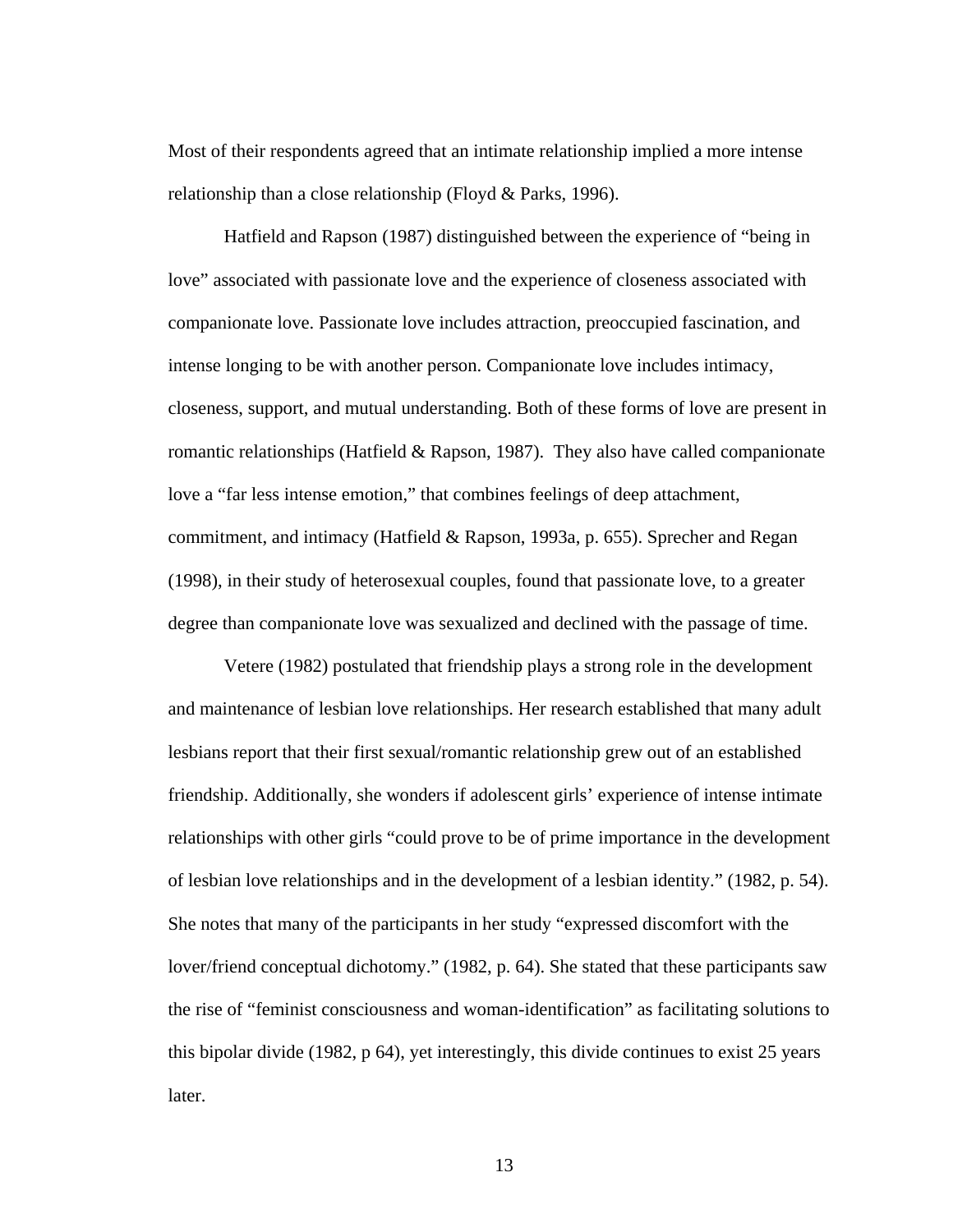Most of their respondents agreed that an intimate relationship implied a more intense relationship than a close relationship (Floyd & Parks, 1996).

Hatfield and Rapson (1987) distinguished between the experience of "being in love" associated with passionate love and the experience of closeness associated with companionate love. Passionate love includes attraction, preoccupied fascination, and intense longing to be with another person. Companionate love includes intimacy, closeness, support, and mutual understanding. Both of these forms of love are present in romantic relationships (Hatfield & Rapson, 1987). They also have called companionate love a "far less intense emotion," that combines feelings of deep attachment, commitment, and intimacy (Hatfield & Rapson, 1993a, p. 655). Sprecher and Regan (1998), in their study of heterosexual couples, found that passionate love, to a greater degree than companionate love was sexualized and declined with the passage of time.

Vetere (1982) postulated that friendship plays a strong role in the development and maintenance of lesbian love relationships. Her research established that many adult lesbians report that their first sexual/romantic relationship grew out of an established friendship. Additionally, she wonders if adolescent girls' experience of intense intimate relationships with other girls "could prove to be of prime importance in the development of lesbian love relationships and in the development of a lesbian identity." (1982, p. 54). She notes that many of the participants in her study "expressed discomfort with the lover/friend conceptual dichotomy." (1982, p. 64). She stated that these participants saw the rise of "feminist consciousness and woman-identification" as facilitating solutions to this bipolar divide (1982, p 64), yet interestingly, this divide continues to exist 25 years later.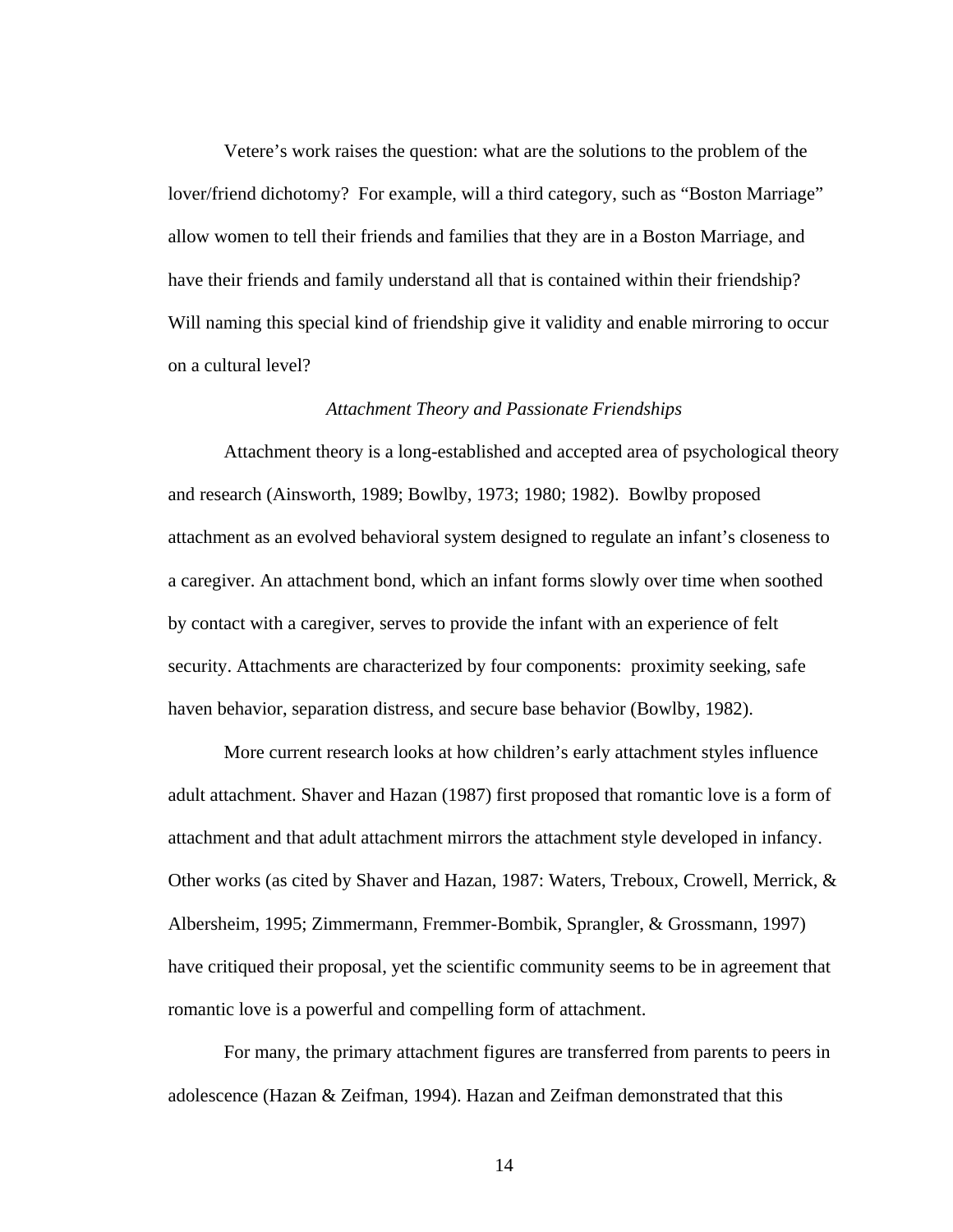Vetere's work raises the question: what are the solutions to the problem of the lover/friend dichotomy? For example, will a third category, such as "Boston Marriage" allow women to tell their friends and families that they are in a Boston Marriage, and have their friends and family understand all that is contained within their friendship? Will naming this special kind of friendship give it validity and enable mirroring to occur on a cultural level?

#### *Attachment Theory and Passionate Friendships*

Attachment theory is a long-established and accepted area of psychological theory and research (Ainsworth, 1989; Bowlby, 1973; 1980; 1982). Bowlby proposed attachment as an evolved behavioral system designed to regulate an infant's closeness to a caregiver. An attachment bond, which an infant forms slowly over time when soothed by contact with a caregiver, serves to provide the infant with an experience of felt security. Attachments are characterized by four components: proximity seeking, safe haven behavior, separation distress, and secure base behavior (Bowlby, 1982).

More current research looks at how children's early attachment styles influence adult attachment. Shaver and Hazan (1987) first proposed that romantic love is a form of attachment and that adult attachment mirrors the attachment style developed in infancy. Other works (as cited by Shaver and Hazan, 1987: Waters, Treboux, Crowell, Merrick, & Albersheim, 1995; Zimmermann, Fremmer-Bombik, Sprangler, & Grossmann, 1997) have critiqued their proposal, yet the scientific community seems to be in agreement that romantic love is a powerful and compelling form of attachment.

 For many, the primary attachment figures are transferred from parents to peers in adolescence (Hazan & Zeifman, 1994). Hazan and Zeifman demonstrated that this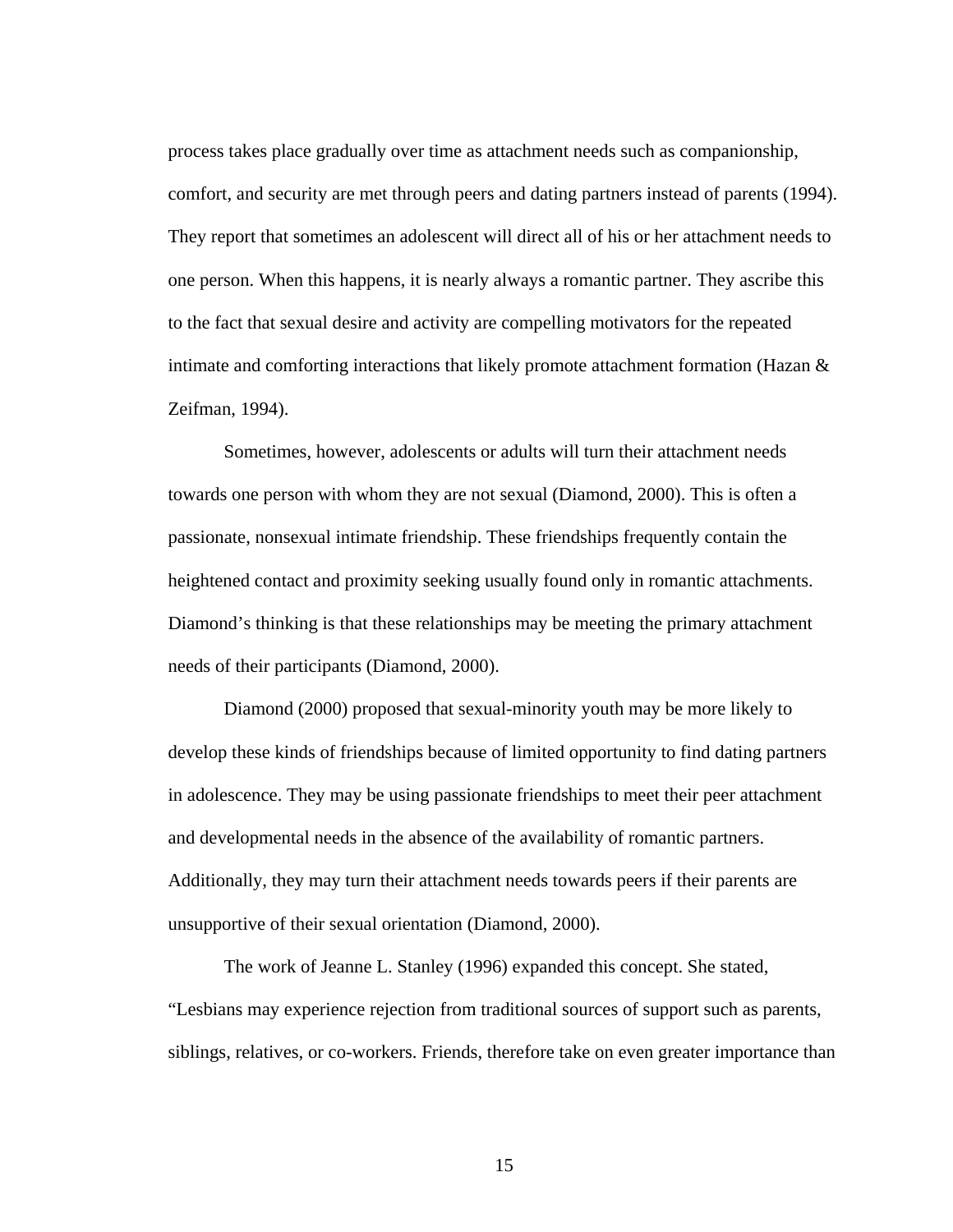process takes place gradually over time as attachment needs such as companionship, comfort, and security are met through peers and dating partners instead of parents (1994). They report that sometimes an adolescent will direct all of his or her attachment needs to one person. When this happens, it is nearly always a romantic partner. They ascribe this to the fact that sexual desire and activity are compelling motivators for the repeated intimate and comforting interactions that likely promote attachment formation (Hazan & Zeifman, 1994).

 Sometimes, however, adolescents or adults will turn their attachment needs towards one person with whom they are not sexual (Diamond, 2000). This is often a passionate, nonsexual intimate friendship. These friendships frequently contain the heightened contact and proximity seeking usually found only in romantic attachments. Diamond's thinking is that these relationships may be meeting the primary attachment needs of their participants (Diamond, 2000).

 Diamond (2000) proposed that sexual-minority youth may be more likely to develop these kinds of friendships because of limited opportunity to find dating partners in adolescence. They may be using passionate friendships to meet their peer attachment and developmental needs in the absence of the availability of romantic partners. Additionally, they may turn their attachment needs towards peers if their parents are unsupportive of their sexual orientation (Diamond, 2000).

The work of Jeanne L. Stanley (1996) expanded this concept. She stated, "Lesbians may experience rejection from traditional sources of support such as parents, siblings, relatives, or co-workers. Friends, therefore take on even greater importance than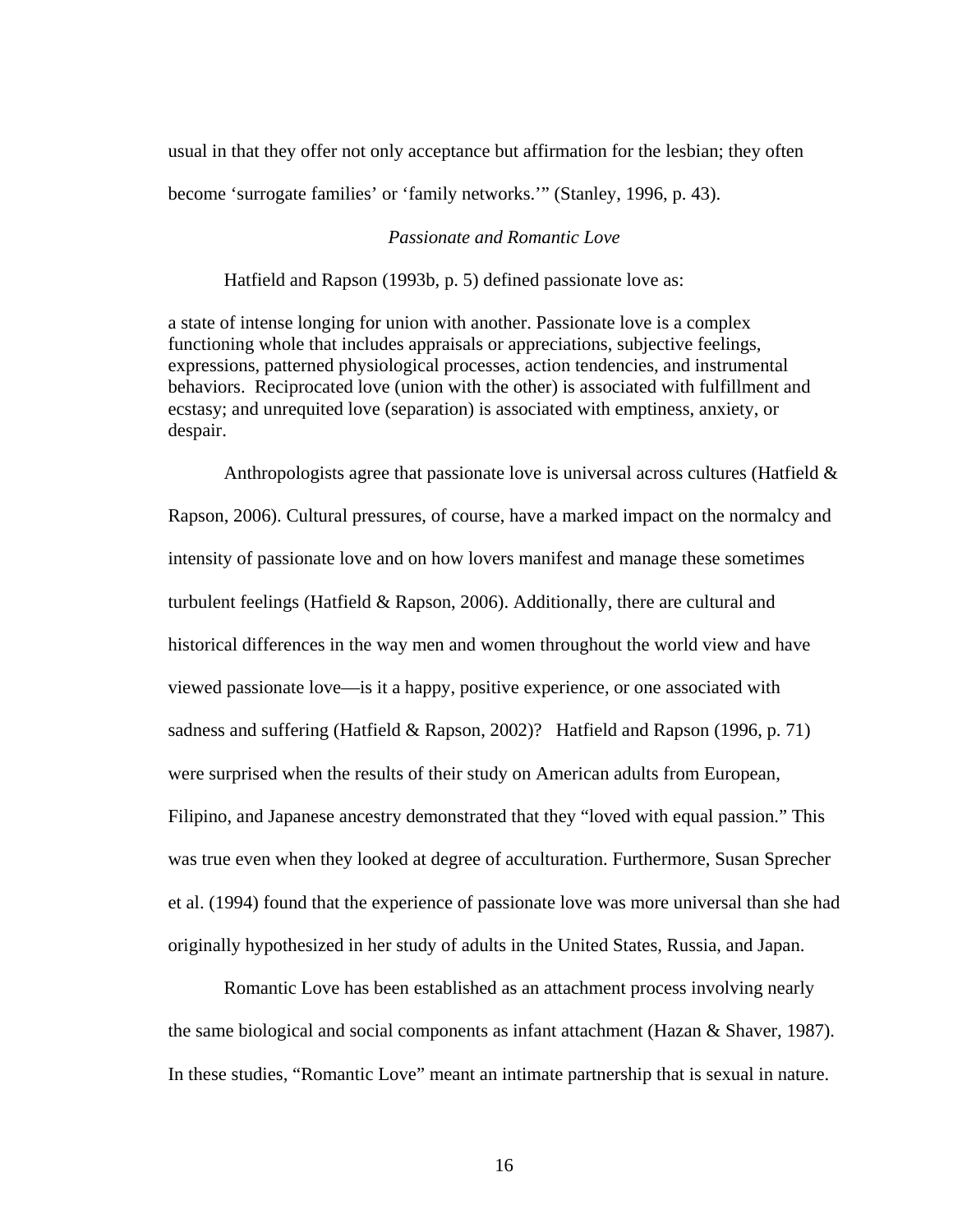usual in that they offer not only acceptance but affirmation for the lesbian; they often become 'surrogate families' or 'family networks.'" (Stanley, 1996, p. 43).

#### *Passionate and Romantic Love*

Hatfield and Rapson (1993b, p. 5) defined passionate love as:

a state of intense longing for union with another. Passionate love is a complex functioning whole that includes appraisals or appreciations, subjective feelings, expressions, patterned physiological processes, action tendencies, and instrumental behaviors. Reciprocated love (union with the other) is associated with fulfillment and ecstasy; and unrequited love (separation) is associated with emptiness, anxiety, or despair.

Anthropologists agree that passionate love is universal across cultures (Hatfield & Rapson, 2006). Cultural pressures, of course, have a marked impact on the normalcy and intensity of passionate love and on how lovers manifest and manage these sometimes turbulent feelings (Hatfield & Rapson, 2006). Additionally, there are cultural and historical differences in the way men and women throughout the world view and have viewed passionate love—is it a happy, positive experience, or one associated with sadness and suffering (Hatfield & Rapson, 2002)? Hatfield and Rapson (1996, p. 71) were surprised when the results of their study on American adults from European, Filipino, and Japanese ancestry demonstrated that they "loved with equal passion." This was true even when they looked at degree of acculturation. Furthermore, Susan Sprecher et al. (1994) found that the experience of passionate love was more universal than she had originally hypothesized in her study of adults in the United States, Russia, and Japan.

Romantic Love has been established as an attachment process involving nearly the same biological and social components as infant attachment (Hazan & Shaver, 1987). In these studies, "Romantic Love" meant an intimate partnership that is sexual in nature.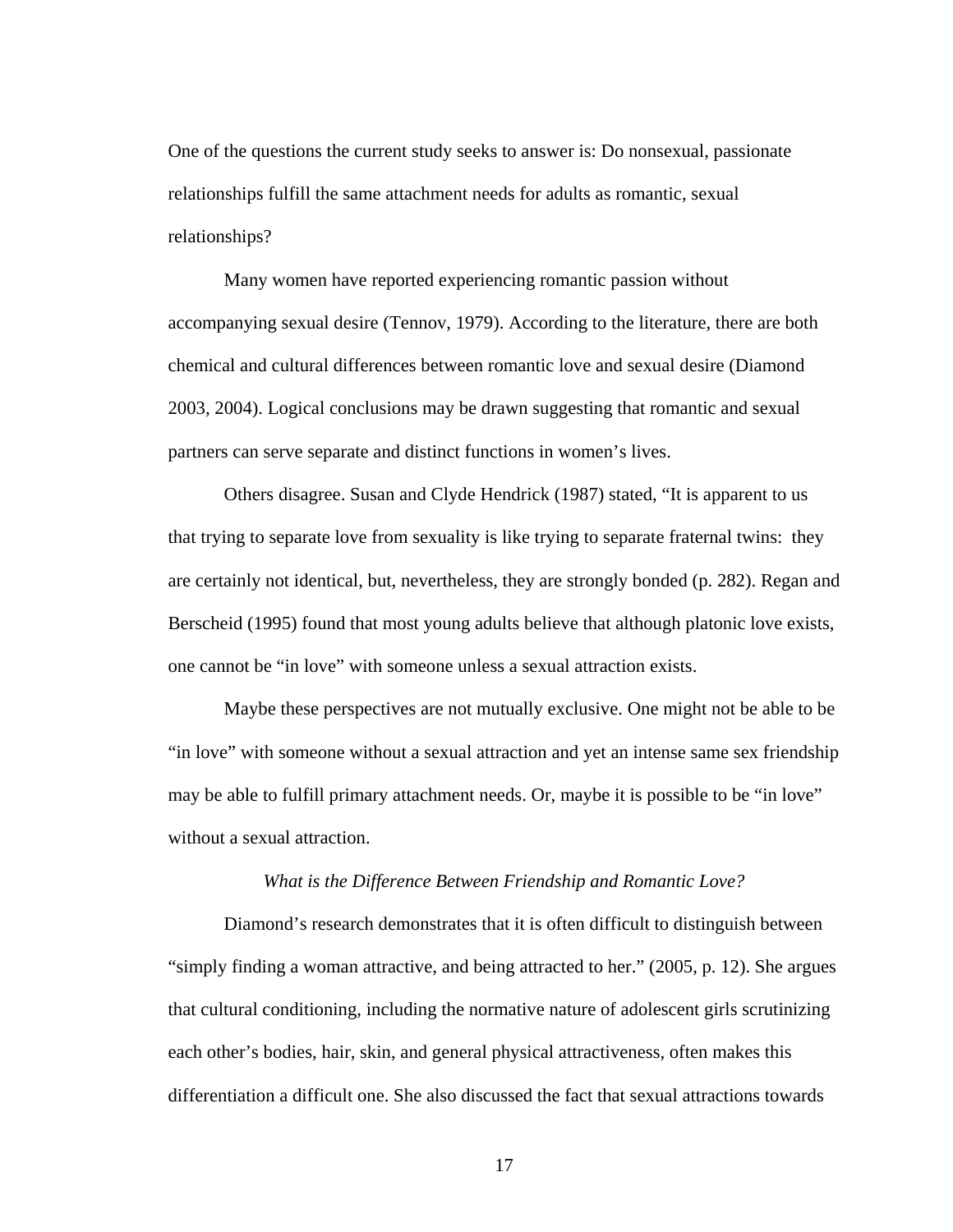One of the questions the current study seeks to answer is: Do nonsexual, passionate relationships fulfill the same attachment needs for adults as romantic, sexual relationships?

Many women have reported experiencing romantic passion without accompanying sexual desire (Tennov, 1979). According to the literature, there are both chemical and cultural differences between romantic love and sexual desire (Diamond 2003, 2004). Logical conclusions may be drawn suggesting that romantic and sexual partners can serve separate and distinct functions in women's lives.

Others disagree. Susan and Clyde Hendrick (1987) stated, "It is apparent to us that trying to separate love from sexuality is like trying to separate fraternal twins: they are certainly not identical, but, nevertheless, they are strongly bonded (p. 282). Regan and Berscheid (1995) found that most young adults believe that although platonic love exists, one cannot be "in love" with someone unless a sexual attraction exists.

 Maybe these perspectives are not mutually exclusive. One might not be able to be "in love" with someone without a sexual attraction and yet an intense same sex friendship may be able to fulfill primary attachment needs. Or, maybe it is possible to be "in love" without a sexual attraction.

#### *What is the Difference Between Friendship and Romantic Love?*

Diamond's research demonstrates that it is often difficult to distinguish between "simply finding a woman attractive, and being attracted to her." (2005, p. 12). She argues that cultural conditioning, including the normative nature of adolescent girls scrutinizing each other's bodies, hair, skin, and general physical attractiveness, often makes this differentiation a difficult one. She also discussed the fact that sexual attractions towards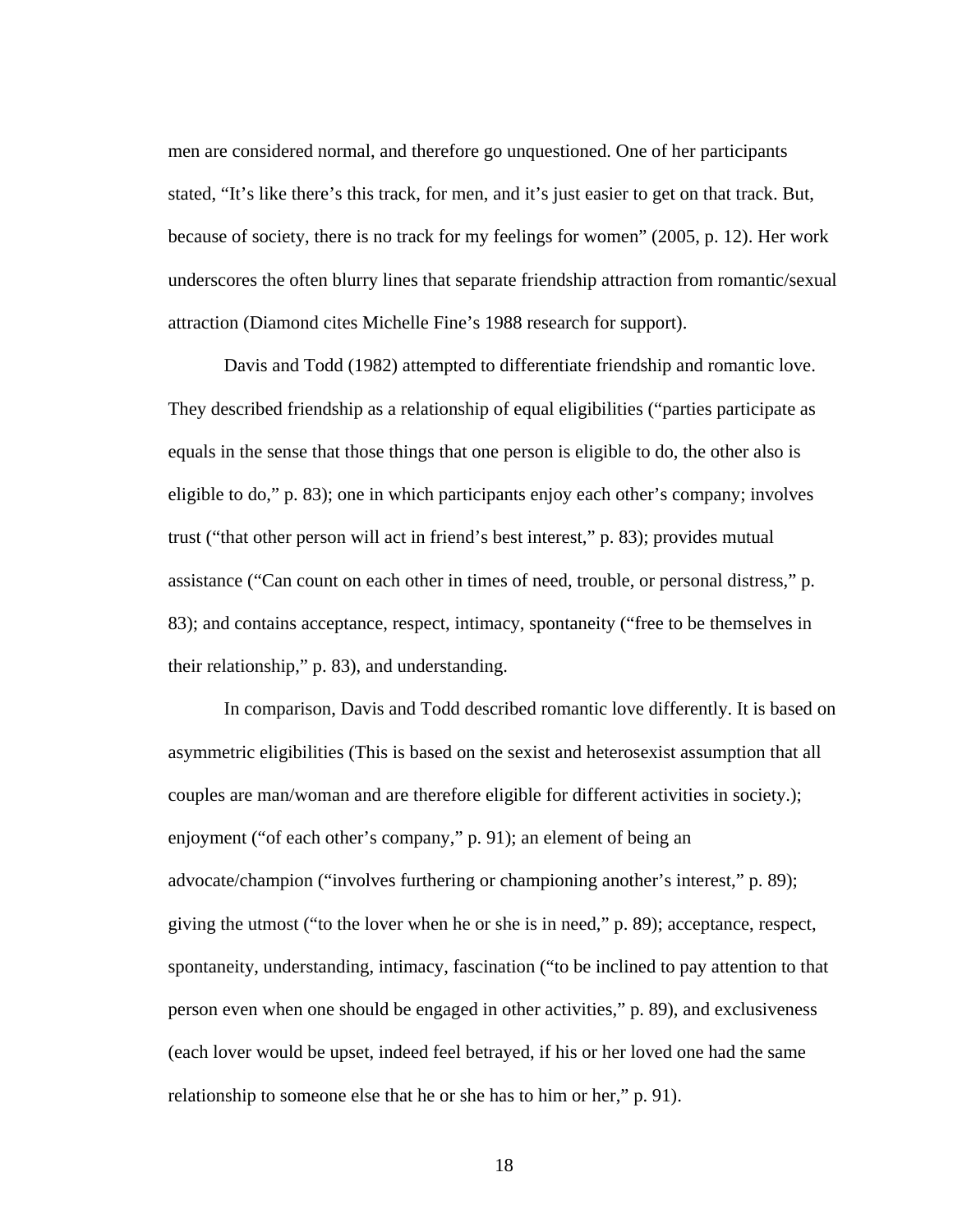men are considered normal, and therefore go unquestioned. One of her participants stated, "It's like there's this track, for men, and it's just easier to get on that track. But, because of society, there is no track for my feelings for women" (2005, p. 12). Her work underscores the often blurry lines that separate friendship attraction from romantic/sexual attraction (Diamond cites Michelle Fine's 1988 research for support).

Davis and Todd (1982) attempted to differentiate friendship and romantic love. They described friendship as a relationship of equal eligibilities ("parties participate as equals in the sense that those things that one person is eligible to do, the other also is eligible to do," p. 83); one in which participants enjoy each other's company; involves trust ("that other person will act in friend's best interest," p. 83); provides mutual assistance ("Can count on each other in times of need, trouble, or personal distress," p. 83); and contains acceptance, respect, intimacy, spontaneity ("free to be themselves in their relationship," p. 83), and understanding.

In comparison, Davis and Todd described romantic love differently. It is based on asymmetric eligibilities (This is based on the sexist and heterosexist assumption that all couples are man/woman and are therefore eligible for different activities in society.); enjoyment ("of each other's company," p. 91); an element of being an advocate/champion ("involves furthering or championing another's interest," p. 89); giving the utmost ("to the lover when he or she is in need," p. 89); acceptance, respect, spontaneity, understanding, intimacy, fascination ("to be inclined to pay attention to that person even when one should be engaged in other activities," p. 89), and exclusiveness (each lover would be upset, indeed feel betrayed, if his or her loved one had the same relationship to someone else that he or she has to him or her," p. 91).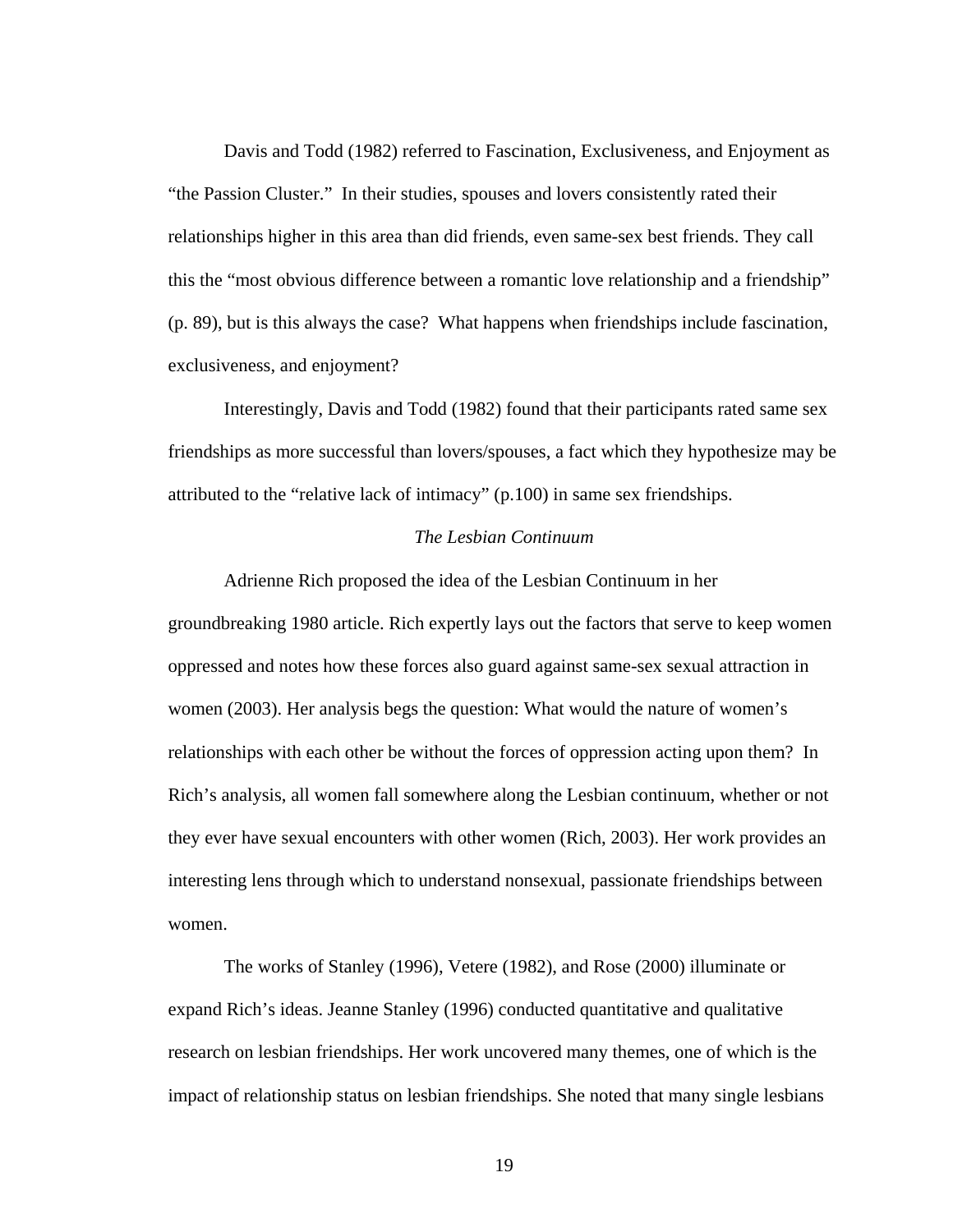Davis and Todd (1982) referred to Fascination, Exclusiveness, and Enjoyment as "the Passion Cluster." In their studies, spouses and lovers consistently rated their relationships higher in this area than did friends, even same-sex best friends. They call this the "most obvious difference between a romantic love relationship and a friendship" (p. 89), but is this always the case? What happens when friendships include fascination, exclusiveness, and enjoyment?

 Interestingly, Davis and Todd (1982) found that their participants rated same sex friendships as more successful than lovers/spouses, a fact which they hypothesize may be attributed to the "relative lack of intimacy" (p.100) in same sex friendships.

#### *The Lesbian Continuum*

Adrienne Rich proposed the idea of the Lesbian Continuum in her groundbreaking 1980 article. Rich expertly lays out the factors that serve to keep women oppressed and notes how these forces also guard against same-sex sexual attraction in women (2003). Her analysis begs the question: What would the nature of women's relationships with each other be without the forces of oppression acting upon them? In Rich's analysis, all women fall somewhere along the Lesbian continuum, whether or not they ever have sexual encounters with other women (Rich, 2003). Her work provides an interesting lens through which to understand nonsexual, passionate friendships between women.

The works of Stanley (1996), Vetere (1982), and Rose (2000) illuminate or expand Rich's ideas. Jeanne Stanley (1996) conducted quantitative and qualitative research on lesbian friendships. Her work uncovered many themes, one of which is the impact of relationship status on lesbian friendships. She noted that many single lesbians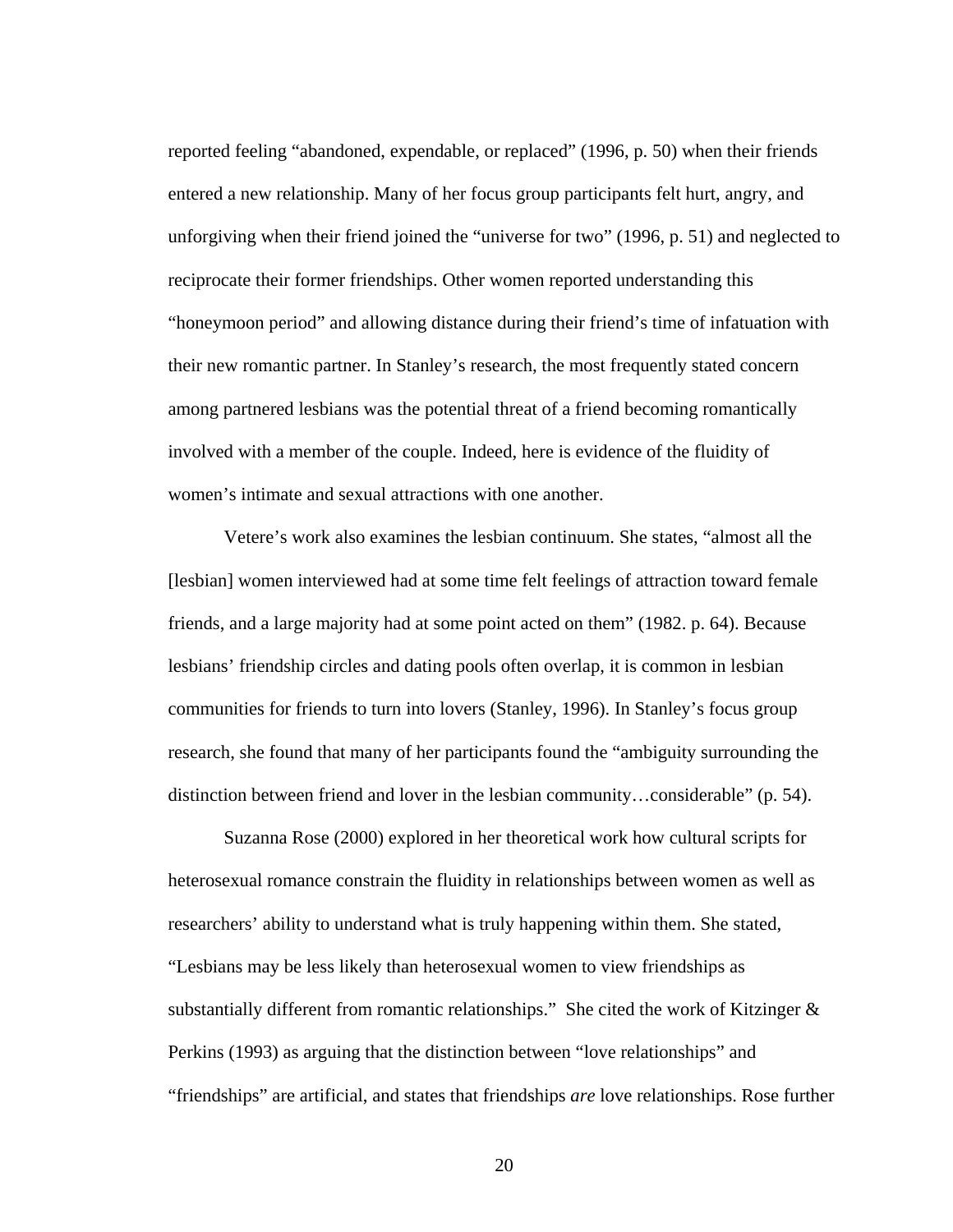reported feeling "abandoned, expendable, or replaced" (1996, p. 50) when their friends entered a new relationship. Many of her focus group participants felt hurt, angry, and unforgiving when their friend joined the "universe for two" (1996, p. 51) and neglected to reciprocate their former friendships. Other women reported understanding this "honeymoon period" and allowing distance during their friend's time of infatuation with their new romantic partner. In Stanley's research, the most frequently stated concern among partnered lesbians was the potential threat of a friend becoming romantically involved with a member of the couple. Indeed, here is evidence of the fluidity of women's intimate and sexual attractions with one another.

Vetere's work also examines the lesbian continuum. She states, "almost all the [lesbian] women interviewed had at some time felt feelings of attraction toward female friends, and a large majority had at some point acted on them" (1982. p. 64). Because lesbians' friendship circles and dating pools often overlap, it is common in lesbian communities for friends to turn into lovers (Stanley, 1996). In Stanley's focus group research, she found that many of her participants found the "ambiguity surrounding the distinction between friend and lover in the lesbian community…considerable" (p. 54).

Suzanna Rose (2000) explored in her theoretical work how cultural scripts for heterosexual romance constrain the fluidity in relationships between women as well as researchers' ability to understand what is truly happening within them. She stated, "Lesbians may be less likely than heterosexual women to view friendships as substantially different from romantic relationships." She cited the work of Kitzinger  $\&$ Perkins (1993) as arguing that the distinction between "love relationships" and "friendships" are artificial, and states that friendships *are* love relationships. Rose further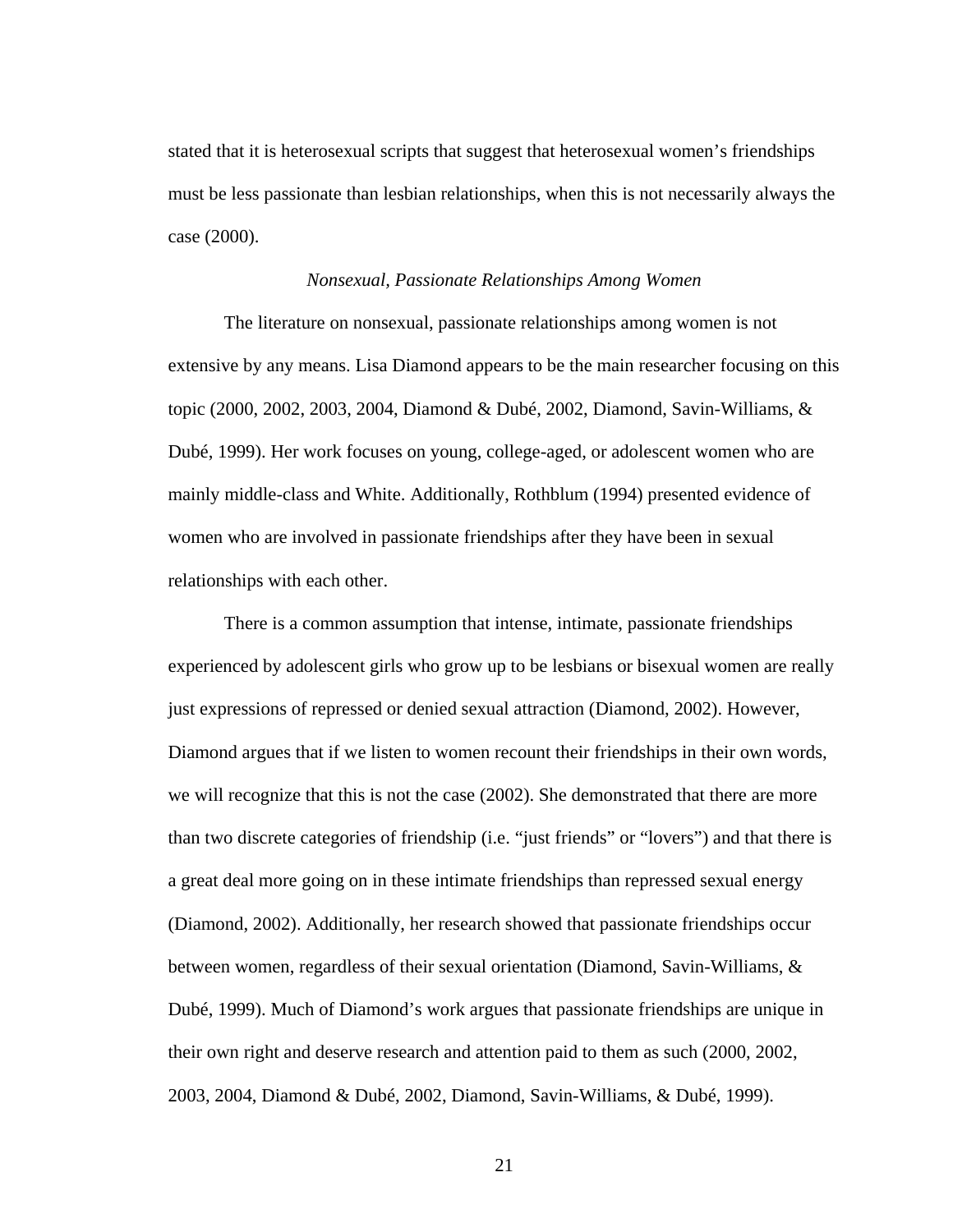stated that it is heterosexual scripts that suggest that heterosexual women's friendships must be less passionate than lesbian relationships, when this is not necessarily always the case (2000).

#### *Nonsexual, Passionate Relationships Among Women*

The literature on nonsexual, passionate relationships among women is not extensive by any means. Lisa Diamond appears to be the main researcher focusing on this topic (2000, 2002, 2003, 2004, Diamond & Dubé, 2002, Diamond, Savin-Williams, & Dubé, 1999). Her work focuses on young, college-aged, or adolescent women who are mainly middle-class and White. Additionally, Rothblum (1994) presented evidence of women who are involved in passionate friendships after they have been in sexual relationships with each other.

There is a common assumption that intense, intimate, passionate friendships experienced by adolescent girls who grow up to be lesbians or bisexual women are really just expressions of repressed or denied sexual attraction (Diamond, 2002). However, Diamond argues that if we listen to women recount their friendships in their own words, we will recognize that this is not the case (2002). She demonstrated that there are more than two discrete categories of friendship (i.e. "just friends" or "lovers") and that there is a great deal more going on in these intimate friendships than repressed sexual energy (Diamond, 2002). Additionally, her research showed that passionate friendships occur between women, regardless of their sexual orientation (Diamond, Savin-Williams, & Dubé, 1999). Much of Diamond's work argues that passionate friendships are unique in their own right and deserve research and attention paid to them as such (2000, 2002, 2003, 2004, Diamond & Dubé, 2002, Diamond, Savin-Williams, & Dubé, 1999).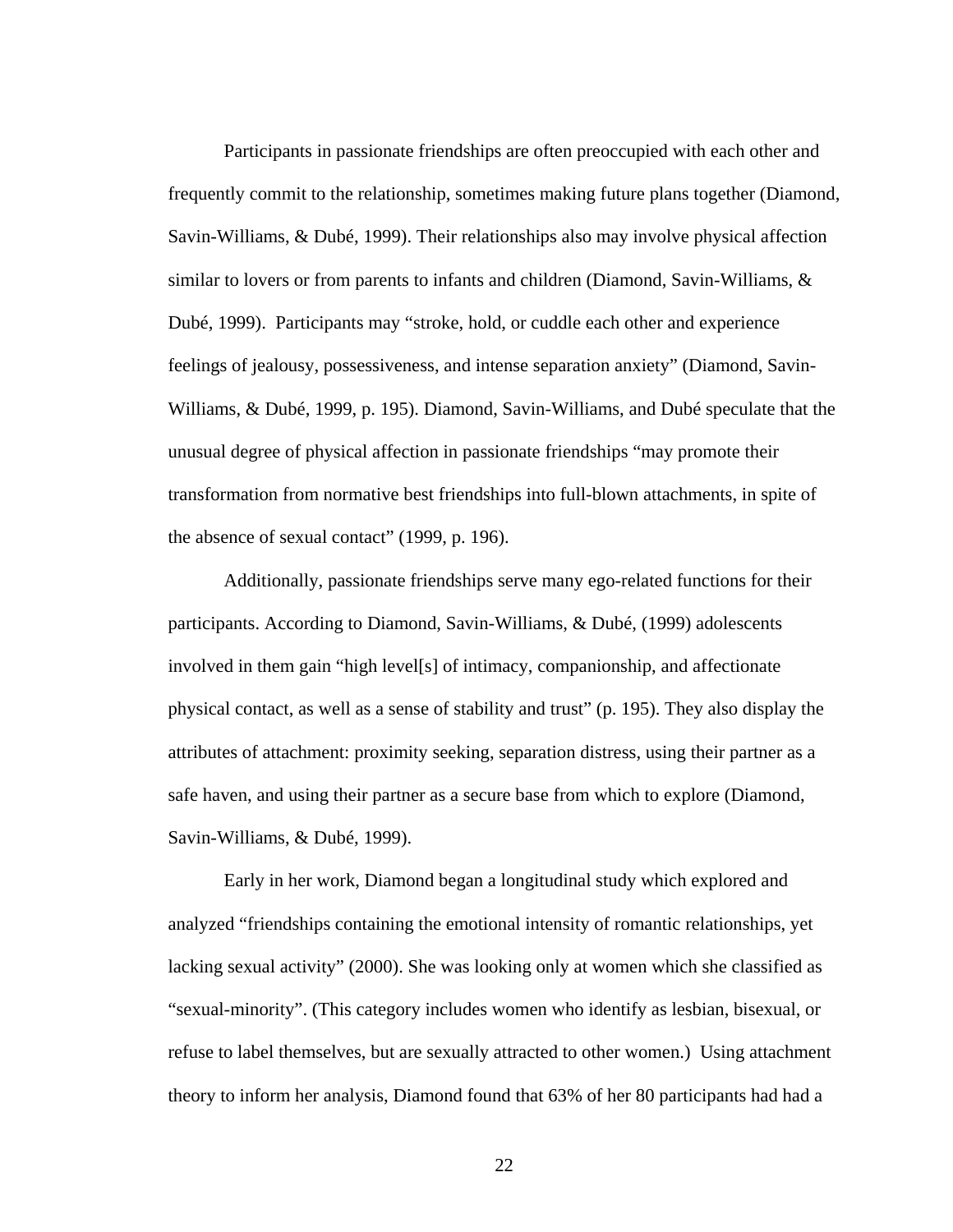Participants in passionate friendships are often preoccupied with each other and frequently commit to the relationship, sometimes making future plans together (Diamond, Savin-Williams, & Dubé, 1999). Their relationships also may involve physical affection similar to lovers or from parents to infants and children (Diamond, Savin-Williams, & Dubé, 1999). Participants may "stroke, hold, or cuddle each other and experience feelings of jealousy, possessiveness, and intense separation anxiety" (Diamond, Savin-Williams, & Dubé, 1999, p. 195). Diamond, Savin-Williams, and Dubé speculate that the unusual degree of physical affection in passionate friendships "may promote their transformation from normative best friendships into full-blown attachments, in spite of the absence of sexual contact" (1999, p. 196).

Additionally, passionate friendships serve many ego-related functions for their participants. According to Diamond, Savin-Williams, & Dubé, (1999) adolescents involved in them gain "high level[s] of intimacy, companionship, and affectionate physical contact, as well as a sense of stability and trust" (p. 195). They also display the attributes of attachment: proximity seeking, separation distress, using their partner as a safe haven, and using their partner as a secure base from which to explore (Diamond, Savin-Williams, & Dubé, 1999).

Early in her work, Diamond began a longitudinal study which explored and analyzed "friendships containing the emotional intensity of romantic relationships, yet lacking sexual activity" (2000). She was looking only at women which she classified as "sexual-minority". (This category includes women who identify as lesbian, bisexual, or refuse to label themselves, but are sexually attracted to other women.) Using attachment theory to inform her analysis, Diamond found that 63% of her 80 participants had had a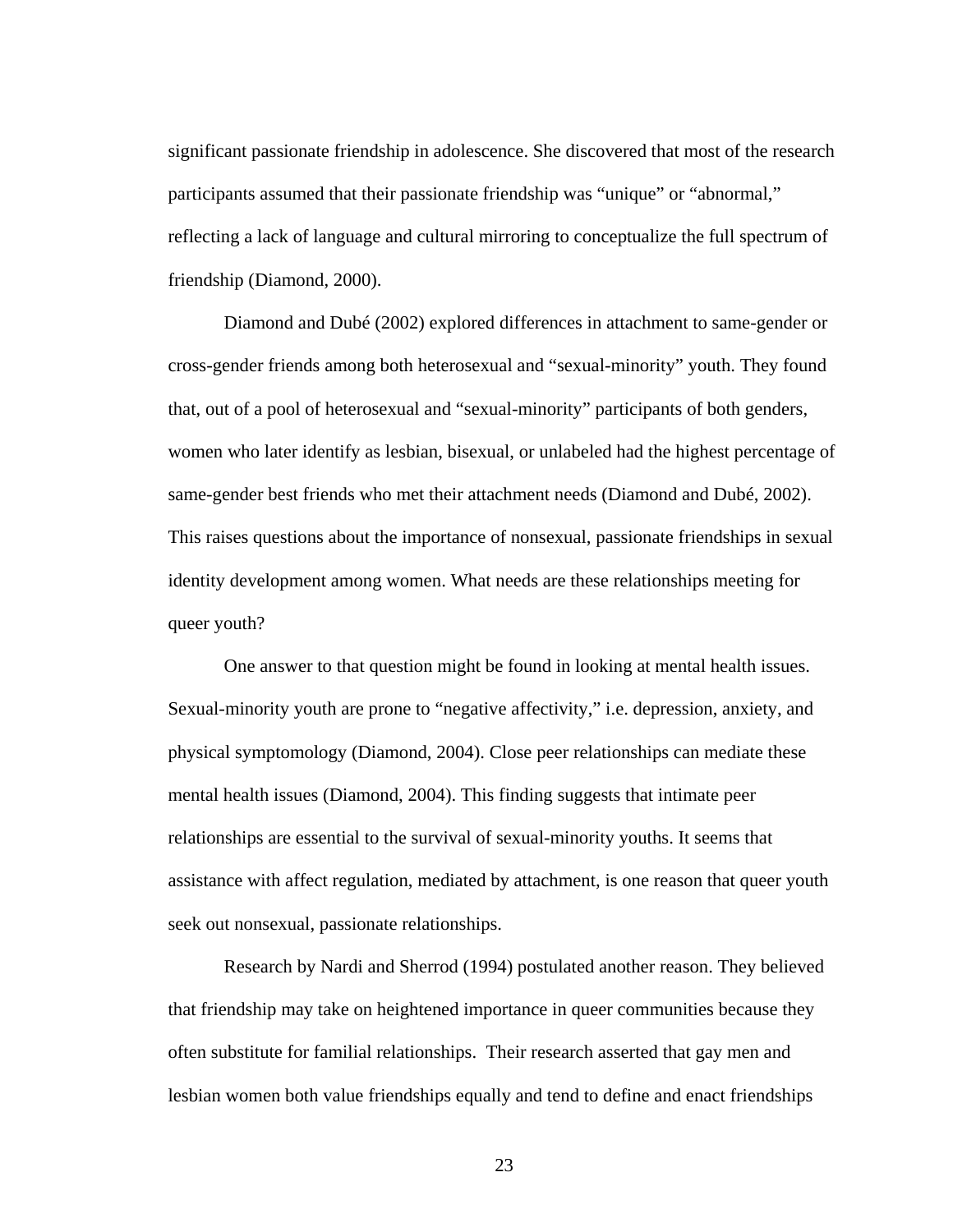significant passionate friendship in adolescence. She discovered that most of the research participants assumed that their passionate friendship was "unique" or "abnormal," reflecting a lack of language and cultural mirroring to conceptualize the full spectrum of friendship (Diamond, 2000).

 Diamond and Dubé (2002) explored differences in attachment to same-gender or cross-gender friends among both heterosexual and "sexual-minority" youth. They found that, out of a pool of heterosexual and "sexual-minority" participants of both genders, women who later identify as lesbian, bisexual, or unlabeled had the highest percentage of same-gender best friends who met their attachment needs (Diamond and Dubé, 2002). This raises questions about the importance of nonsexual, passionate friendships in sexual identity development among women. What needs are these relationships meeting for queer youth?

 One answer to that question might be found in looking at mental health issues. Sexual-minority youth are prone to "negative affectivity," i.e. depression, anxiety, and physical symptomology (Diamond, 2004). Close peer relationships can mediate these mental health issues (Diamond, 2004). This finding suggests that intimate peer relationships are essential to the survival of sexual-minority youths. It seems that assistance with affect regulation, mediated by attachment, is one reason that queer youth seek out nonsexual, passionate relationships.

 Research by Nardi and Sherrod (1994) postulated another reason. They believed that friendship may take on heightened importance in queer communities because they often substitute for familial relationships. Their research asserted that gay men and lesbian women both value friendships equally and tend to define and enact friendships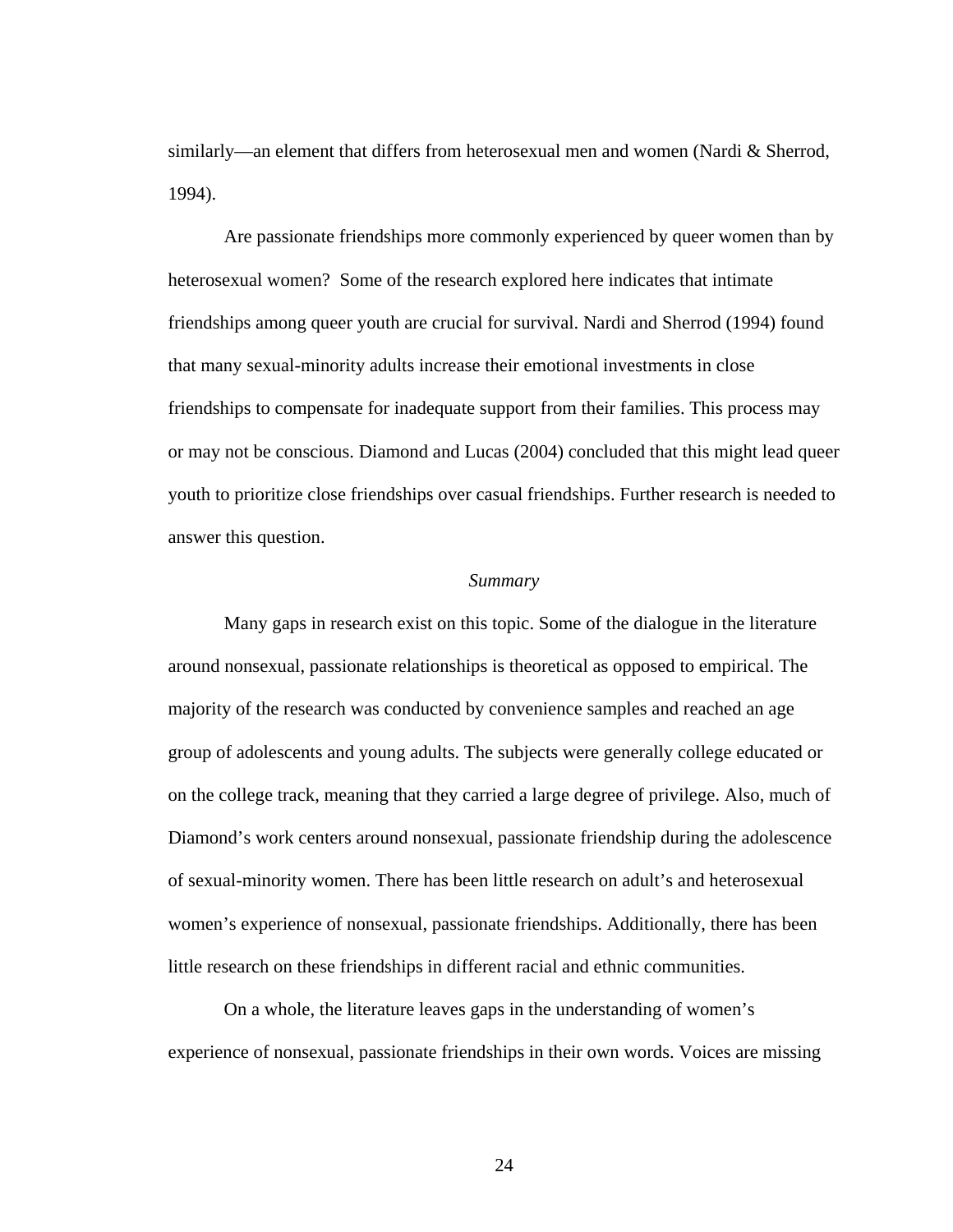similarly—an element that differs from heterosexual men and women (Nardi & Sherrod, 1994).

Are passionate friendships more commonly experienced by queer women than by heterosexual women? Some of the research explored here indicates that intimate friendships among queer youth are crucial for survival. Nardi and Sherrod (1994) found that many sexual-minority adults increase their emotional investments in close friendships to compensate for inadequate support from their families. This process may or may not be conscious. Diamond and Lucas (2004) concluded that this might lead queer youth to prioritize close friendships over casual friendships. Further research is needed to answer this question.

## *Summary*

 Many gaps in research exist on this topic. Some of the dialogue in the literature around nonsexual, passionate relationships is theoretical as opposed to empirical. The majority of the research was conducted by convenience samples and reached an age group of adolescents and young adults. The subjects were generally college educated or on the college track, meaning that they carried a large degree of privilege. Also, much of Diamond's work centers around nonsexual, passionate friendship during the adolescence of sexual-minority women. There has been little research on adult's and heterosexual women's experience of nonsexual, passionate friendships. Additionally, there has been little research on these friendships in different racial and ethnic communities.

 On a whole, the literature leaves gaps in the understanding of women's experience of nonsexual, passionate friendships in their own words. Voices are missing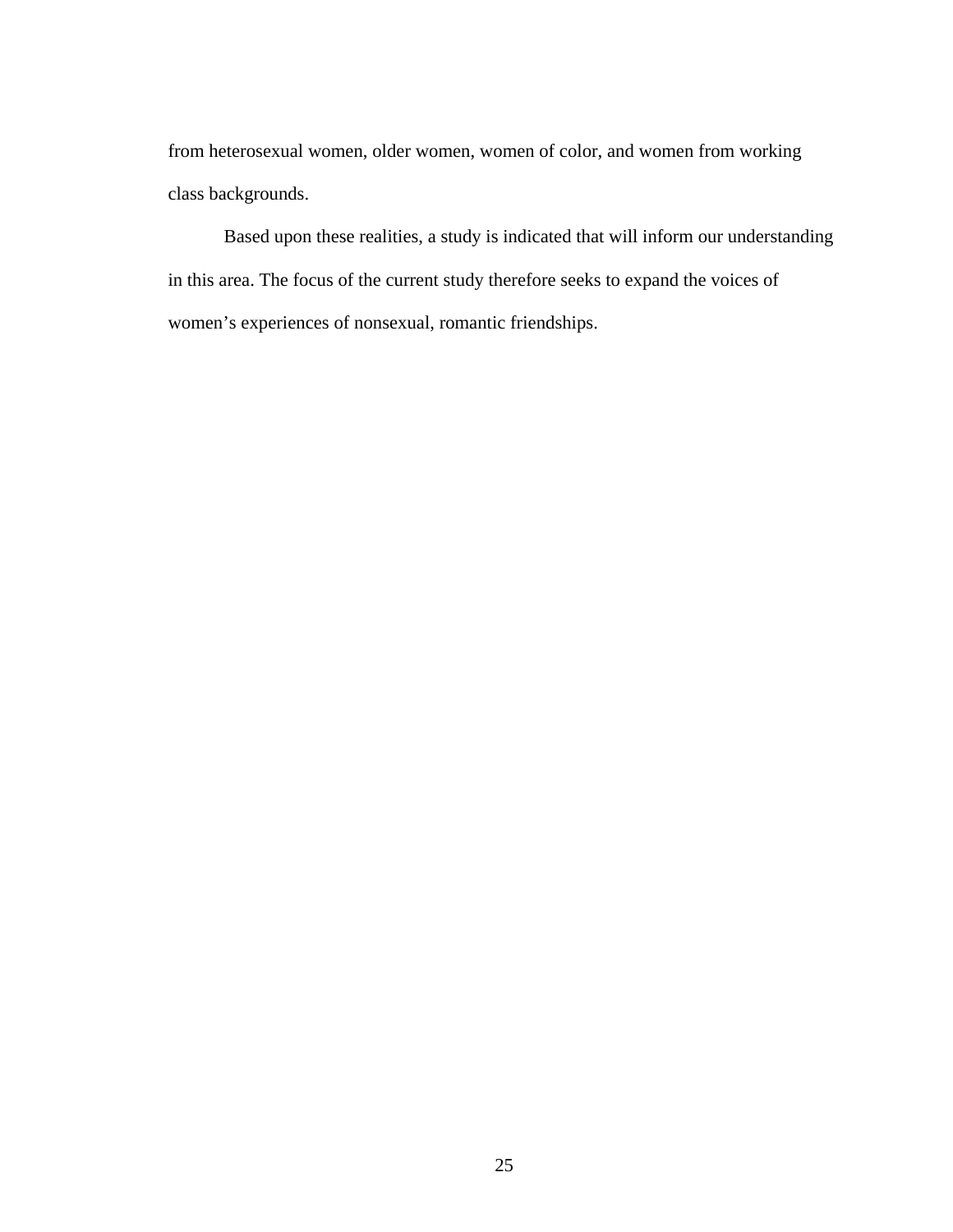from heterosexual women, older women, women of color, and women from working class backgrounds.

 Based upon these realities, a study is indicated that will inform our understanding in this area. The focus of the current study therefore seeks to expand the voices of women's experiences of nonsexual, romantic friendships.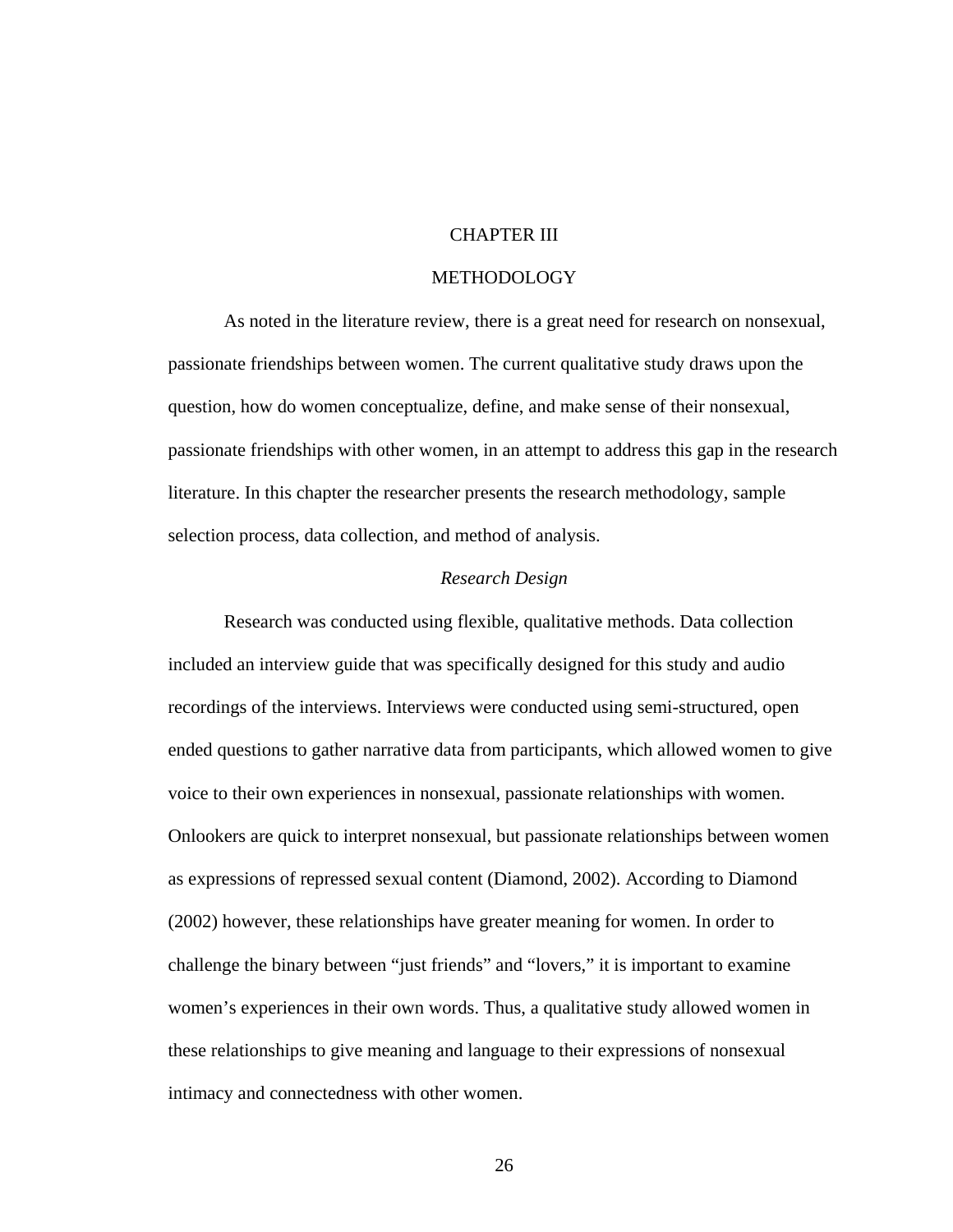### CHAPTER III

#### METHODOLOGY

As noted in the literature review, there is a great need for research on nonsexual, passionate friendships between women. The current qualitative study draws upon the question, how do women conceptualize, define, and make sense of their nonsexual, passionate friendships with other women, in an attempt to address this gap in the research literature. In this chapter the researcher presents the research methodology, sample selection process, data collection, and method of analysis.

#### *Research Design*

Research was conducted using flexible, qualitative methods. Data collection included an interview guide that was specifically designed for this study and audio recordings of the interviews. Interviews were conducted using semi-structured, open ended questions to gather narrative data from participants, which allowed women to give voice to their own experiences in nonsexual, passionate relationships with women. Onlookers are quick to interpret nonsexual, but passionate relationships between women as expressions of repressed sexual content (Diamond, 2002). According to Diamond (2002) however, these relationships have greater meaning for women. In order to challenge the binary between "just friends" and "lovers," it is important to examine women's experiences in their own words. Thus, a qualitative study allowed women in these relationships to give meaning and language to their expressions of nonsexual intimacy and connectedness with other women.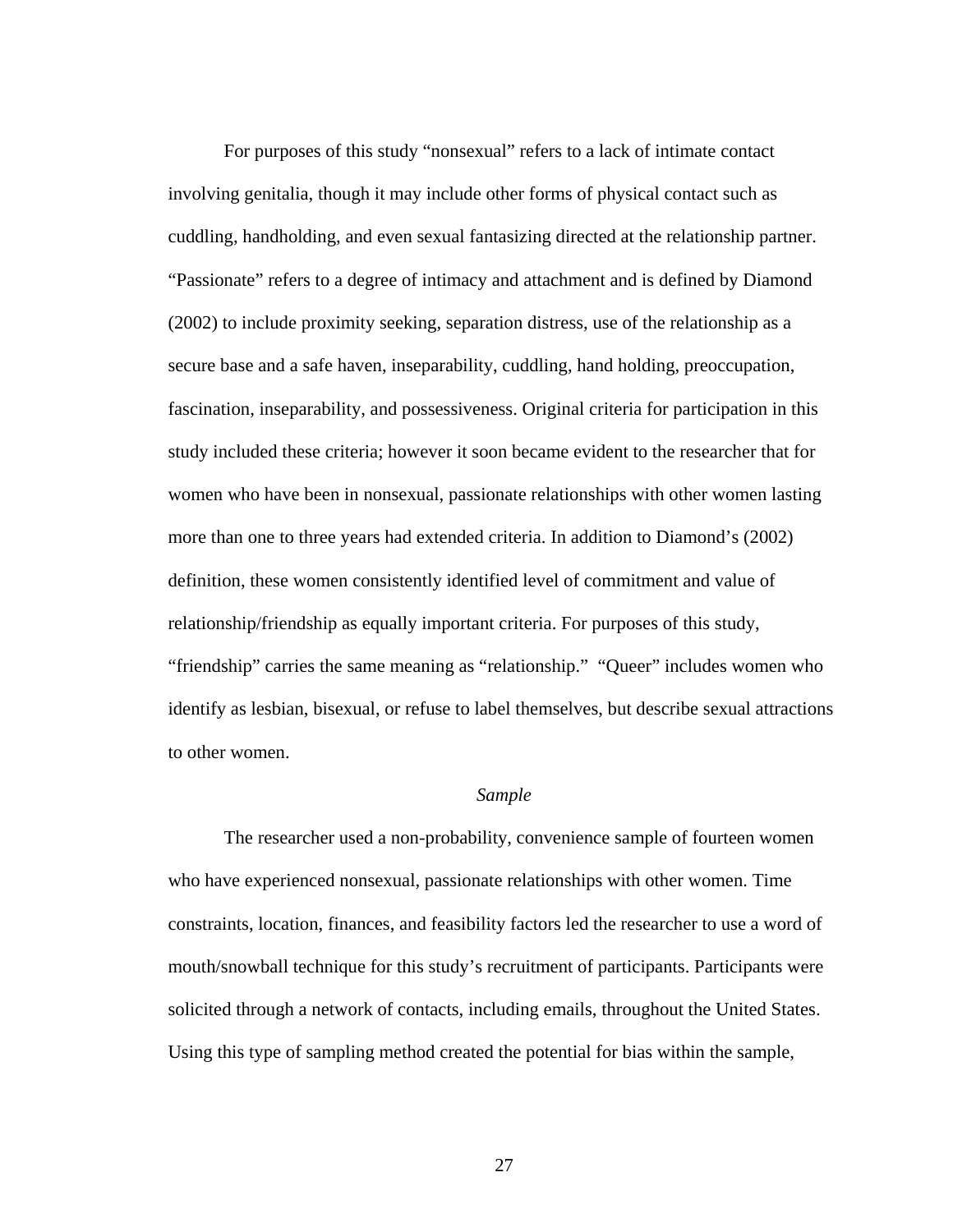For purposes of this study "nonsexual" refers to a lack of intimate contact involving genitalia, though it may include other forms of physical contact such as cuddling, handholding, and even sexual fantasizing directed at the relationship partner. "Passionate" refers to a degree of intimacy and attachment and is defined by Diamond (2002) to include proximity seeking, separation distress, use of the relationship as a secure base and a safe haven, inseparability, cuddling, hand holding, preoccupation, fascination, inseparability, and possessiveness. Original criteria for participation in this study included these criteria; however it soon became evident to the researcher that for women who have been in nonsexual, passionate relationships with other women lasting more than one to three years had extended criteria. In addition to Diamond's (2002) definition, these women consistently identified level of commitment and value of relationship/friendship as equally important criteria. For purposes of this study, "friendship" carries the same meaning as "relationship." "Queer" includes women who identify as lesbian, bisexual, or refuse to label themselves, but describe sexual attractions to other women.

#### *Sample*

The researcher used a non-probability, convenience sample of fourteen women who have experienced nonsexual, passionate relationships with other women. Time constraints, location, finances, and feasibility factors led the researcher to use a word of mouth/snowball technique for this study's recruitment of participants. Participants were solicited through a network of contacts, including emails, throughout the United States. Using this type of sampling method created the potential for bias within the sample,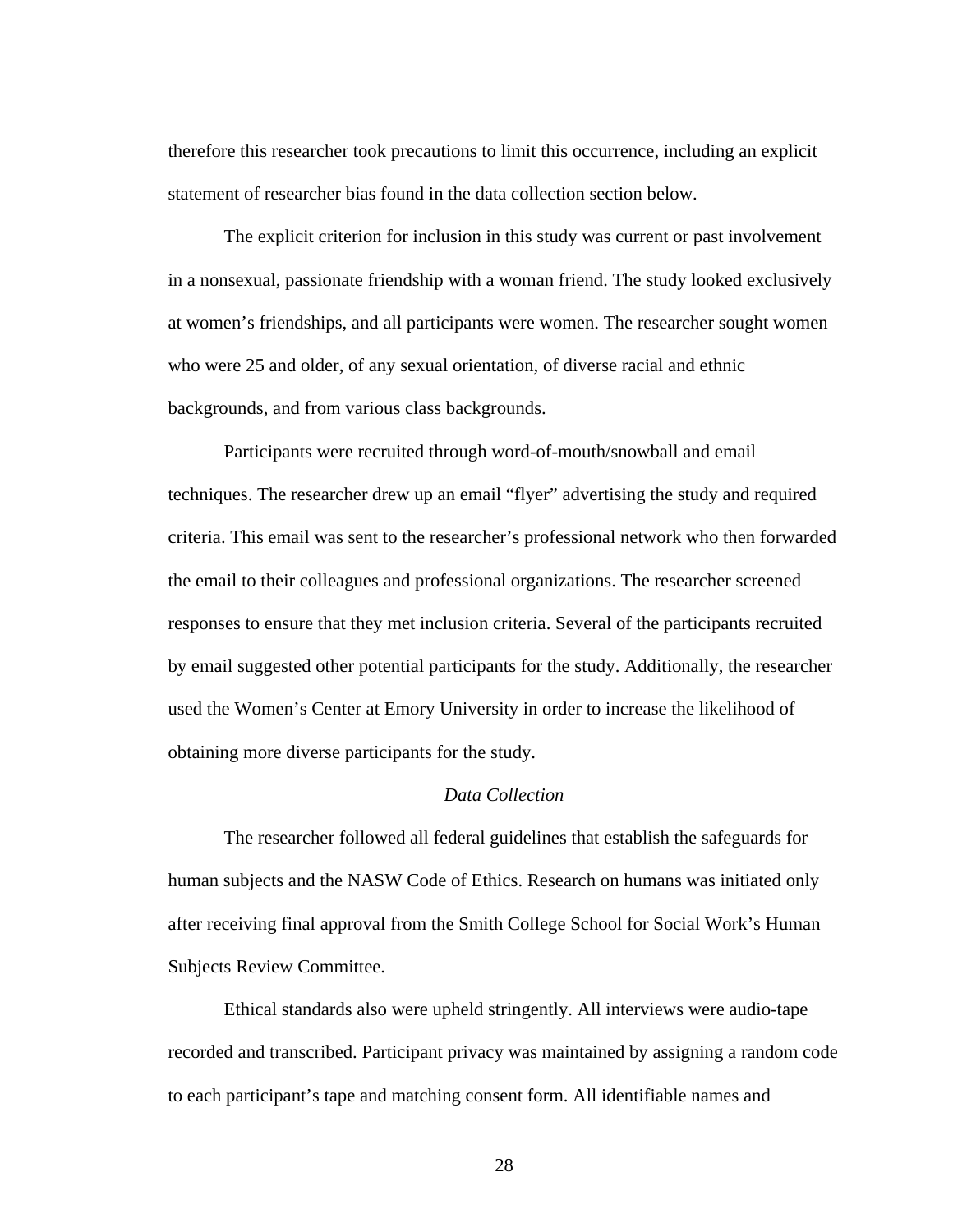therefore this researcher took precautions to limit this occurrence, including an explicit statement of researcher bias found in the data collection section below.

The explicit criterion for inclusion in this study was current or past involvement in a nonsexual, passionate friendship with a woman friend. The study looked exclusively at women's friendships, and all participants were women. The researcher sought women who were 25 and older, of any sexual orientation, of diverse racial and ethnic backgrounds, and from various class backgrounds.

Participants were recruited through word-of-mouth/snowball and email techniques. The researcher drew up an email "flyer" advertising the study and required criteria. This email was sent to the researcher's professional network who then forwarded the email to their colleagues and professional organizations. The researcher screened responses to ensure that they met inclusion criteria. Several of the participants recruited by email suggested other potential participants for the study. Additionally, the researcher used the Women's Center at Emory University in order to increase the likelihood of obtaining more diverse participants for the study.

# *Data Collection*

The researcher followed all federal guidelines that establish the safeguards for human subjects and the NASW Code of Ethics. Research on humans was initiated only after receiving final approval from the Smith College School for Social Work's Human Subjects Review Committee.

Ethical standards also were upheld stringently. All interviews were audio-tape recorded and transcribed. Participant privacy was maintained by assigning a random code to each participant's tape and matching consent form. All identifiable names and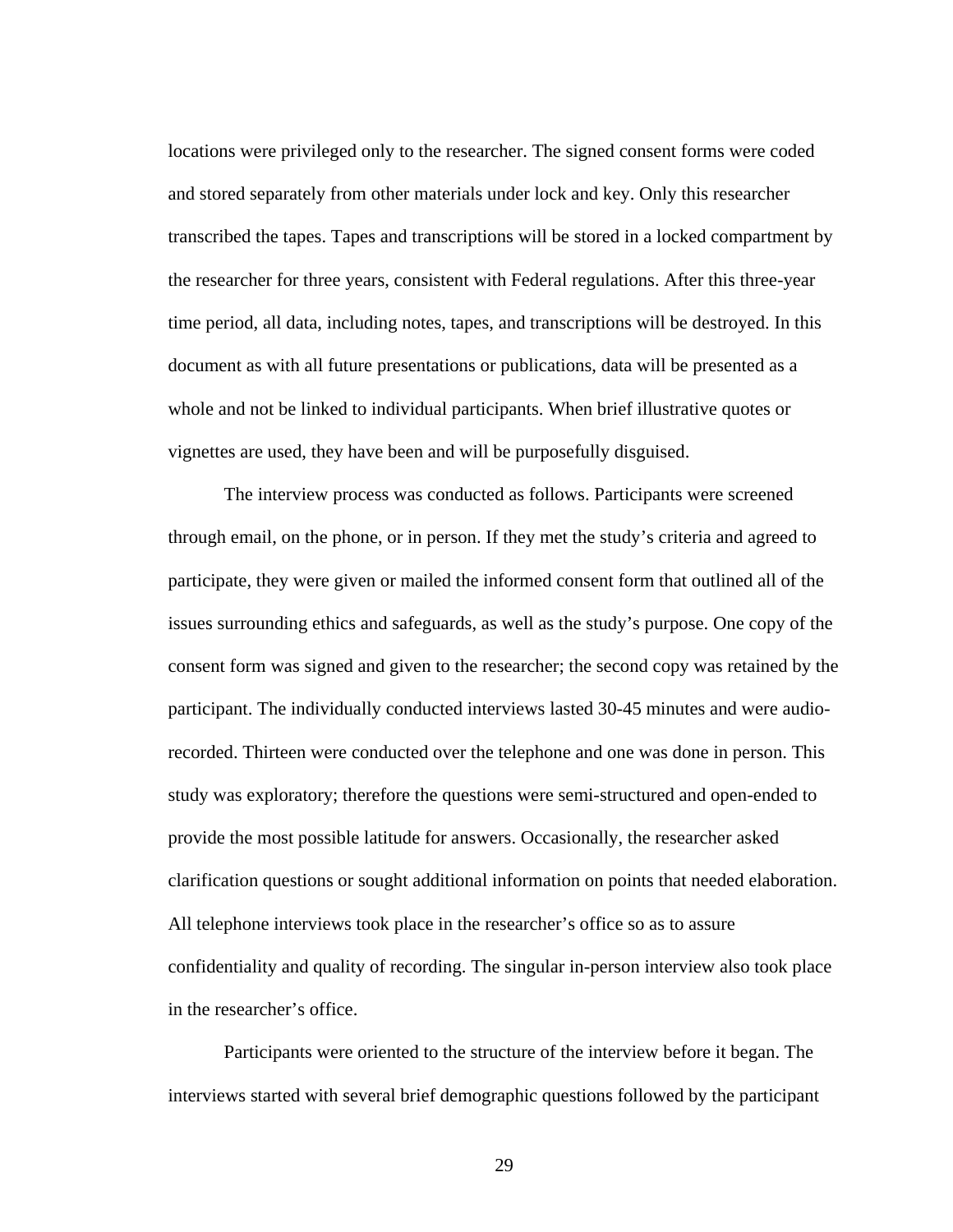locations were privileged only to the researcher. The signed consent forms were coded and stored separately from other materials under lock and key. Only this researcher transcribed the tapes. Tapes and transcriptions will be stored in a locked compartment by the researcher for three years, consistent with Federal regulations. After this three-year time period, all data, including notes, tapes, and transcriptions will be destroyed. In this document as with all future presentations or publications, data will be presented as a whole and not be linked to individual participants. When brief illustrative quotes or vignettes are used, they have been and will be purposefully disguised.

 The interview process was conducted as follows. Participants were screened through email, on the phone, or in person. If they met the study's criteria and agreed to participate, they were given or mailed the informed consent form that outlined all of the issues surrounding ethics and safeguards, as well as the study's purpose. One copy of the consent form was signed and given to the researcher; the second copy was retained by the participant. The individually conducted interviews lasted 30-45 minutes and were audiorecorded. Thirteen were conducted over the telephone and one was done in person. This study was exploratory; therefore the questions were semi-structured and open-ended to provide the most possible latitude for answers. Occasionally, the researcher asked clarification questions or sought additional information on points that needed elaboration. All telephone interviews took place in the researcher's office so as to assure confidentiality and quality of recording. The singular in-person interview also took place in the researcher's office.

Participants were oriented to the structure of the interview before it began. The interviews started with several brief demographic questions followed by the participant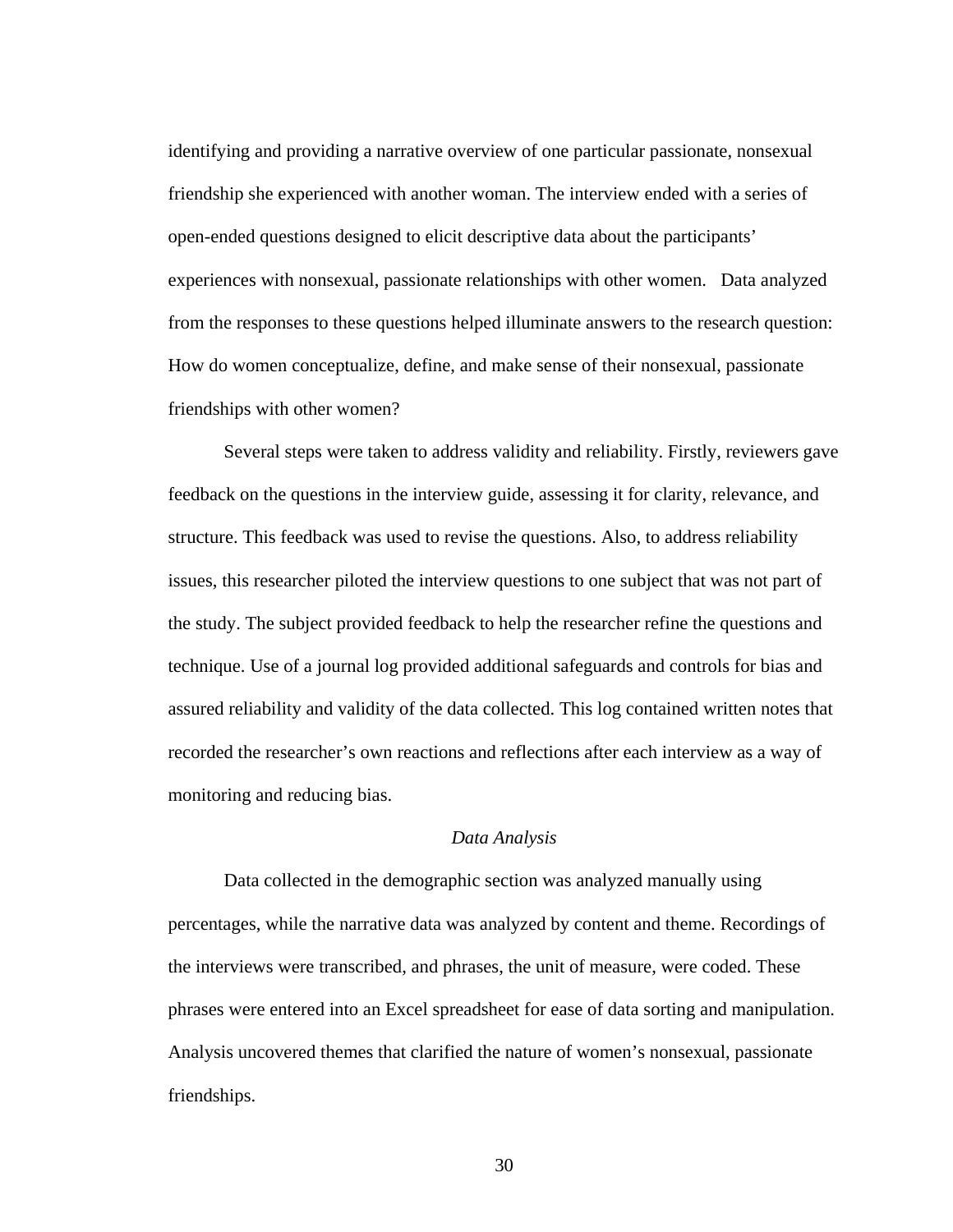identifying and providing a narrative overview of one particular passionate, nonsexual friendship she experienced with another woman. The interview ended with a series of open-ended questions designed to elicit descriptive data about the participants' experiences with nonsexual, passionate relationships with other women. Data analyzed from the responses to these questions helped illuminate answers to the research question: How do women conceptualize, define, and make sense of their nonsexual, passionate friendships with other women?

Several steps were taken to address validity and reliability. Firstly, reviewers gave feedback on the questions in the interview guide, assessing it for clarity, relevance, and structure. This feedback was used to revise the questions. Also, to address reliability issues, this researcher piloted the interview questions to one subject that was not part of the study. The subject provided feedback to help the researcher refine the questions and technique. Use of a journal log provided additional safeguards and controls for bias and assured reliability and validity of the data collected. This log contained written notes that recorded the researcher's own reactions and reflections after each interview as a way of monitoring and reducing bias.

#### *Data Analysis*

 Data collected in the demographic section was analyzed manually using percentages, while the narrative data was analyzed by content and theme. Recordings of the interviews were transcribed, and phrases, the unit of measure, were coded. These phrases were entered into an Excel spreadsheet for ease of data sorting and manipulation. Analysis uncovered themes that clarified the nature of women's nonsexual, passionate friendships.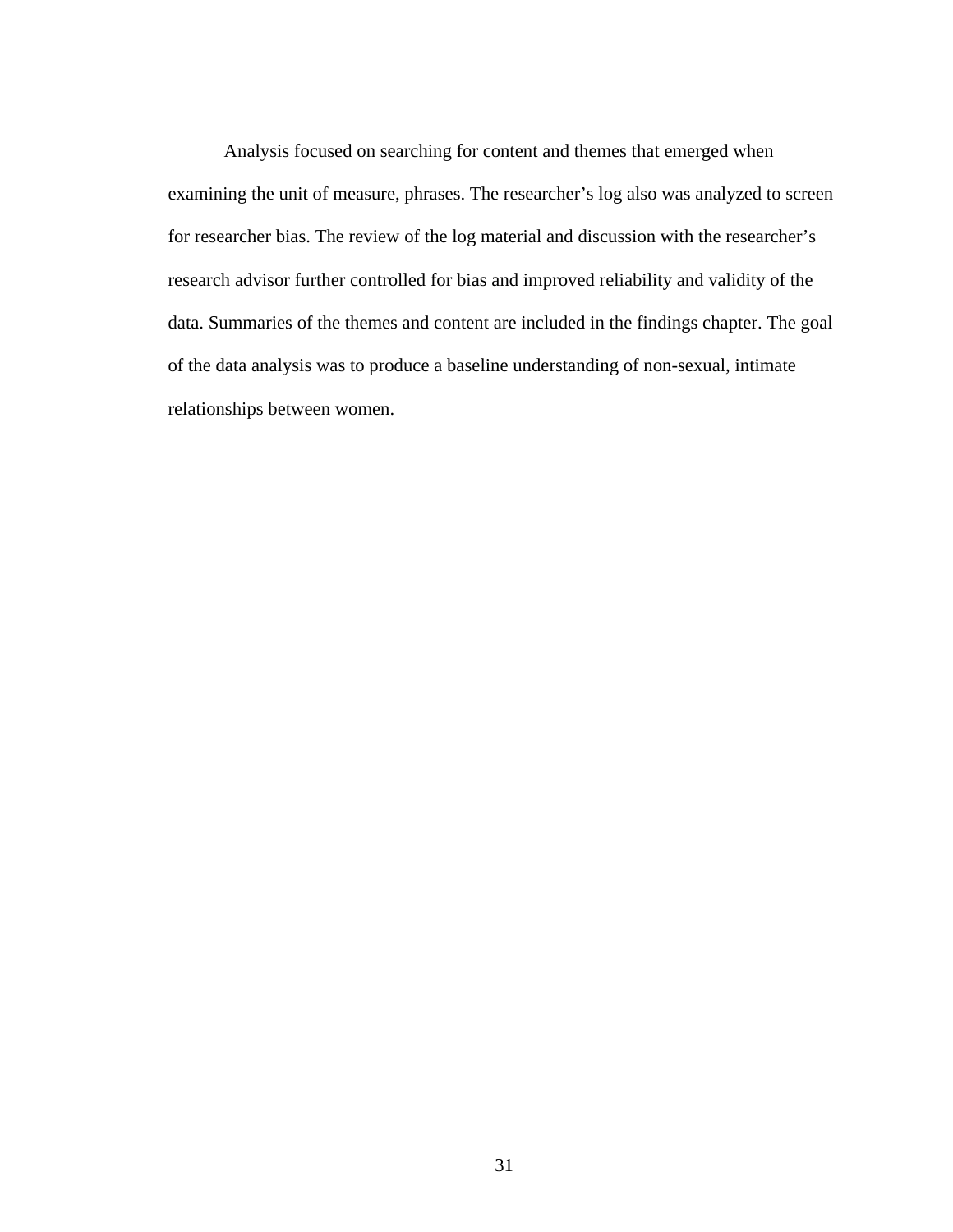Analysis focused on searching for content and themes that emerged when examining the unit of measure, phrases. The researcher's log also was analyzed to screen for researcher bias. The review of the log material and discussion with the researcher's research advisor further controlled for bias and improved reliability and validity of the data. Summaries of the themes and content are included in the findings chapter. The goal of the data analysis was to produce a baseline understanding of non-sexual, intimate relationships between women.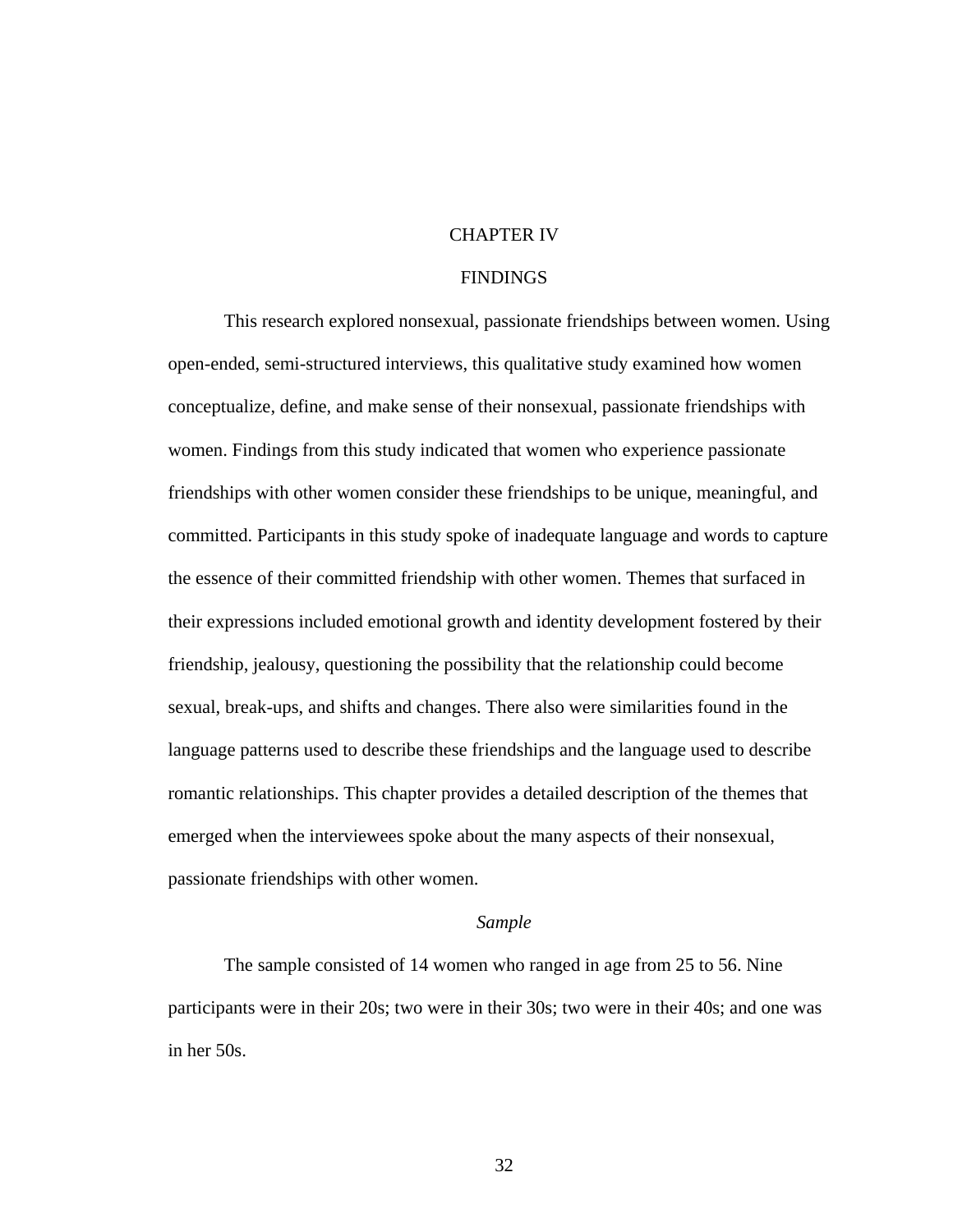### CHAPTER IV

#### **FINDINGS**

This research explored nonsexual, passionate friendships between women. Using open-ended, semi-structured interviews, this qualitative study examined how women conceptualize, define, and make sense of their nonsexual, passionate friendships with women. Findings from this study indicated that women who experience passionate friendships with other women consider these friendships to be unique, meaningful, and committed. Participants in this study spoke of inadequate language and words to capture the essence of their committed friendship with other women. Themes that surfaced in their expressions included emotional growth and identity development fostered by their friendship, jealousy, questioning the possibility that the relationship could become sexual, break-ups, and shifts and changes. There also were similarities found in the language patterns used to describe these friendships and the language used to describe romantic relationships. This chapter provides a detailed description of the themes that emerged when the interviewees spoke about the many aspects of their nonsexual, passionate friendships with other women.

### *Sample*

The sample consisted of 14 women who ranged in age from 25 to 56. Nine participants were in their 20s; two were in their 30s; two were in their 40s; and one was in her 50s.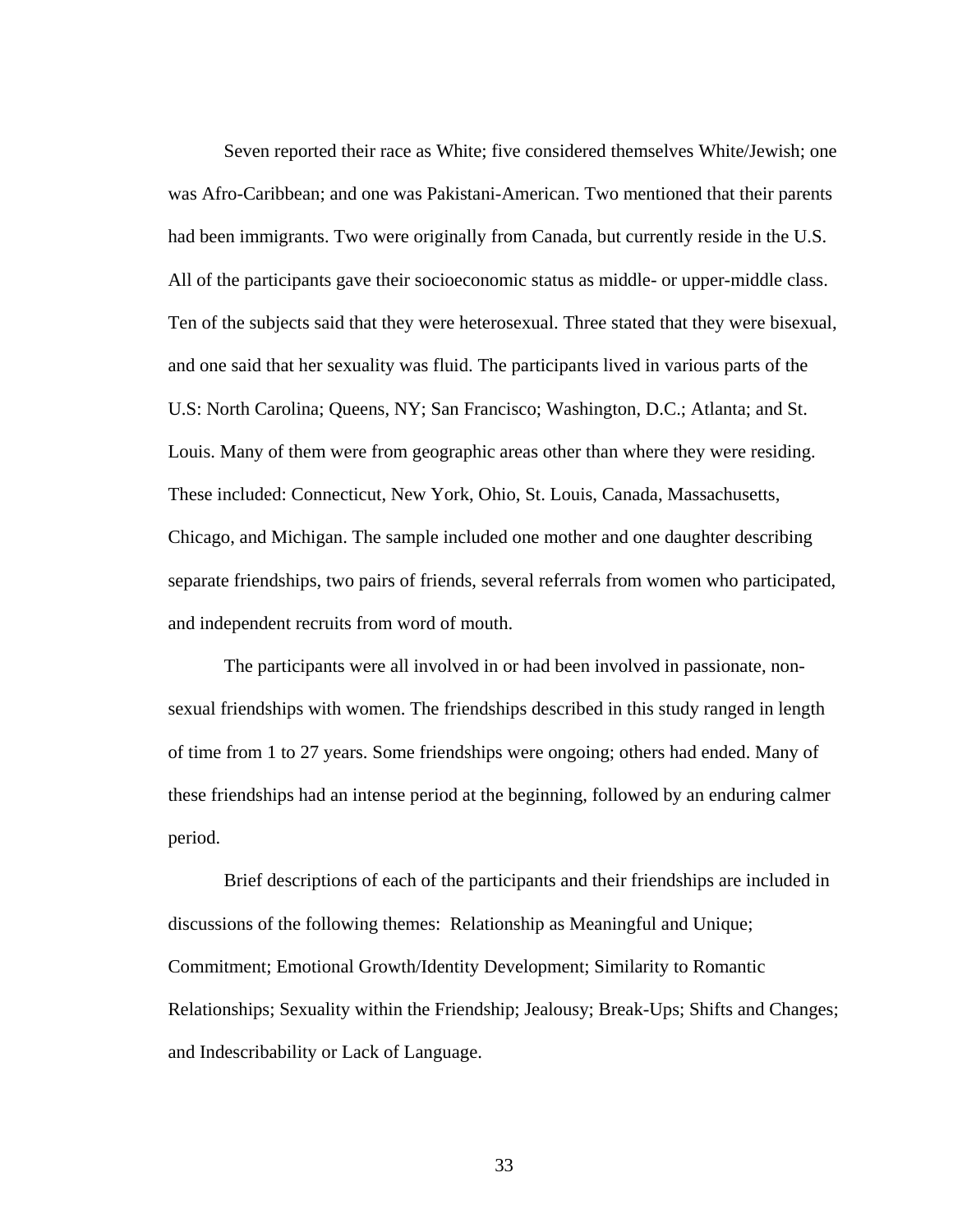Seven reported their race as White; five considered themselves White/Jewish; one was Afro-Caribbean; and one was Pakistani-American. Two mentioned that their parents had been immigrants. Two were originally from Canada, but currently reside in the U.S. All of the participants gave their socioeconomic status as middle- or upper-middle class. Ten of the subjects said that they were heterosexual. Three stated that they were bisexual, and one said that her sexuality was fluid. The participants lived in various parts of the U.S: North Carolina; Queens, NY; San Francisco; Washington, D.C.; Atlanta; and St. Louis. Many of them were from geographic areas other than where they were residing. These included: Connecticut, New York, Ohio, St. Louis, Canada, Massachusetts, Chicago, and Michigan. The sample included one mother and one daughter describing separate friendships, two pairs of friends, several referrals from women who participated, and independent recruits from word of mouth.

The participants were all involved in or had been involved in passionate, nonsexual friendships with women. The friendships described in this study ranged in length of time from 1 to 27 years. Some friendships were ongoing; others had ended. Many of these friendships had an intense period at the beginning, followed by an enduring calmer period.

Brief descriptions of each of the participants and their friendships are included in discussions of the following themes: Relationship as Meaningful and Unique; Commitment; Emotional Growth/Identity Development; Similarity to Romantic Relationships; Sexuality within the Friendship; Jealousy; Break-Ups; Shifts and Changes; and Indescribability or Lack of Language.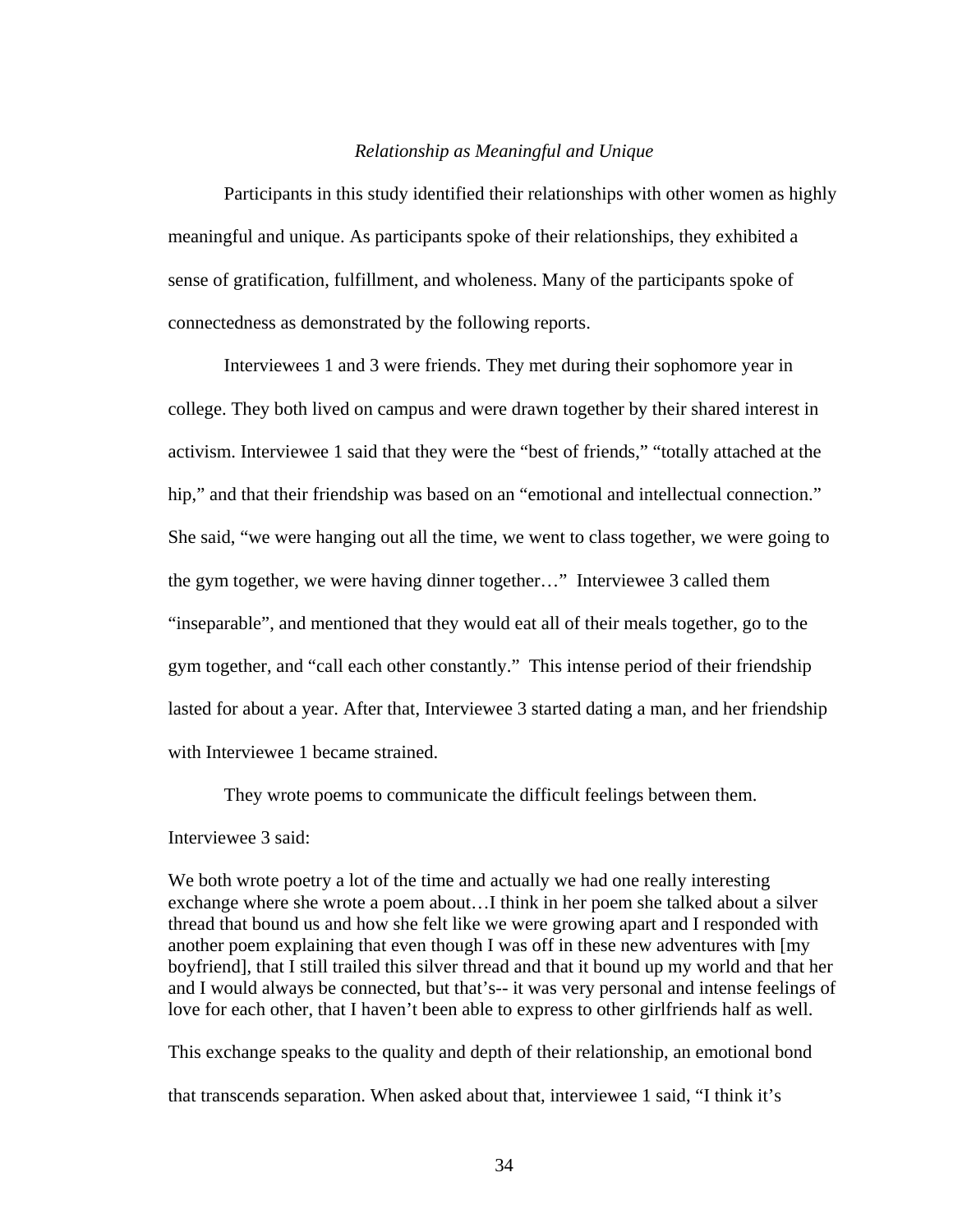#### *Relationship as Meaningful and Unique*

 Participants in this study identified their relationships with other women as highly meaningful and unique. As participants spoke of their relationships, they exhibited a sense of gratification, fulfillment, and wholeness. Many of the participants spoke of connectedness as demonstrated by the following reports.

 Interviewees 1 and 3 were friends. They met during their sophomore year in college. They both lived on campus and were drawn together by their shared interest in activism. Interviewee 1 said that they were the "best of friends," "totally attached at the hip," and that their friendship was based on an "emotional and intellectual connection." She said, "we were hanging out all the time, we went to class together, we were going to the gym together, we were having dinner together…" Interviewee 3 called them "inseparable", and mentioned that they would eat all of their meals together, go to the gym together, and "call each other constantly." This intense period of their friendship lasted for about a year. After that, Interviewee 3 started dating a man, and her friendship with Interviewee 1 became strained.

They wrote poems to communicate the difficult feelings between them.

#### Interviewee 3 said:

We both wrote poetry a lot of the time and actually we had one really interesting exchange where she wrote a poem about…I think in her poem she talked about a silver thread that bound us and how she felt like we were growing apart and I responded with another poem explaining that even though I was off in these new adventures with [my boyfriend], that I still trailed this silver thread and that it bound up my world and that her and I would always be connected, but that's-- it was very personal and intense feelings of love for each other, that I haven't been able to express to other girlfriends half as well.

This exchange speaks to the quality and depth of their relationship, an emotional bond that transcends separation. When asked about that, interviewee 1 said, "I think it's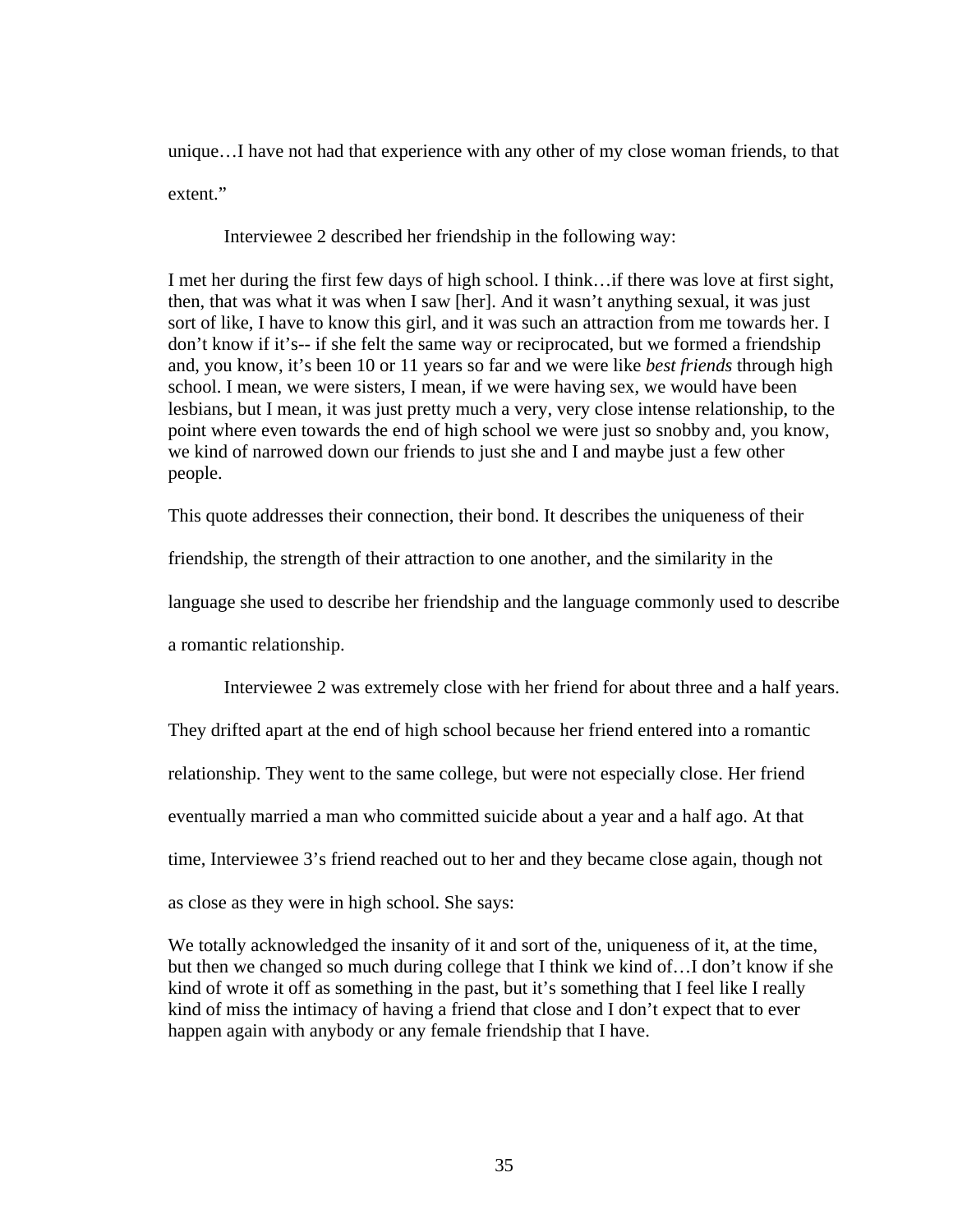unique…I have not had that experience with any other of my close woman friends, to that extent."

Interviewee 2 described her friendship in the following way:

I met her during the first few days of high school. I think…if there was love at first sight, then, that was what it was when I saw [her]. And it wasn't anything sexual, it was just sort of like, I have to know this girl, and it was such an attraction from me towards her. I don't know if it's-- if she felt the same way or reciprocated, but we formed a friendship and, you know, it's been 10 or 11 years so far and we were like *best friends* through high school. I mean, we were sisters, I mean, if we were having sex, we would have been lesbians, but I mean, it was just pretty much a very, very close intense relationship, to the point where even towards the end of high school we were just so snobby and, you know, we kind of narrowed down our friends to just she and I and maybe just a few other people.

This quote addresses their connection, their bond. It describes the uniqueness of their friendship, the strength of their attraction to one another, and the similarity in the language she used to describe her friendship and the language commonly used to describe a romantic relationship.

Interviewee 2 was extremely close with her friend for about three and a half years.

They drifted apart at the end of high school because her friend entered into a romantic relationship. They went to the same college, but were not especially close. Her friend eventually married a man who committed suicide about a year and a half ago. At that time, Interviewee 3's friend reached out to her and they became close again, though not as close as they were in high school. She says:

We totally acknowledged the insanity of it and sort of the, uniqueness of it, at the time, but then we changed so much during college that I think we kind of…I don't know if she kind of wrote it off as something in the past, but it's something that I feel like I really kind of miss the intimacy of having a friend that close and I don't expect that to ever happen again with anybody or any female friendship that I have.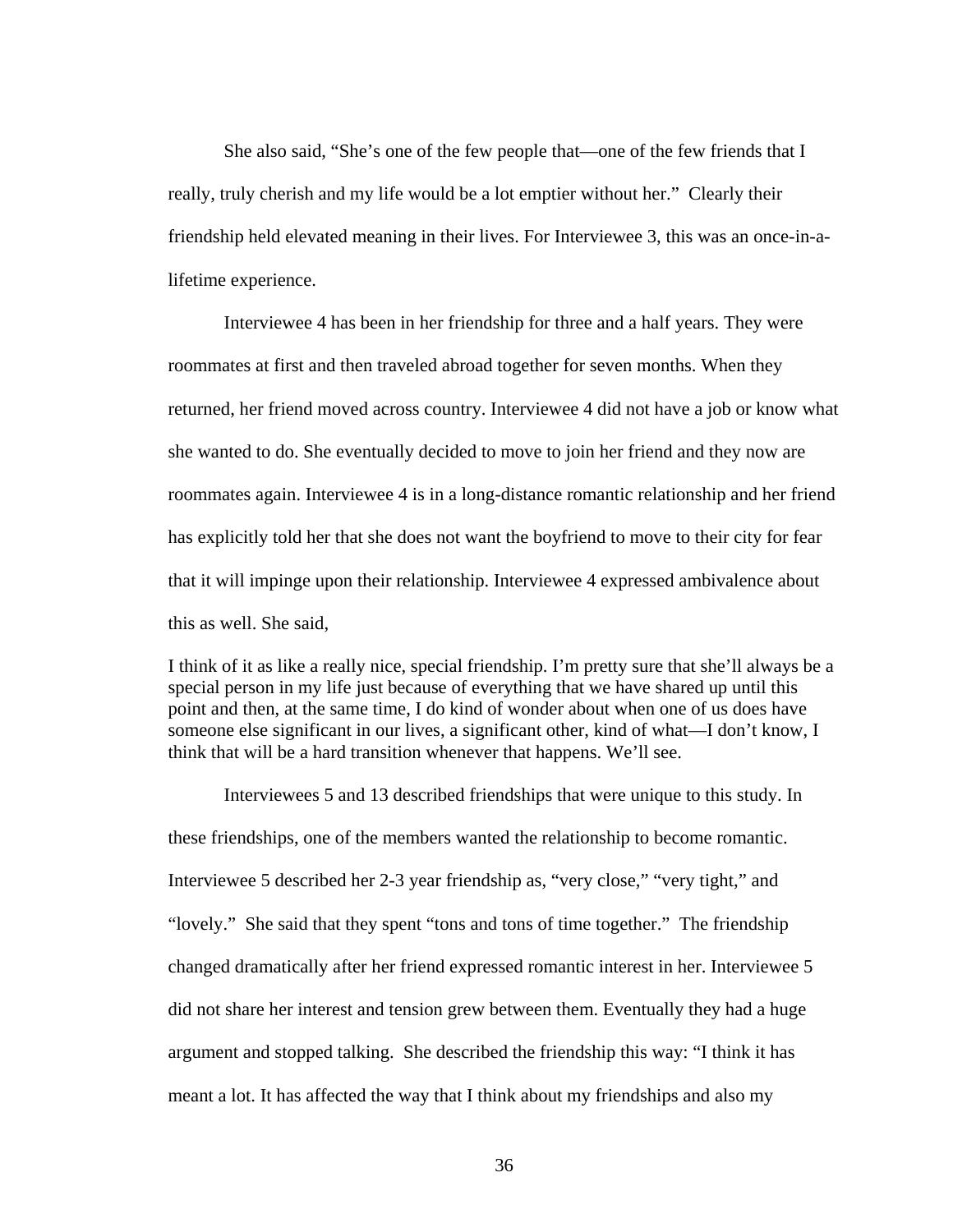She also said, "She's one of the few people that—one of the few friends that I really, truly cherish and my life would be a lot emptier without her." Clearly their friendship held elevated meaning in their lives. For Interviewee 3, this was an once-in-alifetime experience.

 Interviewee 4 has been in her friendship for three and a half years. They were roommates at first and then traveled abroad together for seven months. When they returned, her friend moved across country. Interviewee 4 did not have a job or know what she wanted to do. She eventually decided to move to join her friend and they now are roommates again. Interviewee 4 is in a long-distance romantic relationship and her friend has explicitly told her that she does not want the boyfriend to move to their city for fear that it will impinge upon their relationship. Interviewee 4 expressed ambivalence about this as well. She said,

I think of it as like a really nice, special friendship. I'm pretty sure that she'll always be a special person in my life just because of everything that we have shared up until this point and then, at the same time, I do kind of wonder about when one of us does have someone else significant in our lives, a significant other, kind of what—I don't know, I think that will be a hard transition whenever that happens. We'll see.

Interviewees 5 and 13 described friendships that were unique to this study. In these friendships, one of the members wanted the relationship to become romantic. Interviewee 5 described her 2-3 year friendship as, "very close," "very tight," and "lovely." She said that they spent "tons and tons of time together." The friendship changed dramatically after her friend expressed romantic interest in her. Interviewee 5 did not share her interest and tension grew between them. Eventually they had a huge argument and stopped talking. She described the friendship this way: "I think it has meant a lot. It has affected the way that I think about my friendships and also my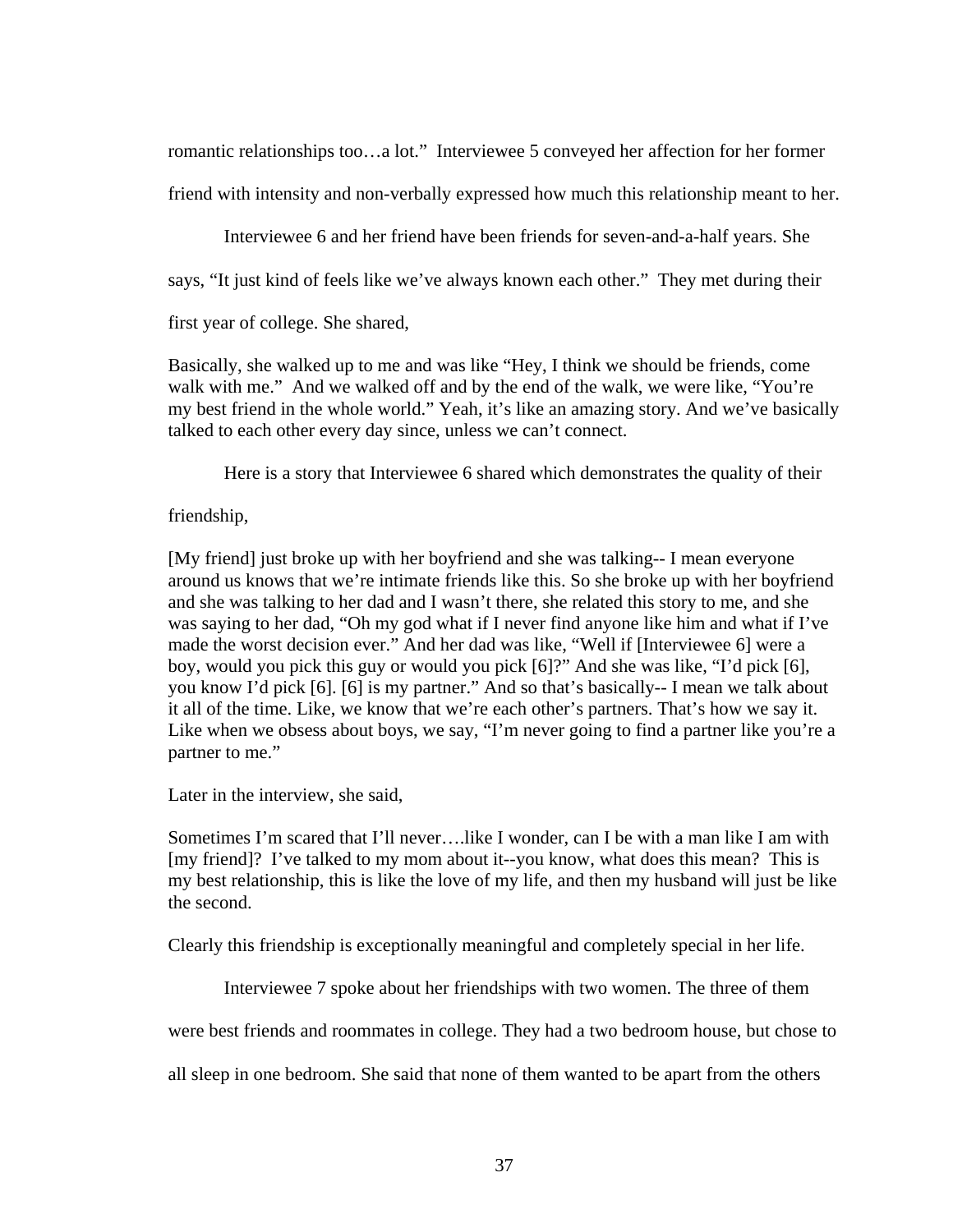romantic relationships too…a lot." Interviewee 5 conveyed her affection for her former

friend with intensity and non-verbally expressed how much this relationship meant to her.

Interviewee 6 and her friend have been friends for seven-and-a-half years. She

says, "It just kind of feels like we've always known each other." They met during their

first year of college. She shared,

Basically, she walked up to me and was like "Hey, I think we should be friends, come walk with me." And we walked off and by the end of the walk, we were like, "You're my best friend in the whole world." Yeah, it's like an amazing story. And we've basically talked to each other every day since, unless we can't connect.

Here is a story that Interviewee 6 shared which demonstrates the quality of their

# friendship,

[My friend] just broke up with her boyfriend and she was talking-- I mean everyone around us knows that we're intimate friends like this. So she broke up with her boyfriend and she was talking to her dad and I wasn't there, she related this story to me, and she was saying to her dad, "Oh my god what if I never find anyone like him and what if I've made the worst decision ever." And her dad was like, "Well if [Interviewee 6] were a boy, would you pick this guy or would you pick [6]?" And she was like, "I'd pick [6], you know I'd pick [6]. [6] is my partner." And so that's basically-- I mean we talk about it all of the time. Like, we know that we're each other's partners. That's how we say it. Like when we obsess about boys, we say, "I'm never going to find a partner like you're a partner to me."

Later in the interview, she said,

Sometimes I'm scared that I'll never….like I wonder, can I be with a man like I am with [my friend]? I've talked to my mom about it--you know, what does this mean? This is my best relationship, this is like the love of my life, and then my husband will just be like the second.

Clearly this friendship is exceptionally meaningful and completely special in her life.

Interviewee 7 spoke about her friendships with two women. The three of them

were best friends and roommates in college. They had a two bedroom house, but chose to

all sleep in one bedroom. She said that none of them wanted to be apart from the others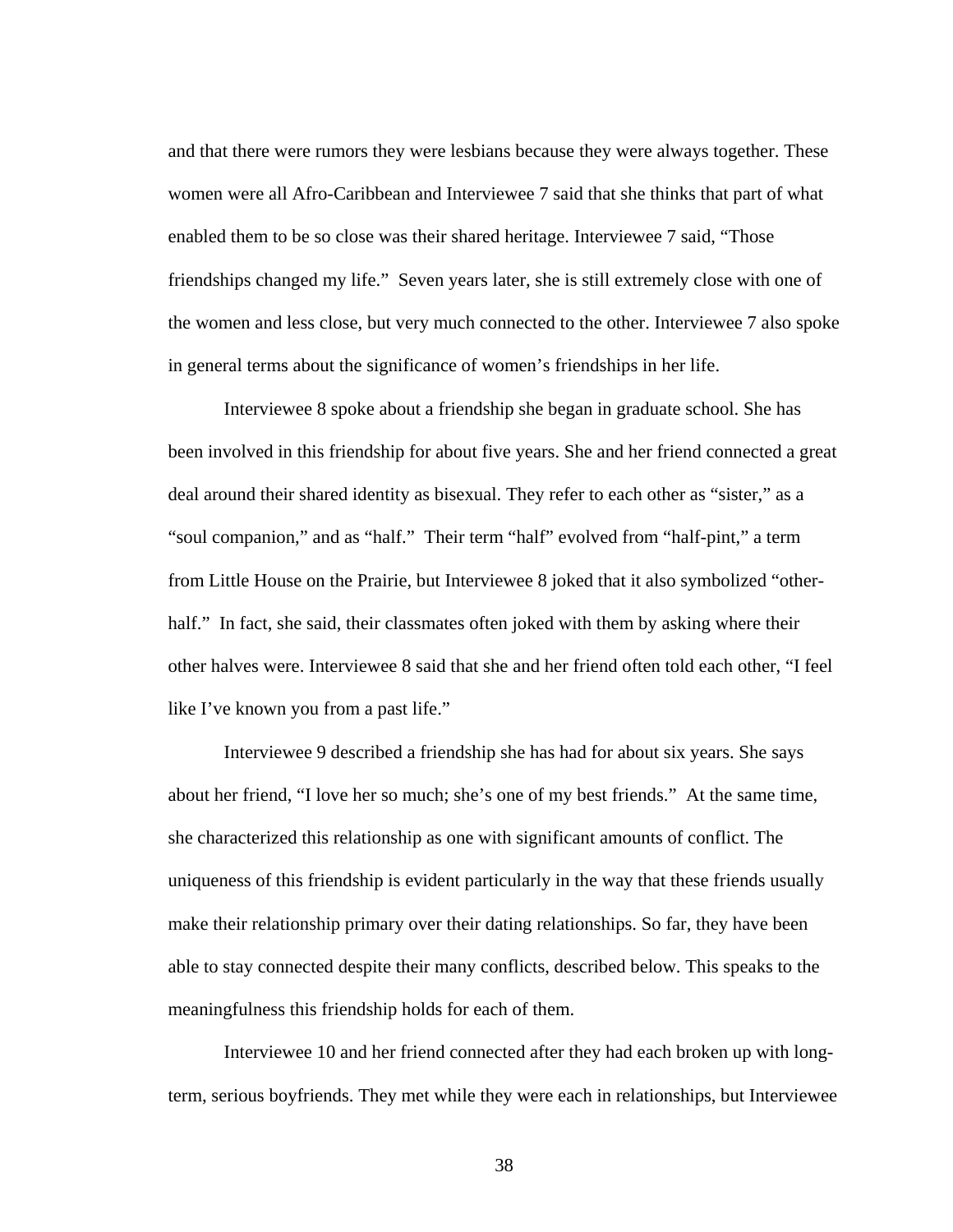and that there were rumors they were lesbians because they were always together. These women were all Afro-Caribbean and Interviewee 7 said that she thinks that part of what enabled them to be so close was their shared heritage. Interviewee 7 said, "Those friendships changed my life." Seven years later, she is still extremely close with one of the women and less close, but very much connected to the other. Interviewee 7 also spoke in general terms about the significance of women's friendships in her life.

 Interviewee 8 spoke about a friendship she began in graduate school. She has been involved in this friendship for about five years. She and her friend connected a great deal around their shared identity as bisexual. They refer to each other as "sister," as a "soul companion," and as "half." Their term "half" evolved from "half-pint," a term from Little House on the Prairie, but Interviewee 8 joked that it also symbolized "otherhalf." In fact, she said, their classmates often joked with them by asking where their other halves were. Interviewee 8 said that she and her friend often told each other, "I feel like I've known you from a past life."

 Interviewee 9 described a friendship she has had for about six years. She says about her friend, "I love her so much; she's one of my best friends." At the same time, she characterized this relationship as one with significant amounts of conflict. The uniqueness of this friendship is evident particularly in the way that these friends usually make their relationship primary over their dating relationships. So far, they have been able to stay connected despite their many conflicts, described below. This speaks to the meaningfulness this friendship holds for each of them.

 Interviewee 10 and her friend connected after they had each broken up with longterm, serious boyfriends. They met while they were each in relationships, but Interviewee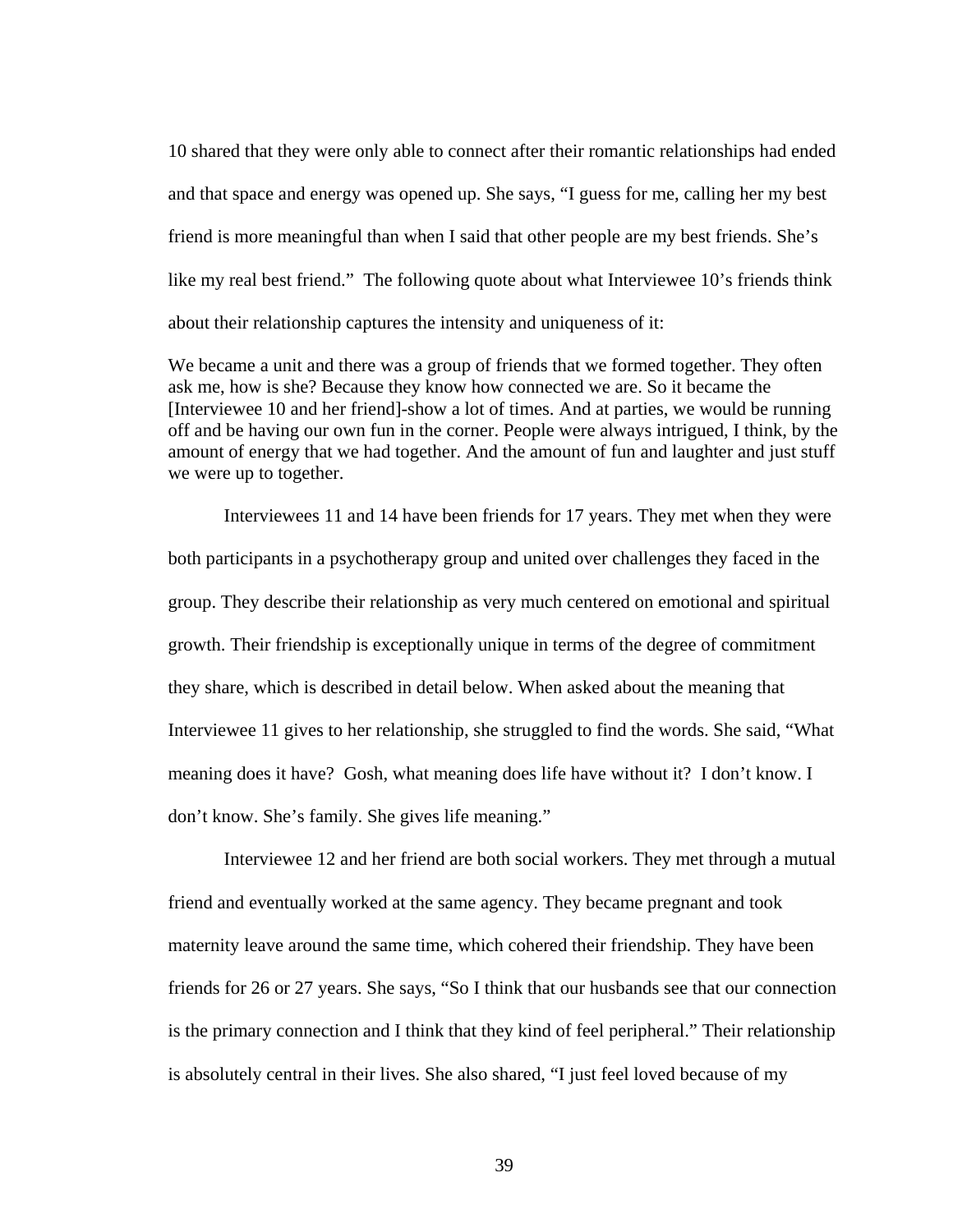10 shared that they were only able to connect after their romantic relationships had ended and that space and energy was opened up. She says, "I guess for me, calling her my best friend is more meaningful than when I said that other people are my best friends. She's like my real best friend." The following quote about what Interviewee 10's friends think about their relationship captures the intensity and uniqueness of it:

We became a unit and there was a group of friends that we formed together. They often ask me, how is she? Because they know how connected we are. So it became the [Interviewee 10 and her friend]-show a lot of times. And at parties, we would be running off and be having our own fun in the corner. People were always intrigued, I think, by the amount of energy that we had together. And the amount of fun and laughter and just stuff we were up to together.

 Interviewees 11 and 14 have been friends for 17 years. They met when they were both participants in a psychotherapy group and united over challenges they faced in the group. They describe their relationship as very much centered on emotional and spiritual growth. Their friendship is exceptionally unique in terms of the degree of commitment they share, which is described in detail below. When asked about the meaning that Interviewee 11 gives to her relationship, she struggled to find the words. She said, "What meaning does it have? Gosh, what meaning does life have without it? I don't know. I don't know. She's family. She gives life meaning."

 Interviewee 12 and her friend are both social workers. They met through a mutual friend and eventually worked at the same agency. They became pregnant and took maternity leave around the same time, which cohered their friendship. They have been friends for 26 or 27 years. She says, "So I think that our husbands see that our connection is the primary connection and I think that they kind of feel peripheral." Their relationship is absolutely central in their lives. She also shared, "I just feel loved because of my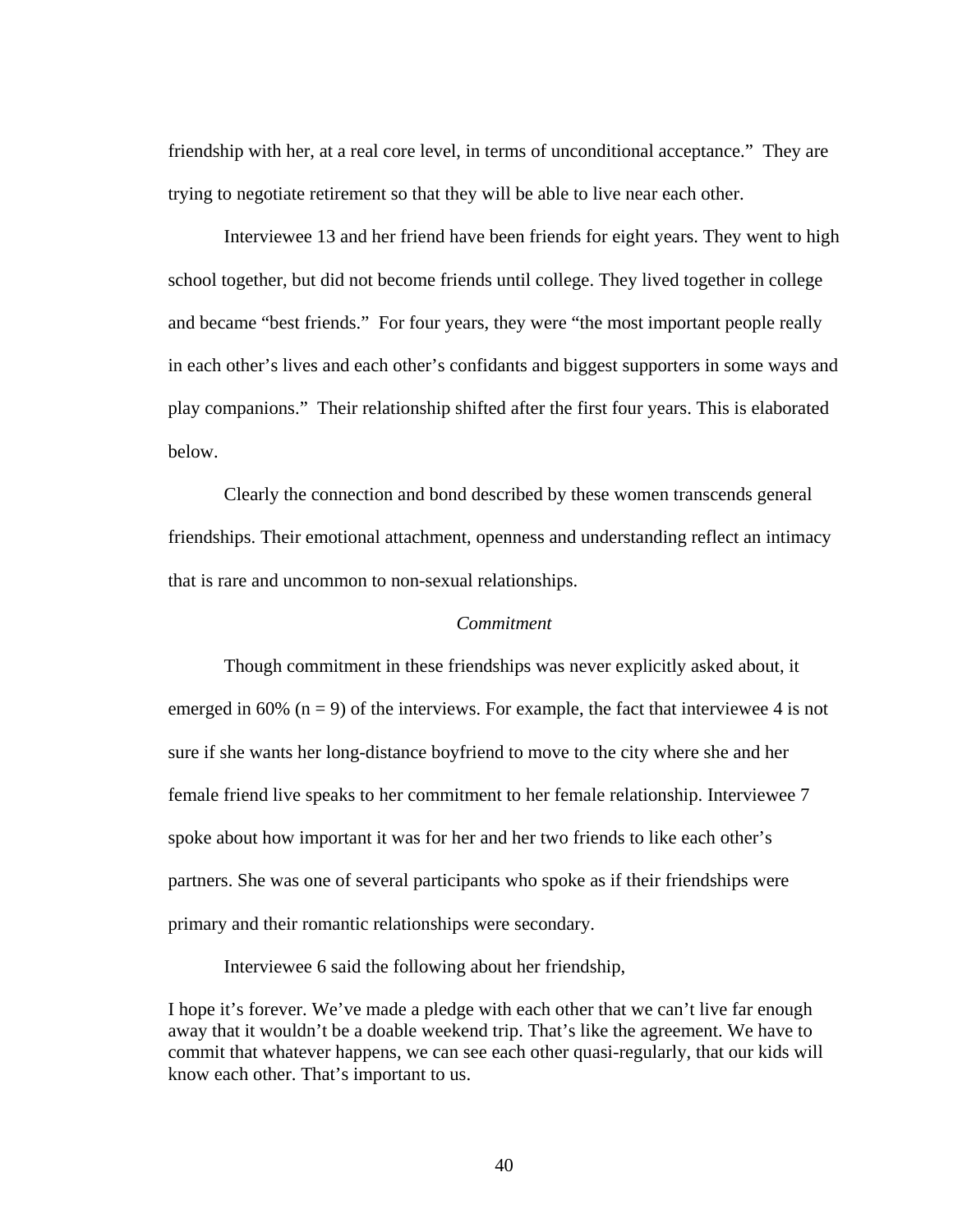friendship with her, at a real core level, in terms of unconditional acceptance." They are trying to negotiate retirement so that they will be able to live near each other.

 Interviewee 13 and her friend have been friends for eight years. They went to high school together, but did not become friends until college. They lived together in college and became "best friends." For four years, they were "the most important people really in each other's lives and each other's confidants and biggest supporters in some ways and play companions." Their relationship shifted after the first four years. This is elaborated below.

 Clearly the connection and bond described by these women transcends general friendships. Their emotional attachment, openness and understanding reflect an intimacy that is rare and uncommon to non-sexual relationships.

### *Commitment*

 Though commitment in these friendships was never explicitly asked about, it emerged in 60% ( $n = 9$ ) of the interviews. For example, the fact that interviewee 4 is not sure if she wants her long-distance boyfriend to move to the city where she and her female friend live speaks to her commitment to her female relationship. Interviewee 7 spoke about how important it was for her and her two friends to like each other's partners. She was one of several participants who spoke as if their friendships were primary and their romantic relationships were secondary.

Interviewee 6 said the following about her friendship,

I hope it's forever. We've made a pledge with each other that we can't live far enough away that it wouldn't be a doable weekend trip. That's like the agreement. We have to commit that whatever happens, we can see each other quasi-regularly, that our kids will know each other. That's important to us.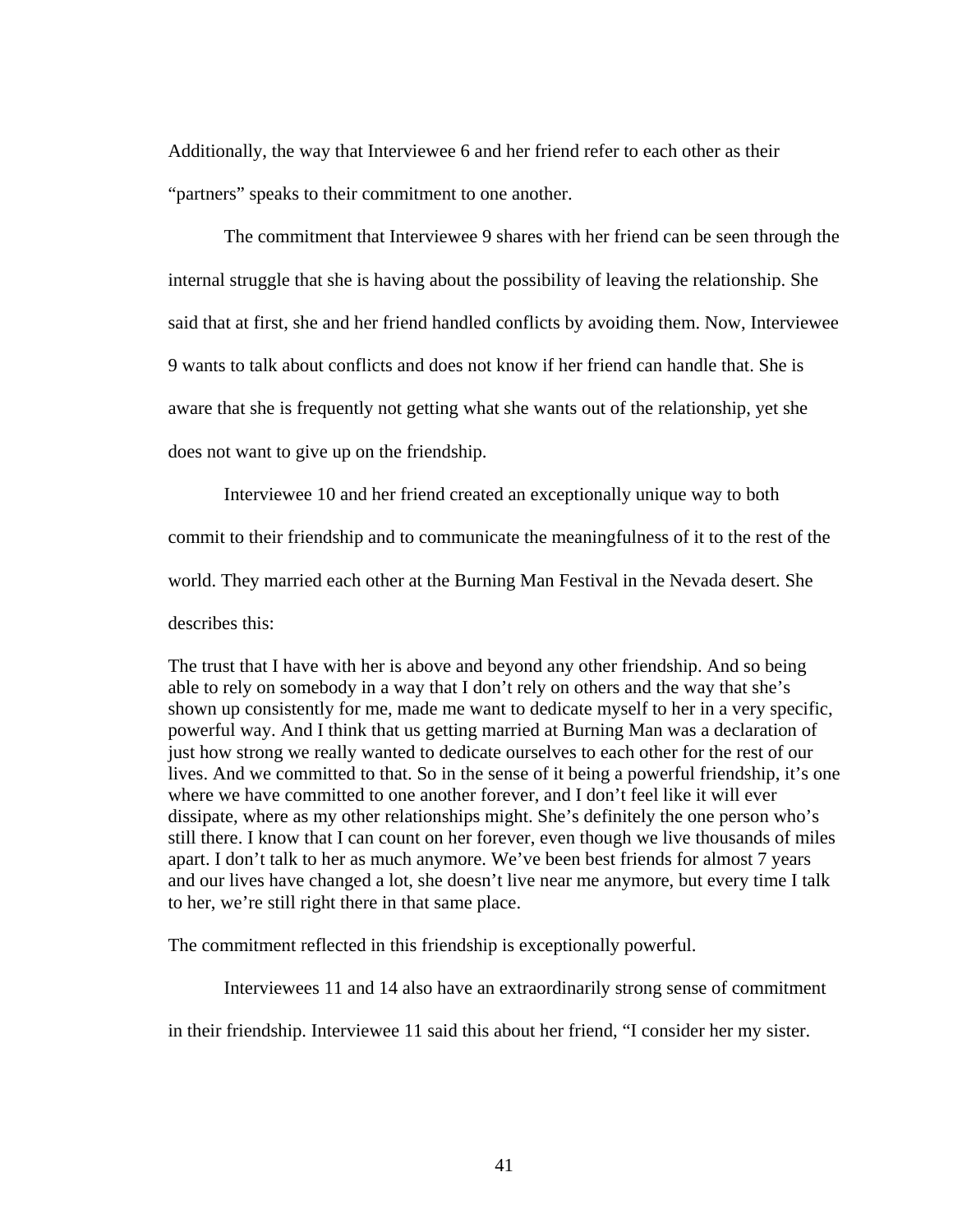Additionally, the way that Interviewee 6 and her friend refer to each other as their "partners" speaks to their commitment to one another.

 The commitment that Interviewee 9 shares with her friend can be seen through the internal struggle that she is having about the possibility of leaving the relationship. She said that at first, she and her friend handled conflicts by avoiding them. Now, Interviewee 9 wants to talk about conflicts and does not know if her friend can handle that. She is aware that she is frequently not getting what she wants out of the relationship, yet she does not want to give up on the friendship.

 Interviewee 10 and her friend created an exceptionally unique way to both commit to their friendship and to communicate the meaningfulness of it to the rest of the world. They married each other at the Burning Man Festival in the Nevada desert. She describes this:

The trust that I have with her is above and beyond any other friendship. And so being able to rely on somebody in a way that I don't rely on others and the way that she's shown up consistently for me, made me want to dedicate myself to her in a very specific, powerful way. And I think that us getting married at Burning Man was a declaration of just how strong we really wanted to dedicate ourselves to each other for the rest of our lives. And we committed to that. So in the sense of it being a powerful friendship, it's one where we have committed to one another forever, and I don't feel like it will ever dissipate, where as my other relationships might. She's definitely the one person who's still there. I know that I can count on her forever, even though we live thousands of miles apart. I don't talk to her as much anymore. We've been best friends for almost 7 years and our lives have changed a lot, she doesn't live near me anymore, but every time I talk to her, we're still right there in that same place.

The commitment reflected in this friendship is exceptionally powerful.

Interviewees 11 and 14 also have an extraordinarily strong sense of commitment

in their friendship. Interviewee 11 said this about her friend, "I consider her my sister.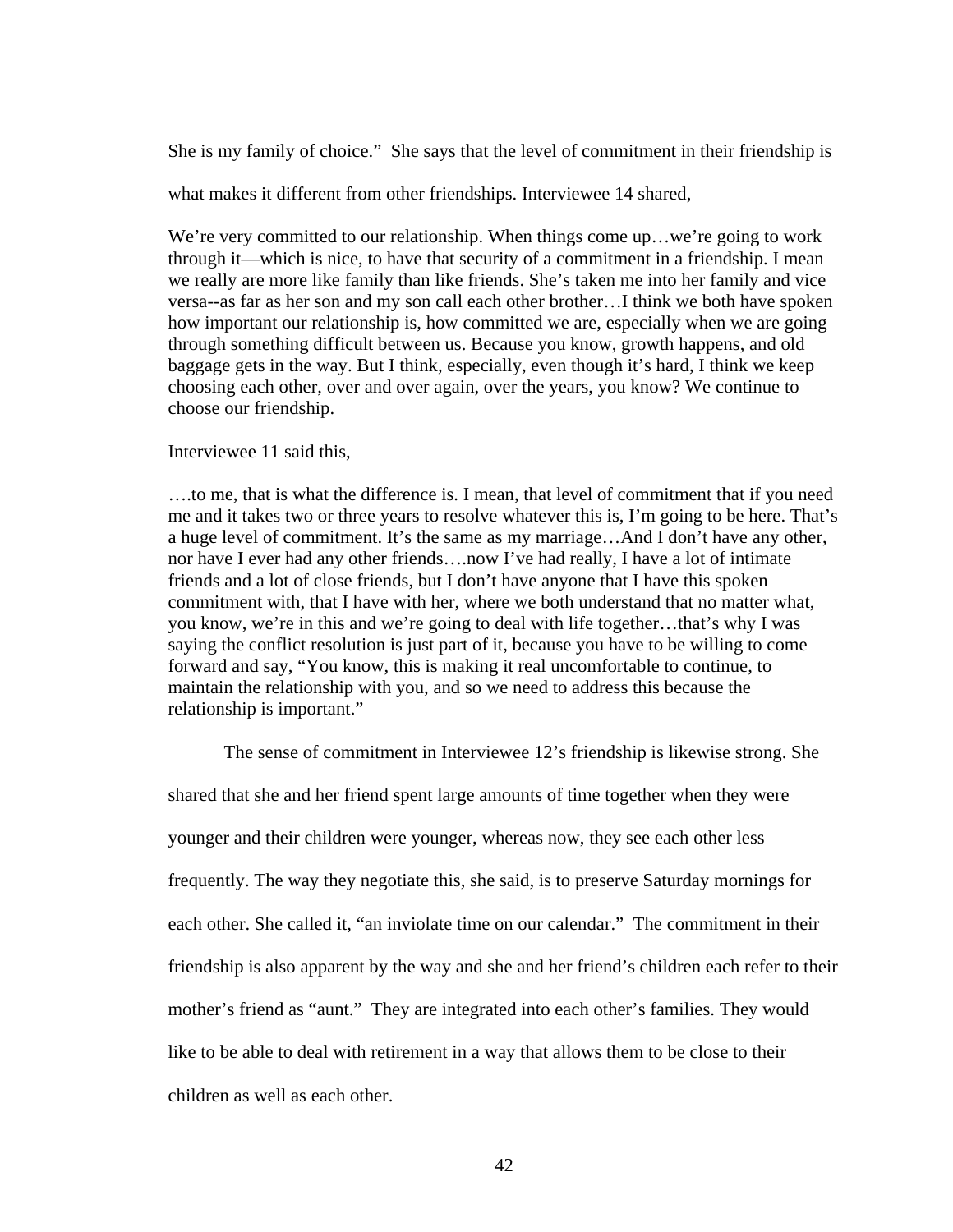She is my family of choice." She says that the level of commitment in their friendship is

what makes it different from other friendships. Interviewee 14 shared,

We're very committed to our relationship. When things come up...we're going to work through it—which is nice, to have that security of a commitment in a friendship. I mean we really are more like family than like friends. She's taken me into her family and vice versa--as far as her son and my son call each other brother…I think we both have spoken how important our relationship is, how committed we are, especially when we are going through something difficult between us. Because you know, growth happens, and old baggage gets in the way. But I think, especially, even though it's hard, I think we keep choosing each other, over and over again, over the years, you know? We continue to choose our friendship.

Interviewee 11 said this,

….to me, that is what the difference is. I mean, that level of commitment that if you need me and it takes two or three years to resolve whatever this is, I'm going to be here. That's a huge level of commitment. It's the same as my marriage…And I don't have any other, nor have I ever had any other friends….now I've had really, I have a lot of intimate friends and a lot of close friends, but I don't have anyone that I have this spoken commitment with, that I have with her, where we both understand that no matter what, you know, we're in this and we're going to deal with life together…that's why I was saying the conflict resolution is just part of it, because you have to be willing to come forward and say, "You know, this is making it real uncomfortable to continue, to maintain the relationship with you, and so we need to address this because the relationship is important."

The sense of commitment in Interviewee 12's friendship is likewise strong. She

shared that she and her friend spent large amounts of time together when they were younger and their children were younger, whereas now, they see each other less frequently. The way they negotiate this, she said, is to preserve Saturday mornings for each other. She called it, "an inviolate time on our calendar." The commitment in their friendship is also apparent by the way and she and her friend's children each refer to their mother's friend as "aunt." They are integrated into each other's families. They would like to be able to deal with retirement in a way that allows them to be close to their children as well as each other.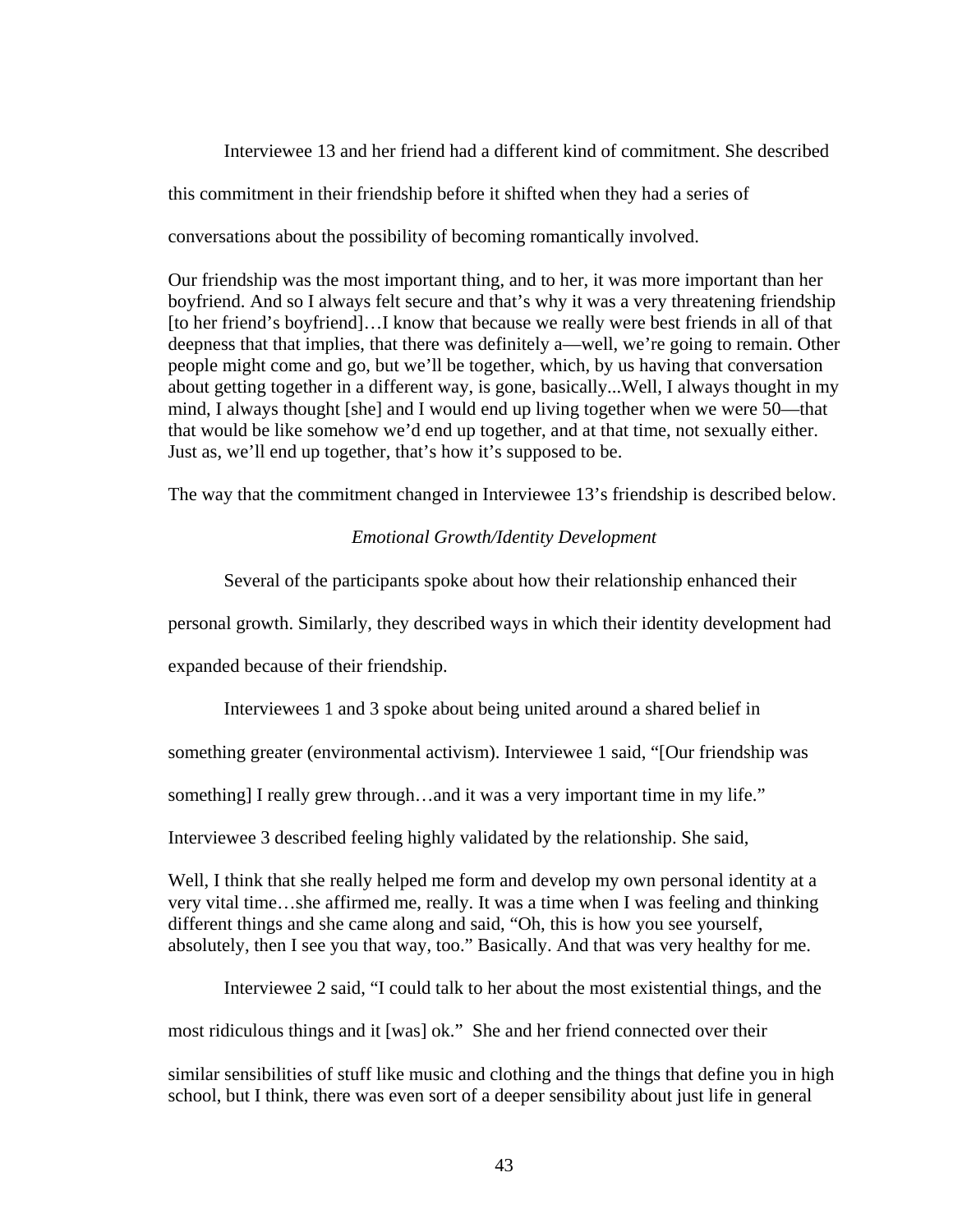Interviewee 13 and her friend had a different kind of commitment. She described this commitment in their friendship before it shifted when they had a series of conversations about the possibility of becoming romantically involved.

Our friendship was the most important thing, and to her, it was more important than her boyfriend. And so I always felt secure and that's why it was a very threatening friendship [to her friend's boyfriend]…I know that because we really were best friends in all of that deepness that that implies, that there was definitely a—well, we're going to remain. Other people might come and go, but we'll be together, which, by us having that conversation about getting together in a different way, is gone, basically...Well, I always thought in my mind, I always thought [she] and I would end up living together when we were 50—that that would be like somehow we'd end up together, and at that time, not sexually either. Just as, we'll end up together, that's how it's supposed to be.

The way that the commitment changed in Interviewee 13's friendship is described below.

# *Emotional Growth/Identity Development*

Several of the participants spoke about how their relationship enhanced their

personal growth. Similarly, they described ways in which their identity development had

expanded because of their friendship.

Interviewees 1 and 3 spoke about being united around a shared belief in

something greater (environmental activism). Interviewee 1 said, "[Our friendship was

something] I really grew through…and it was a very important time in my life."

Interviewee 3 described feeling highly validated by the relationship. She said,

Well, I think that she really helped me form and develop my own personal identity at a very vital time…she affirmed me, really. It was a time when I was feeling and thinking different things and she came along and said, "Oh, this is how you see yourself, absolutely, then I see you that way, too." Basically. And that was very healthy for me.

Interviewee 2 said, "I could talk to her about the most existential things, and the

most ridiculous things and it [was] ok." She and her friend connected over their

similar sensibilities of stuff like music and clothing and the things that define you in high school, but I think, there was even sort of a deeper sensibility about just life in general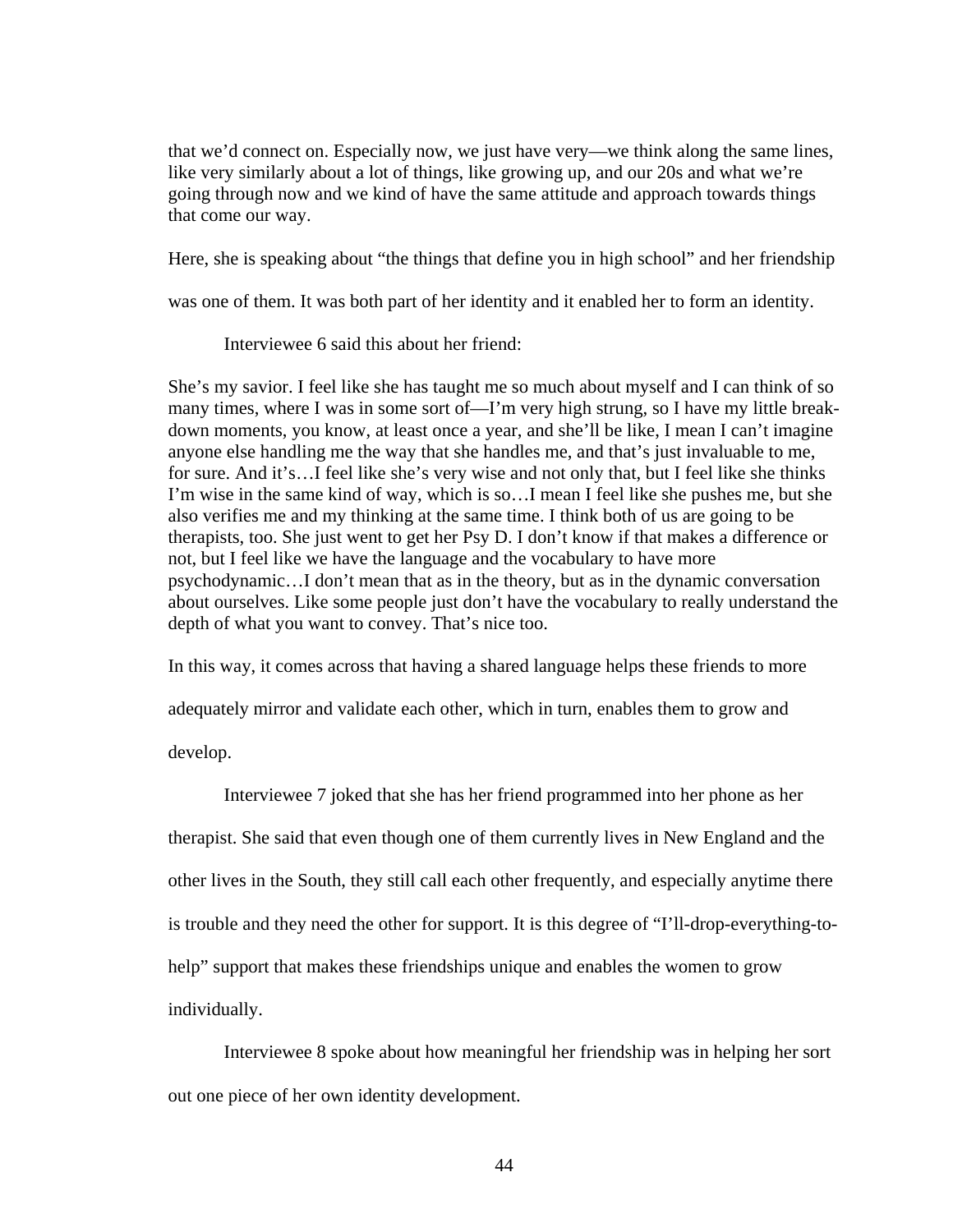that we'd connect on. Especially now, we just have very—we think along the same lines, like very similarly about a lot of things, like growing up, and our 20s and what we're going through now and we kind of have the same attitude and approach towards things that come our way.

Here, she is speaking about "the things that define you in high school" and her friendship

was one of them. It was both part of her identity and it enabled her to form an identity.

Interviewee 6 said this about her friend:

She's my savior. I feel like she has taught me so much about myself and I can think of so many times, where I was in some sort of—I'm very high strung, so I have my little breakdown moments, you know, at least once a year, and she'll be like, I mean I can't imagine anyone else handling me the way that she handles me, and that's just invaluable to me, for sure. And it's…I feel like she's very wise and not only that, but I feel like she thinks I'm wise in the same kind of way, which is so…I mean I feel like she pushes me, but she also verifies me and my thinking at the same time. I think both of us are going to be therapists, too. She just went to get her Psy D. I don't know if that makes a difference or not, but I feel like we have the language and the vocabulary to have more psychodynamic…I don't mean that as in the theory, but as in the dynamic conversation about ourselves. Like some people just don't have the vocabulary to really understand the depth of what you want to convey. That's nice too.

In this way, it comes across that having a shared language helps these friends to more

adequately mirror and validate each other, which in turn, enables them to grow and

develop.

Interviewee 7 joked that she has her friend programmed into her phone as her therapist. She said that even though one of them currently lives in New England and the other lives in the South, they still call each other frequently, and especially anytime there is trouble and they need the other for support. It is this degree of "I'll-drop-everything-tohelp" support that makes these friendships unique and enables the women to grow individually.

Interviewee 8 spoke about how meaningful her friendship was in helping her sort out one piece of her own identity development.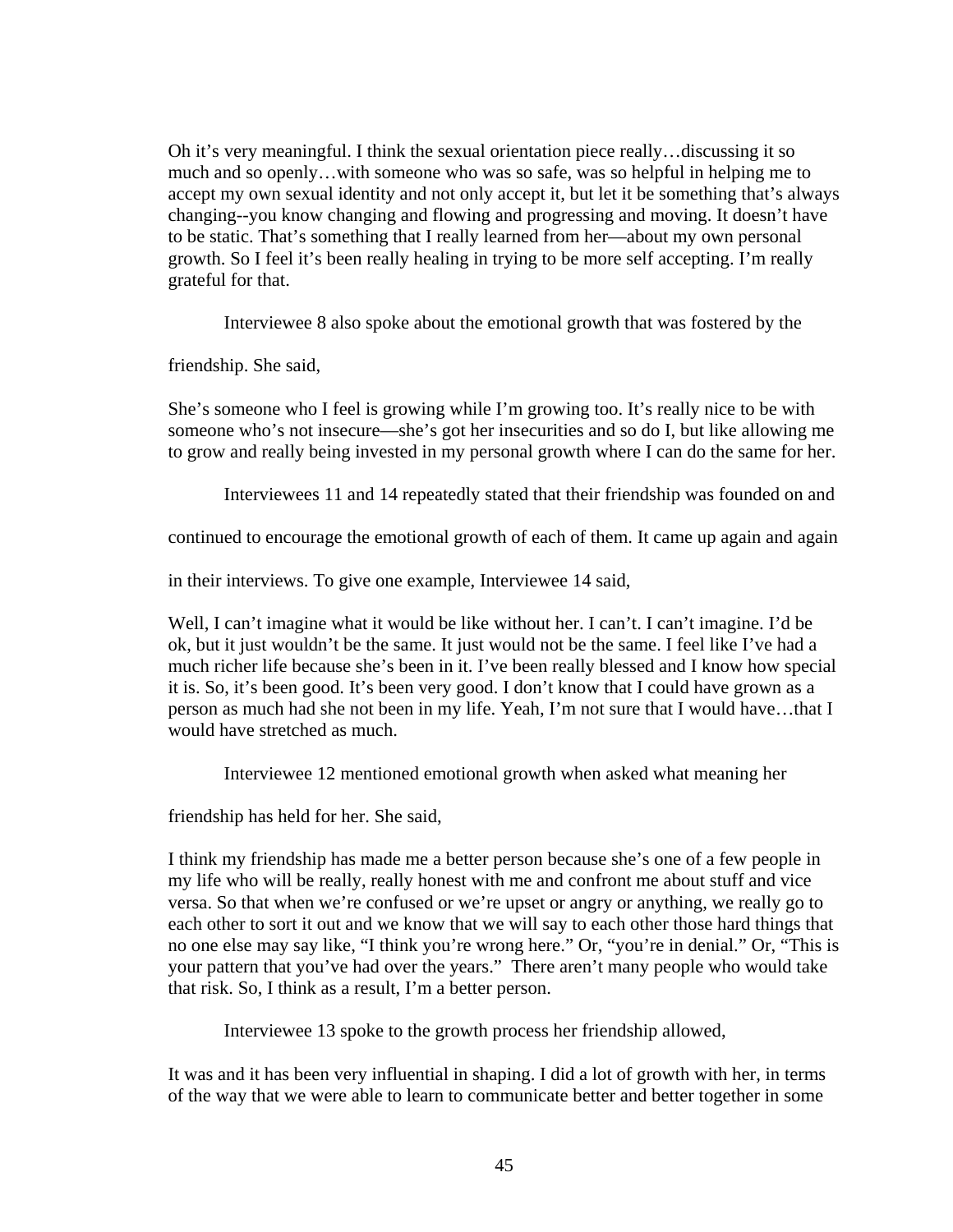Oh it's very meaningful. I think the sexual orientation piece really…discussing it so much and so openly…with someone who was so safe, was so helpful in helping me to accept my own sexual identity and not only accept it, but let it be something that's always changing--you know changing and flowing and progressing and moving. It doesn't have to be static. That's something that I really learned from her—about my own personal growth. So I feel it's been really healing in trying to be more self accepting. I'm really grateful for that.

Interviewee 8 also spoke about the emotional growth that was fostered by the

friendship. She said,

She's someone who I feel is growing while I'm growing too. It's really nice to be with someone who's not insecure—she's got her insecurities and so do I, but like allowing me to grow and really being invested in my personal growth where I can do the same for her.

Interviewees 11 and 14 repeatedly stated that their friendship was founded on and

continued to encourage the emotional growth of each of them. It came up again and again

in their interviews. To give one example, Interviewee 14 said,

Well, I can't imagine what it would be like without her. I can't. I can't imagine. I'd be ok, but it just wouldn't be the same. It just would not be the same. I feel like I've had a much richer life because she's been in it. I've been really blessed and I know how special it is. So, it's been good. It's been very good. I don't know that I could have grown as a person as much had she not been in my life. Yeah, I'm not sure that I would have…that I would have stretched as much.

Interviewee 12 mentioned emotional growth when asked what meaning her

friendship has held for her. She said,

I think my friendship has made me a better person because she's one of a few people in my life who will be really, really honest with me and confront me about stuff and vice versa. So that when we're confused or we're upset or angry or anything, we really go to each other to sort it out and we know that we will say to each other those hard things that no one else may say like, "I think you're wrong here." Or, "you're in denial." Or, "This is your pattern that you've had over the years." There aren't many people who would take that risk. So, I think as a result, I'm a better person.

Interviewee 13 spoke to the growth process her friendship allowed,

It was and it has been very influential in shaping. I did a lot of growth with her, in terms of the way that we were able to learn to communicate better and better together in some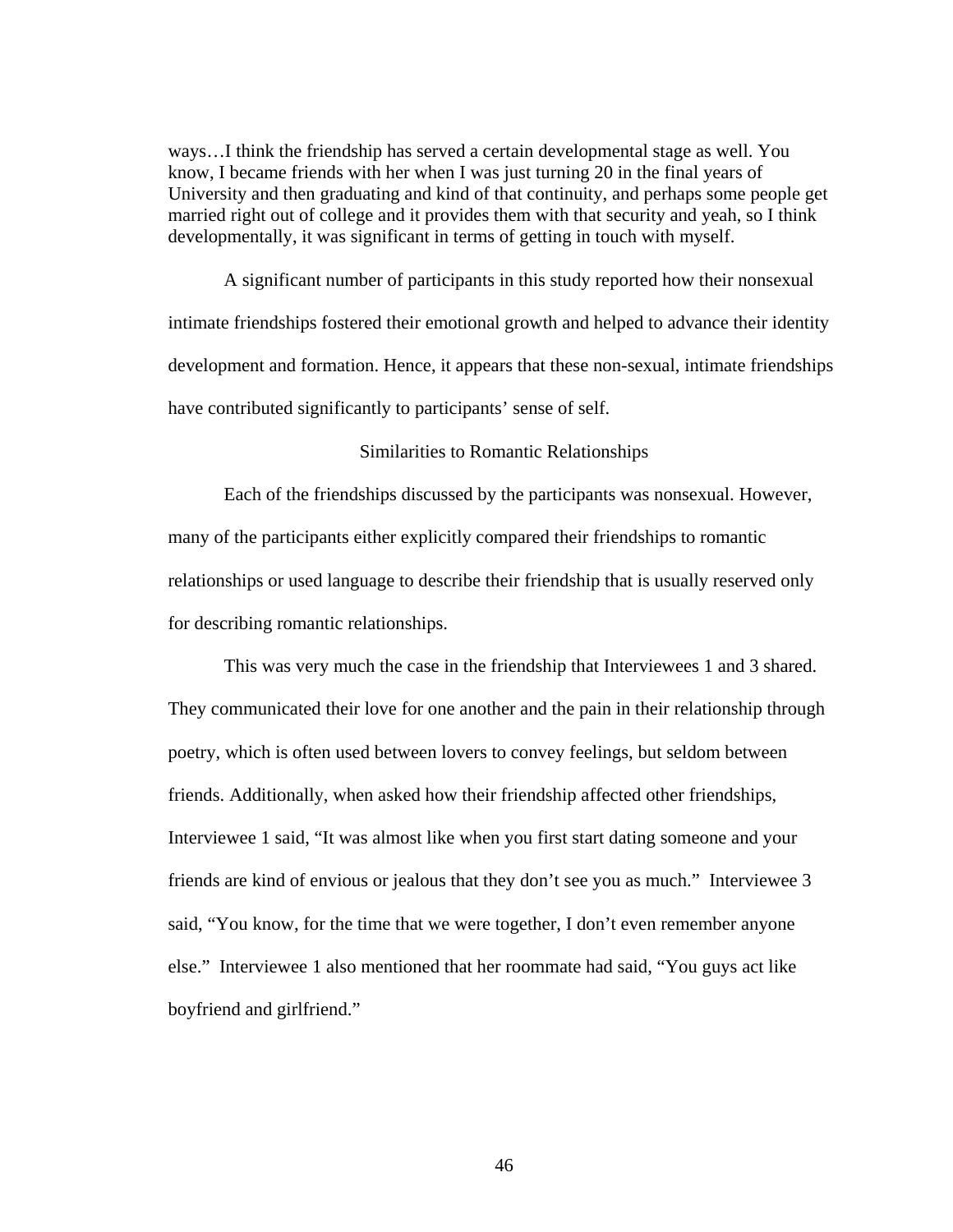ways…I think the friendship has served a certain developmental stage as well. You know, I became friends with her when I was just turning 20 in the final years of University and then graduating and kind of that continuity, and perhaps some people get married right out of college and it provides them with that security and yeah, so I think developmentally, it was significant in terms of getting in touch with myself.

A significant number of participants in this study reported how their nonsexual intimate friendships fostered their emotional growth and helped to advance their identity development and formation. Hence, it appears that these non-sexual, intimate friendships have contributed significantly to participants' sense of self.

#### Similarities to Romantic Relationships

 Each of the friendships discussed by the participants was nonsexual. However, many of the participants either explicitly compared their friendships to romantic relationships or used language to describe their friendship that is usually reserved only for describing romantic relationships.

This was very much the case in the friendship that Interviewees 1 and 3 shared. They communicated their love for one another and the pain in their relationship through poetry, which is often used between lovers to convey feelings, but seldom between friends. Additionally, when asked how their friendship affected other friendships, Interviewee 1 said, "It was almost like when you first start dating someone and your friends are kind of envious or jealous that they don't see you as much." Interviewee 3 said, "You know, for the time that we were together, I don't even remember anyone else." Interviewee 1 also mentioned that her roommate had said, "You guys act like boyfriend and girlfriend."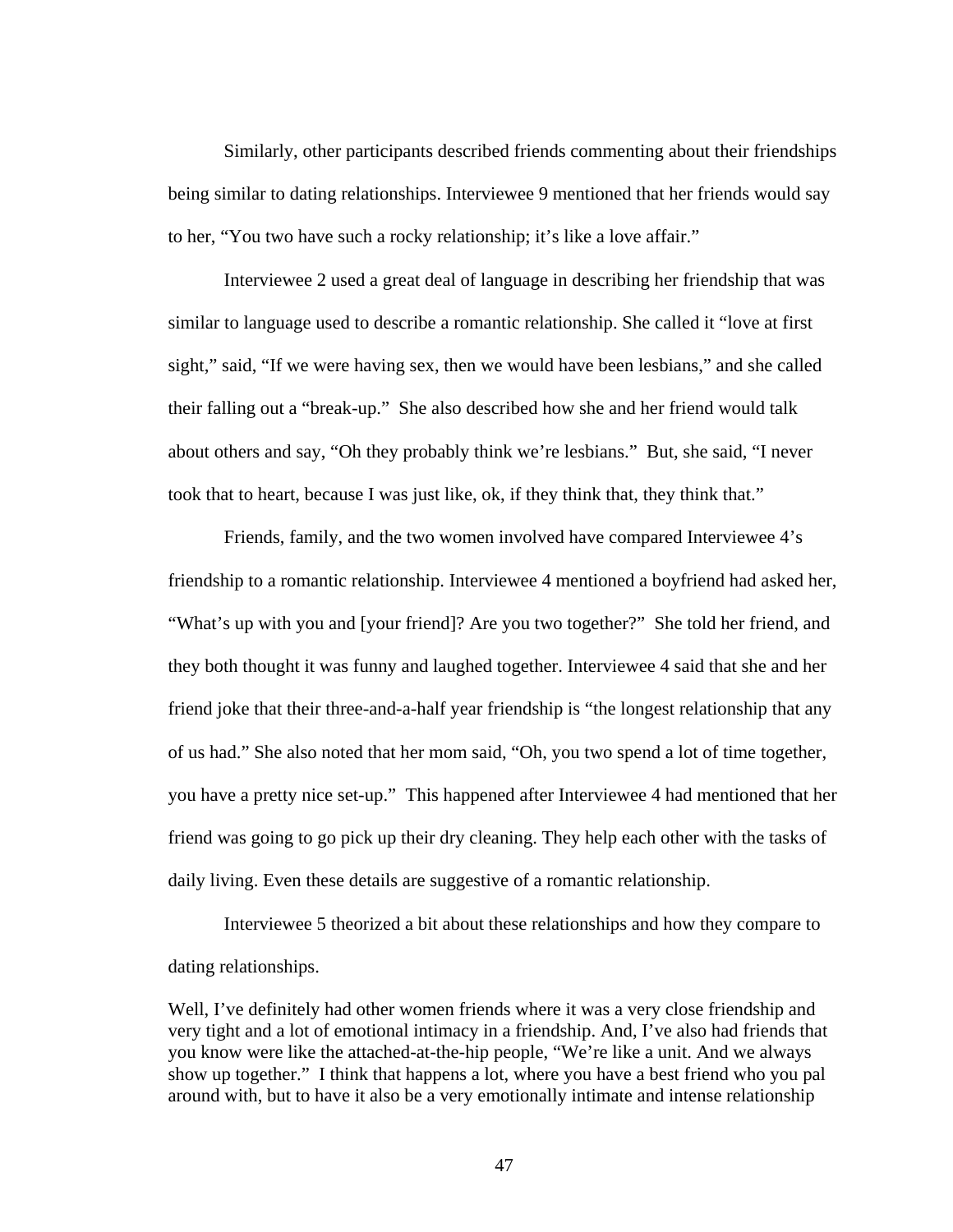Similarly, other participants described friends commenting about their friendships being similar to dating relationships. Interviewee 9 mentioned that her friends would say to her, "You two have such a rocky relationship; it's like a love affair."

 Interviewee 2 used a great deal of language in describing her friendship that was similar to language used to describe a romantic relationship. She called it "love at first sight," said, "If we were having sex, then we would have been lesbians," and she called their falling out a "break-up." She also described how she and her friend would talk about others and say, "Oh they probably think we're lesbians." But, she said, "I never took that to heart, because I was just like, ok, if they think that, they think that."

Friends, family, and the two women involved have compared Interviewee 4's friendship to a romantic relationship. Interviewee 4 mentioned a boyfriend had asked her, "What's up with you and [your friend]? Are you two together?" She told her friend, and they both thought it was funny and laughed together. Interviewee 4 said that she and her friend joke that their three-and-a-half year friendship is "the longest relationship that any of us had." She also noted that her mom said, "Oh, you two spend a lot of time together, you have a pretty nice set-up." This happened after Interviewee 4 had mentioned that her friend was going to go pick up their dry cleaning. They help each other with the tasks of daily living. Even these details are suggestive of a romantic relationship.

Interviewee 5 theorized a bit about these relationships and how they compare to dating relationships.

Well, I've definitely had other women friends where it was a very close friendship and very tight and a lot of emotional intimacy in a friendship. And, I've also had friends that you know were like the attached-at-the-hip people, "We're like a unit. And we always show up together." I think that happens a lot, where you have a best friend who you pal around with, but to have it also be a very emotionally intimate and intense relationship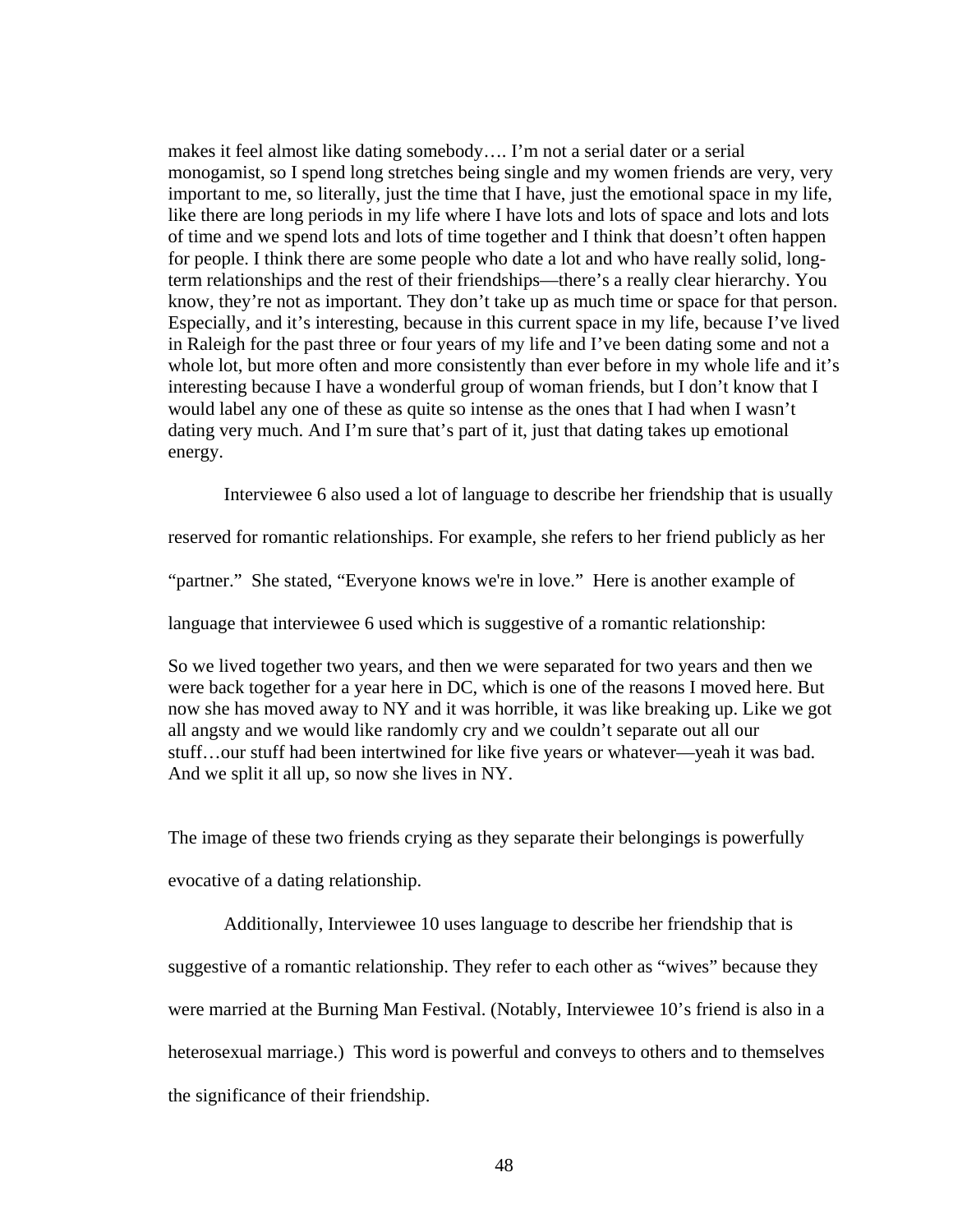makes it feel almost like dating somebody…. I'm not a serial dater or a serial monogamist, so I spend long stretches being single and my women friends are very, very important to me, so literally, just the time that I have, just the emotional space in my life, like there are long periods in my life where I have lots and lots of space and lots and lots of time and we spend lots and lots of time together and I think that doesn't often happen for people. I think there are some people who date a lot and who have really solid, longterm relationships and the rest of their friendships—there's a really clear hierarchy. You know, they're not as important. They don't take up as much time or space for that person. Especially, and it's interesting, because in this current space in my life, because I've lived in Raleigh for the past three or four years of my life and I've been dating some and not a whole lot, but more often and more consistently than ever before in my whole life and it's interesting because I have a wonderful group of woman friends, but I don't know that I would label any one of these as quite so intense as the ones that I had when I wasn't dating very much. And I'm sure that's part of it, just that dating takes up emotional energy.

Interviewee 6 also used a lot of language to describe her friendship that is usually

reserved for romantic relationships. For example, she refers to her friend publicly as her

"partner." She stated, "Everyone knows we're in love." Here is another example of

language that interviewee 6 used which is suggestive of a romantic relationship:

So we lived together two years, and then we were separated for two years and then we were back together for a year here in DC, which is one of the reasons I moved here. But now she has moved away to NY and it was horrible, it was like breaking up. Like we got all angsty and we would like randomly cry and we couldn't separate out all our stuff…our stuff had been intertwined for like five years or whatever—yeah it was bad. And we split it all up, so now she lives in NY.

The image of these two friends crying as they separate their belongings is powerfully evocative of a dating relationship.

 Additionally, Interviewee 10 uses language to describe her friendship that is suggestive of a romantic relationship. They refer to each other as "wives" because they were married at the Burning Man Festival. (Notably, Interviewee 10's friend is also in a heterosexual marriage.) This word is powerful and conveys to others and to themselves the significance of their friendship.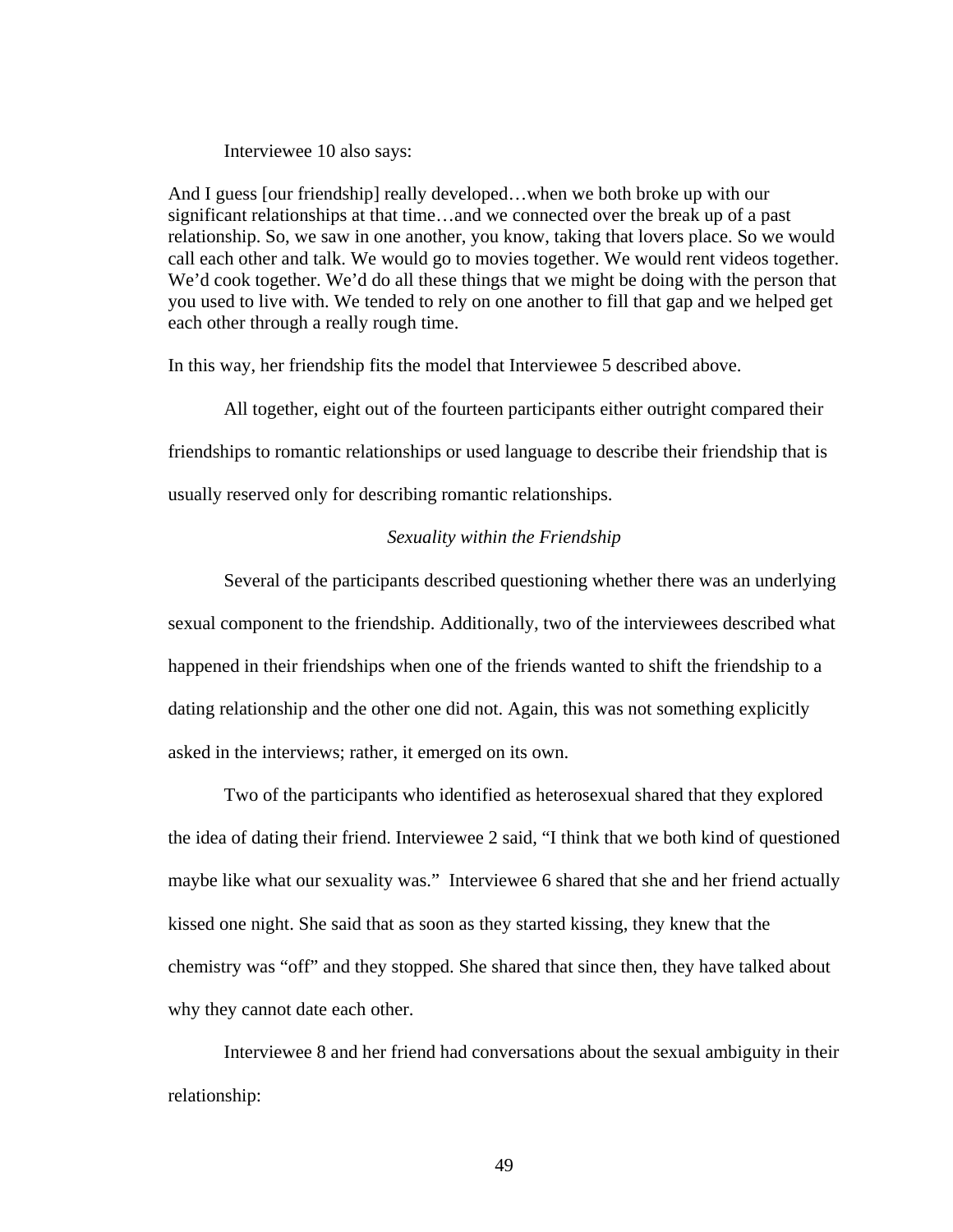#### Interviewee 10 also says:

And I guess [our friendship] really developed…when we both broke up with our significant relationships at that time…and we connected over the break up of a past relationship. So, we saw in one another, you know, taking that lovers place. So we would call each other and talk. We would go to movies together. We would rent videos together. We'd cook together. We'd do all these things that we might be doing with the person that you used to live with. We tended to rely on one another to fill that gap and we helped get each other through a really rough time.

In this way, her friendship fits the model that Interviewee 5 described above.

 All together, eight out of the fourteen participants either outright compared their friendships to romantic relationships or used language to describe their friendship that is usually reserved only for describing romantic relationships.

### *Sexuality within the Friendship*

Several of the participants described questioning whether there was an underlying sexual component to the friendship. Additionally, two of the interviewees described what happened in their friendships when one of the friends wanted to shift the friendship to a dating relationship and the other one did not. Again, this was not something explicitly asked in the interviews; rather, it emerged on its own.

Two of the participants who identified as heterosexual shared that they explored the idea of dating their friend. Interviewee 2 said, "I think that we both kind of questioned maybe like what our sexuality was." Interviewee 6 shared that she and her friend actually kissed one night. She said that as soon as they started kissing, they knew that the chemistry was "off" and they stopped. She shared that since then, they have talked about why they cannot date each other.

Interviewee 8 and her friend had conversations about the sexual ambiguity in their relationship: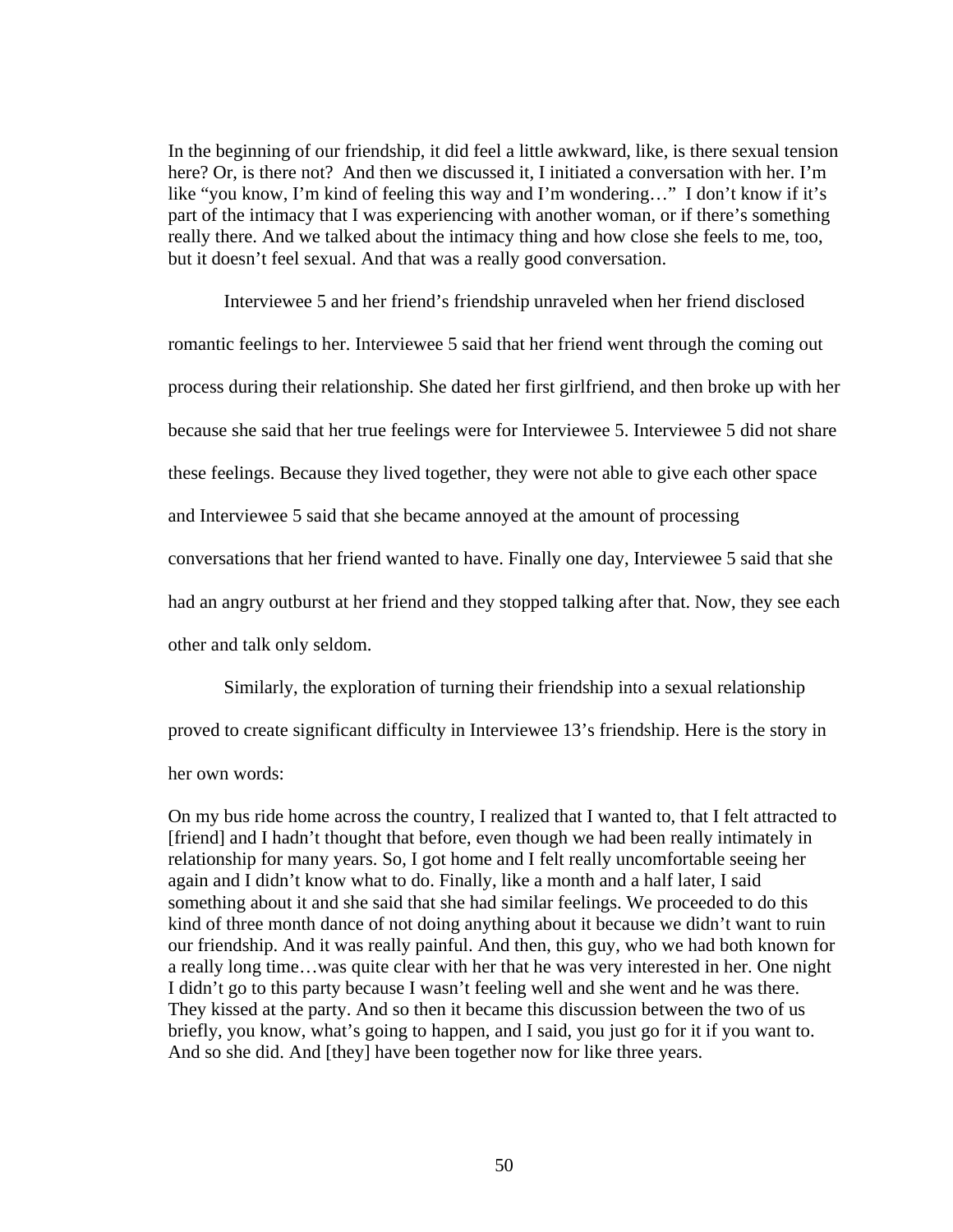In the beginning of our friendship, it did feel a little awkward, like, is there sexual tension here? Or, is there not? And then we discussed it, I initiated a conversation with her. I'm like "you know, I'm kind of feeling this way and I'm wondering…" I don't know if it's part of the intimacy that I was experiencing with another woman, or if there's something really there. And we talked about the intimacy thing and how close she feels to me, too, but it doesn't feel sexual. And that was a really good conversation.

Interviewee 5 and her friend's friendship unraveled when her friend disclosed romantic feelings to her. Interviewee 5 said that her friend went through the coming out process during their relationship. She dated her first girlfriend, and then broke up with her because she said that her true feelings were for Interviewee 5. Interviewee 5 did not share these feelings. Because they lived together, they were not able to give each other space and Interviewee 5 said that she became annoyed at the amount of processing conversations that her friend wanted to have. Finally one day, Interviewee 5 said that she had an angry outburst at her friend and they stopped talking after that. Now, they see each other and talk only seldom.

Similarly, the exploration of turning their friendship into a sexual relationship proved to create significant difficulty in Interviewee 13's friendship. Here is the story in her own words:

On my bus ride home across the country, I realized that I wanted to, that I felt attracted to [friend] and I hadn't thought that before, even though we had been really intimately in relationship for many years. So, I got home and I felt really uncomfortable seeing her again and I didn't know what to do. Finally, like a month and a half later, I said something about it and she said that she had similar feelings. We proceeded to do this kind of three month dance of not doing anything about it because we didn't want to ruin our friendship. And it was really painful. And then, this guy, who we had both known for a really long time…was quite clear with her that he was very interested in her. One night I didn't go to this party because I wasn't feeling well and she went and he was there. They kissed at the party. And so then it became this discussion between the two of us briefly, you know, what's going to happen, and I said, you just go for it if you want to. And so she did. And [they] have been together now for like three years.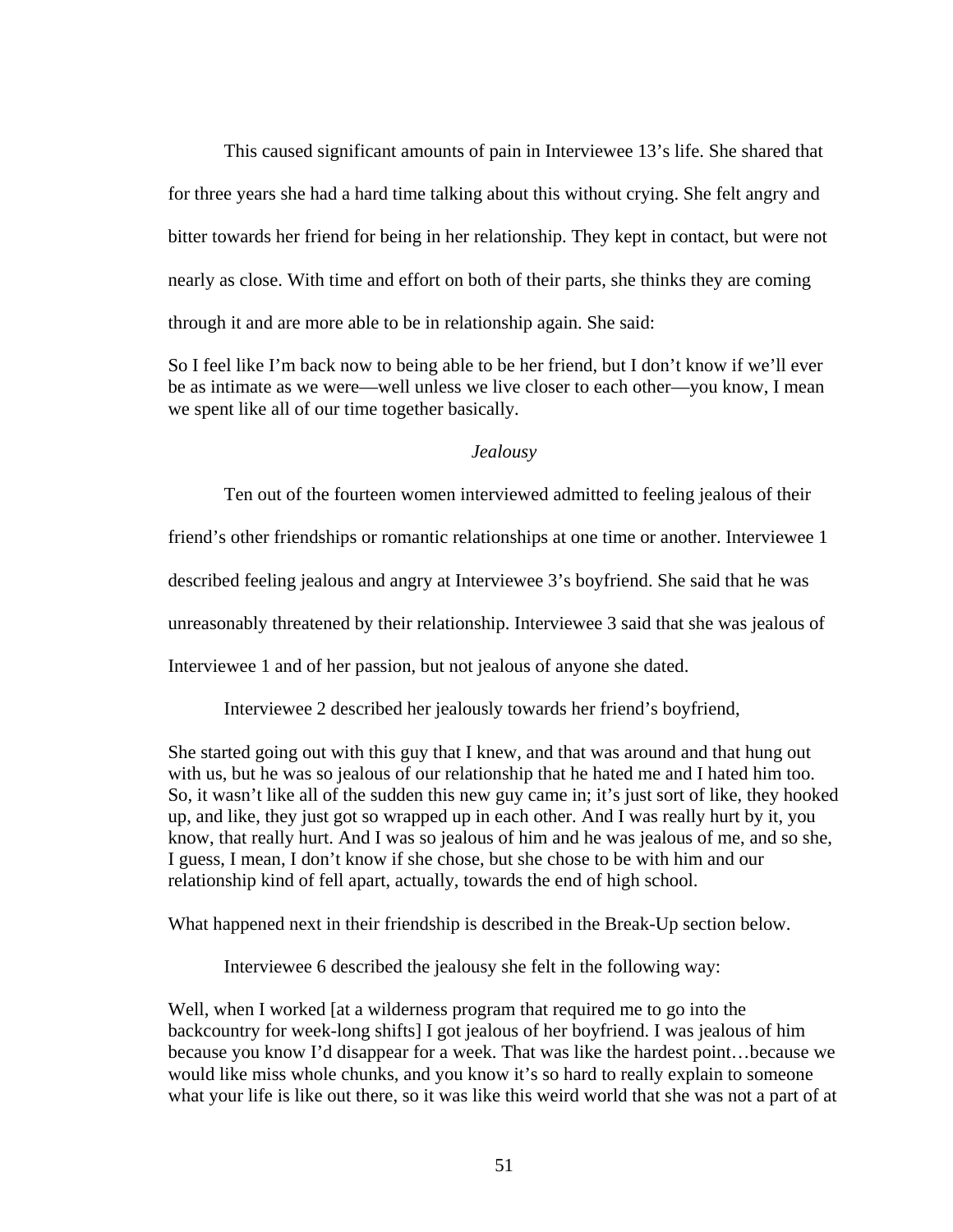This caused significant amounts of pain in Interviewee 13's life. She shared that for three years she had a hard time talking about this without crying. She felt angry and bitter towards her friend for being in her relationship. They kept in contact, but were not nearly as close. With time and effort on both of their parts, she thinks they are coming through it and are more able to be in relationship again. She said:

So I feel like I'm back now to being able to be her friend, but I don't know if we'll ever be as intimate as we were—well unless we live closer to each other—you know, I mean we spent like all of our time together basically.

#### *Jealousy*

Ten out of the fourteen women interviewed admitted to feeling jealous of their

friend's other friendships or romantic relationships at one time or another. Interviewee 1

described feeling jealous and angry at Interviewee 3's boyfriend. She said that he was

unreasonably threatened by their relationship. Interviewee 3 said that she was jealous of

Interviewee 1 and of her passion, but not jealous of anyone she dated.

Interviewee 2 described her jealously towards her friend's boyfriend,

She started going out with this guy that I knew, and that was around and that hung out with us, but he was so jealous of our relationship that he hated me and I hated him too. So, it wasn't like all of the sudden this new guy came in; it's just sort of like, they hooked up, and like, they just got so wrapped up in each other. And I was really hurt by it, you know, that really hurt. And I was so jealous of him and he was jealous of me, and so she, I guess, I mean, I don't know if she chose, but she chose to be with him and our relationship kind of fell apart, actually, towards the end of high school.

What happened next in their friendship is described in the Break-Up section below.

Interviewee 6 described the jealousy she felt in the following way:

Well, when I worked [at a wilderness program that required me to go into the backcountry for week-long shifts] I got jealous of her boyfriend. I was jealous of him because you know I'd disappear for a week. That was like the hardest point…because we would like miss whole chunks, and you know it's so hard to really explain to someone what your life is like out there, so it was like this weird world that she was not a part of at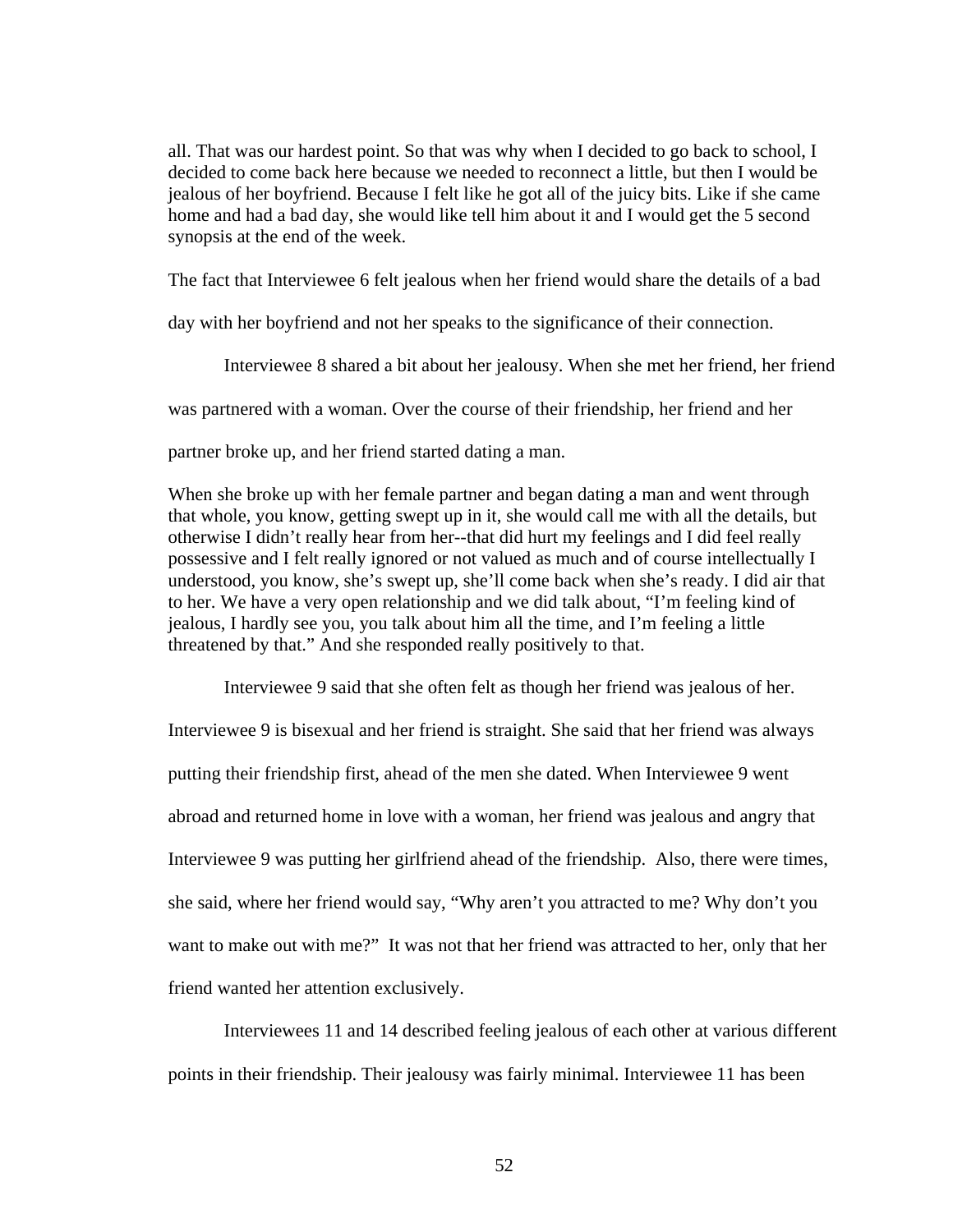all. That was our hardest point. So that was why when I decided to go back to school, I decided to come back here because we needed to reconnect a little, but then I would be jealous of her boyfriend. Because I felt like he got all of the juicy bits. Like if she came home and had a bad day, she would like tell him about it and I would get the 5 second synopsis at the end of the week.

The fact that Interviewee 6 felt jealous when her friend would share the details of a bad

day with her boyfriend and not her speaks to the significance of their connection.

Interviewee 8 shared a bit about her jealousy. When she met her friend, her friend

was partnered with a woman. Over the course of their friendship, her friend and her

partner broke up, and her friend started dating a man.

When she broke up with her female partner and began dating a man and went through that whole, you know, getting swept up in it, she would call me with all the details, but otherwise I didn't really hear from her--that did hurt my feelings and I did feel really possessive and I felt really ignored or not valued as much and of course intellectually I understood, you know, she's swept up, she'll come back when she's ready. I did air that to her. We have a very open relationship and we did talk about, "I'm feeling kind of jealous, I hardly see you, you talk about him all the time, and I'm feeling a little threatened by that." And she responded really positively to that.

 Interviewee 9 said that she often felt as though her friend was jealous of her. Interviewee 9 is bisexual and her friend is straight. She said that her friend was always putting their friendship first, ahead of the men she dated. When Interviewee 9 went abroad and returned home in love with a woman, her friend was jealous and angry that Interviewee 9 was putting her girlfriend ahead of the friendship. Also, there were times, she said, where her friend would say, "Why aren't you attracted to me? Why don't you want to make out with me?" It was not that her friend was attracted to her, only that her friend wanted her attention exclusively.

 Interviewees 11 and 14 described feeling jealous of each other at various different points in their friendship. Their jealousy was fairly minimal. Interviewee 11 has been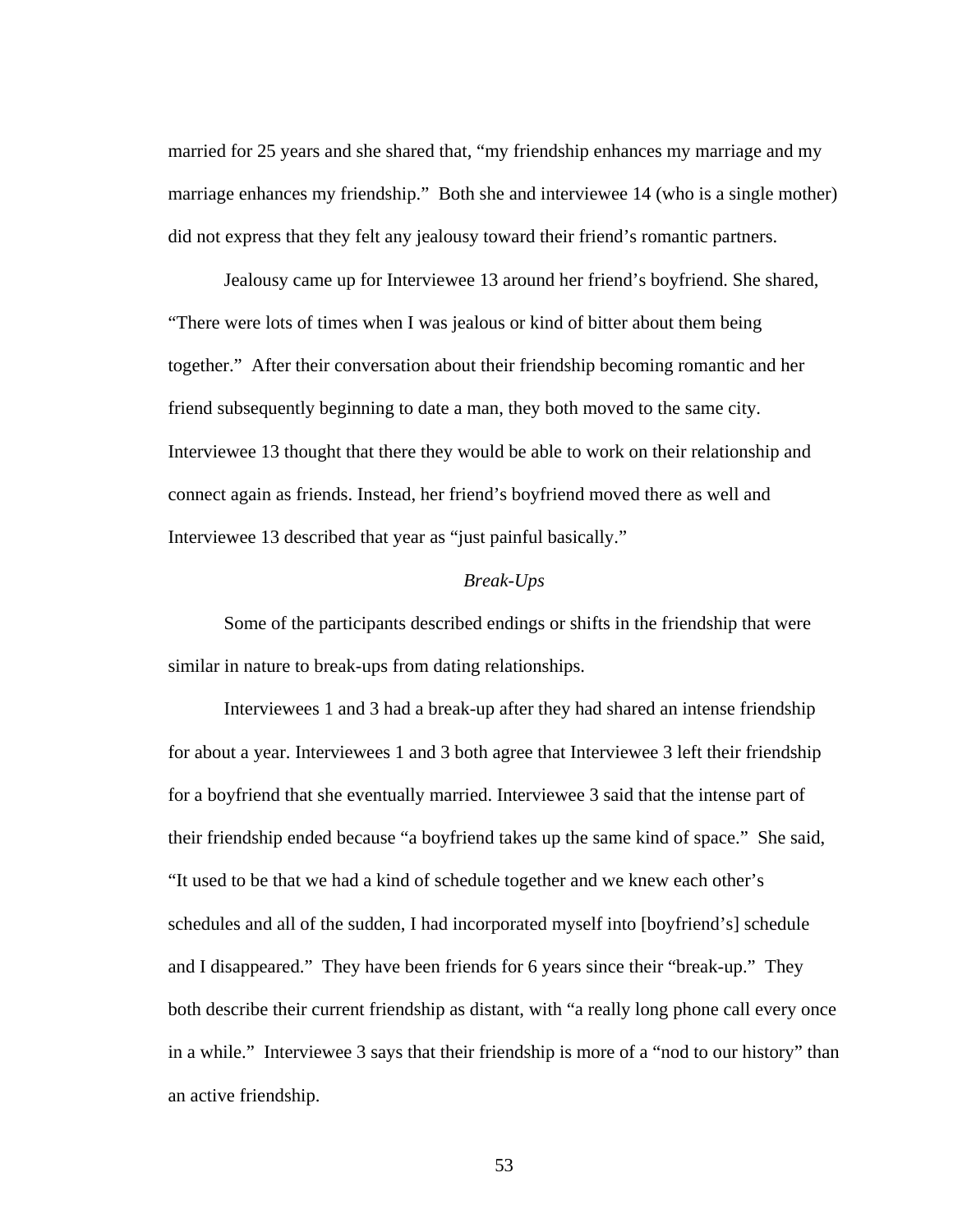married for 25 years and she shared that, "my friendship enhances my marriage and my marriage enhances my friendship." Both she and interviewee 14 (who is a single mother) did not express that they felt any jealousy toward their friend's romantic partners.

 Jealousy came up for Interviewee 13 around her friend's boyfriend. She shared, "There were lots of times when I was jealous or kind of bitter about them being together." After their conversation about their friendship becoming romantic and her friend subsequently beginning to date a man, they both moved to the same city. Interviewee 13 thought that there they would be able to work on their relationship and connect again as friends. Instead, her friend's boyfriend moved there as well and Interviewee 13 described that year as "just painful basically."

## *Break-Ups*

Some of the participants described endings or shifts in the friendship that were similar in nature to break-ups from dating relationships.

Interviewees 1 and 3 had a break-up after they had shared an intense friendship for about a year. Interviewees 1 and 3 both agree that Interviewee 3 left their friendship for a boyfriend that she eventually married. Interviewee 3 said that the intense part of their friendship ended because "a boyfriend takes up the same kind of space." She said, "It used to be that we had a kind of schedule together and we knew each other's schedules and all of the sudden, I had incorporated myself into [boyfriend's] schedule and I disappeared." They have been friends for 6 years since their "break-up." They both describe their current friendship as distant, with "a really long phone call every once in a while." Interviewee 3 says that their friendship is more of a "nod to our history" than an active friendship.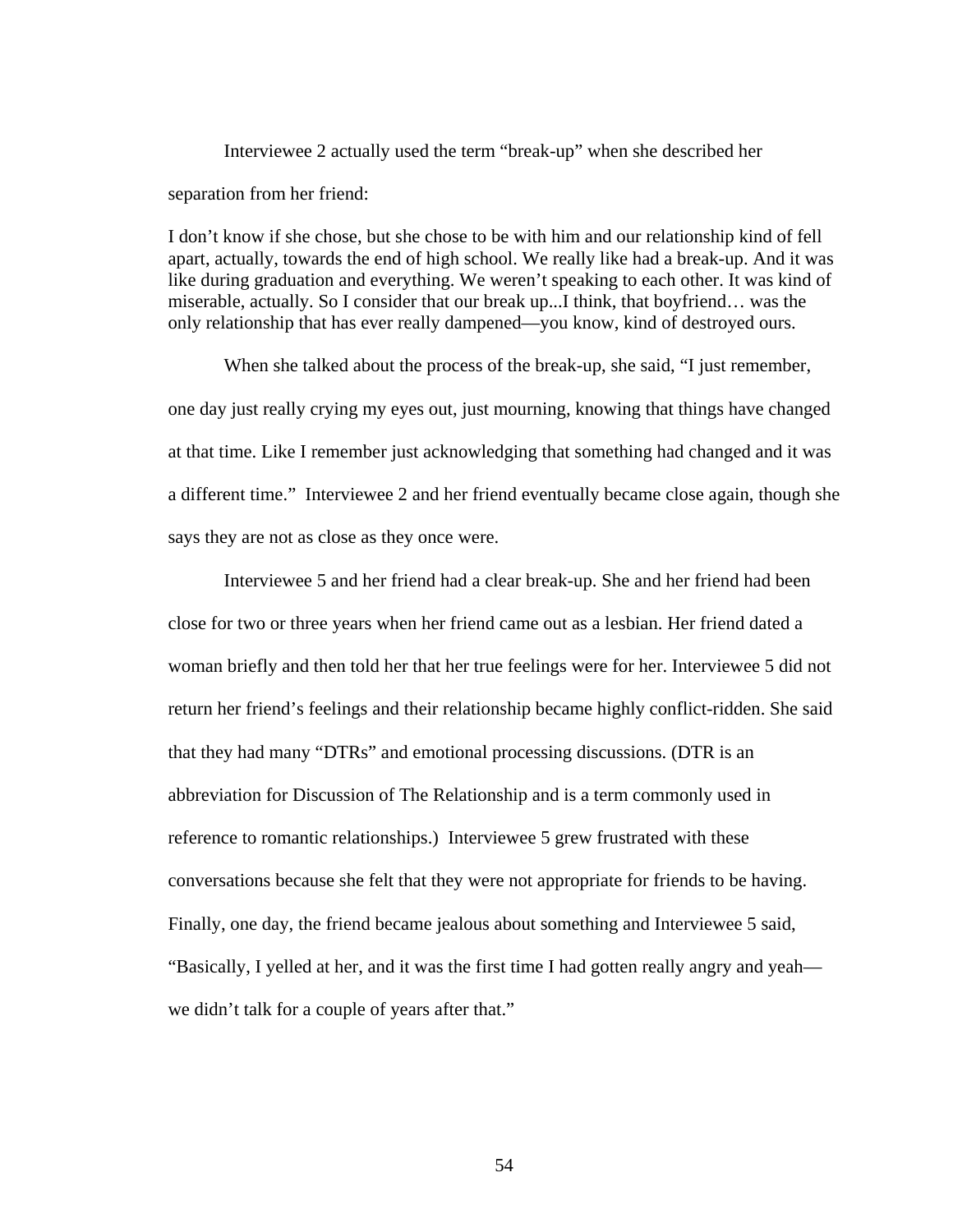Interviewee 2 actually used the term "break-up" when she described her separation from her friend:

I don't know if she chose, but she chose to be with him and our relationship kind of fell apart, actually, towards the end of high school. We really like had a break-up. And it was like during graduation and everything. We weren't speaking to each other. It was kind of miserable, actually. So I consider that our break up...I think, that boyfriend… was the only relationship that has ever really dampened—you know, kind of destroyed ours.

 When she talked about the process of the break-up, she said, "I just remember, one day just really crying my eyes out, just mourning, knowing that things have changed at that time. Like I remember just acknowledging that something had changed and it was a different time." Interviewee 2 and her friend eventually became close again, though she says they are not as close as they once were.

Interviewee 5 and her friend had a clear break-up. She and her friend had been close for two or three years when her friend came out as a lesbian. Her friend dated a woman briefly and then told her that her true feelings were for her. Interviewee 5 did not return her friend's feelings and their relationship became highly conflict-ridden. She said that they had many "DTRs" and emotional processing discussions. (DTR is an abbreviation for Discussion of The Relationship and is a term commonly used in reference to romantic relationships.) Interviewee 5 grew frustrated with these conversations because she felt that they were not appropriate for friends to be having. Finally, one day, the friend became jealous about something and Interviewee 5 said, "Basically, I yelled at her, and it was the first time I had gotten really angry and yeah we didn't talk for a couple of years after that."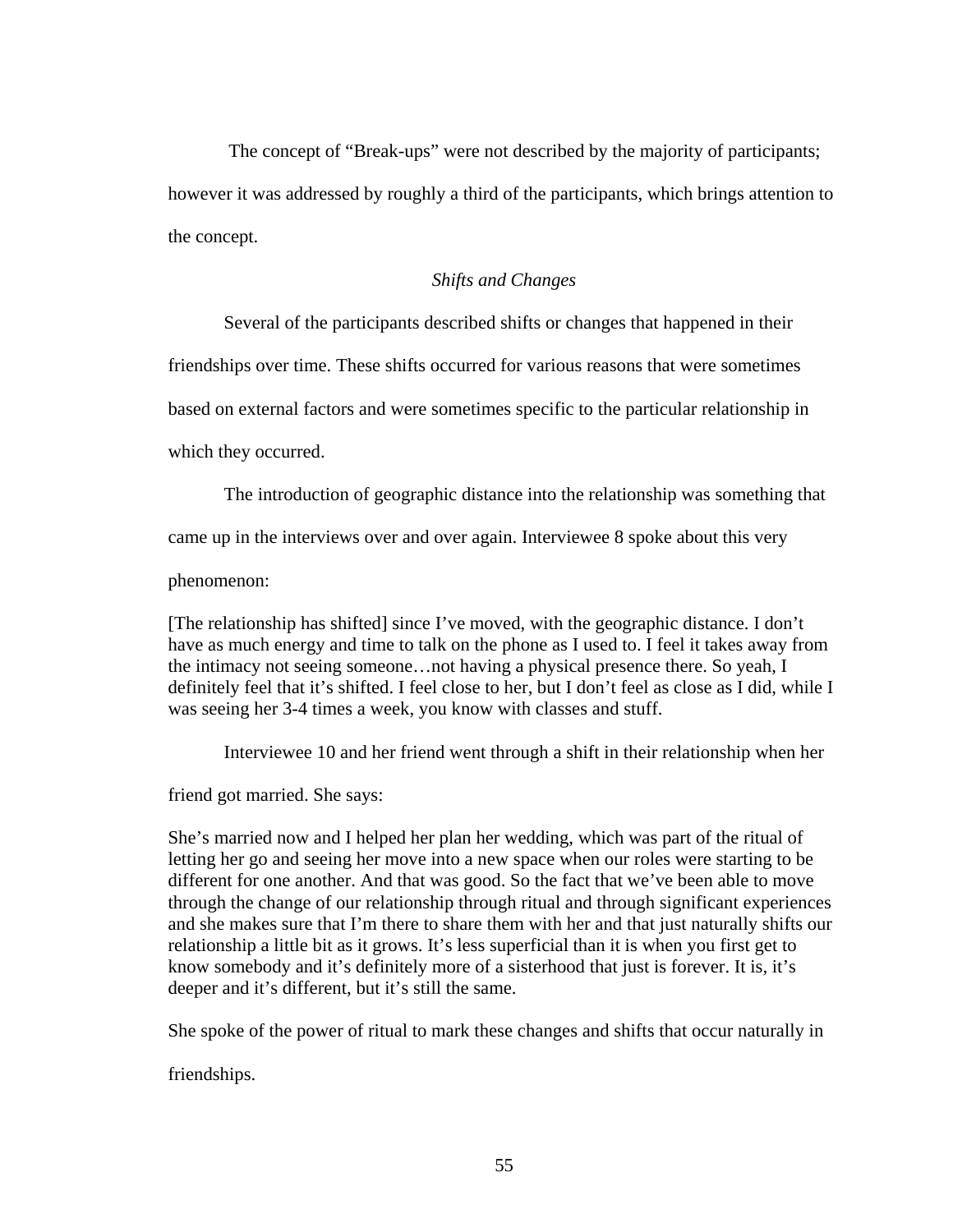The concept of "Break-ups" were not described by the majority of participants; however it was addressed by roughly a third of the participants, which brings attention to the concept.

## *Shifts and Changes*

Several of the participants described shifts or changes that happened in their

friendships over time. These shifts occurred for various reasons that were sometimes

based on external factors and were sometimes specific to the particular relationship in

which they occurred.

The introduction of geographic distance into the relationship was something that

came up in the interviews over and over again. Interviewee 8 spoke about this very

phenomenon:

[The relationship has shifted] since I've moved, with the geographic distance. I don't have as much energy and time to talk on the phone as I used to. I feel it takes away from the intimacy not seeing someone…not having a physical presence there. So yeah, I definitely feel that it's shifted. I feel close to her, but I don't feel as close as I did, while I was seeing her 3-4 times a week, you know with classes and stuff.

Interviewee 10 and her friend went through a shift in their relationship when her

friend got married. She says:

She's married now and I helped her plan her wedding, which was part of the ritual of letting her go and seeing her move into a new space when our roles were starting to be different for one another. And that was good. So the fact that we've been able to move through the change of our relationship through ritual and through significant experiences and she makes sure that I'm there to share them with her and that just naturally shifts our relationship a little bit as it grows. It's less superficial than it is when you first get to know somebody and it's definitely more of a sisterhood that just is forever. It is, it's deeper and it's different, but it's still the same.

She spoke of the power of ritual to mark these changes and shifts that occur naturally in

friendships.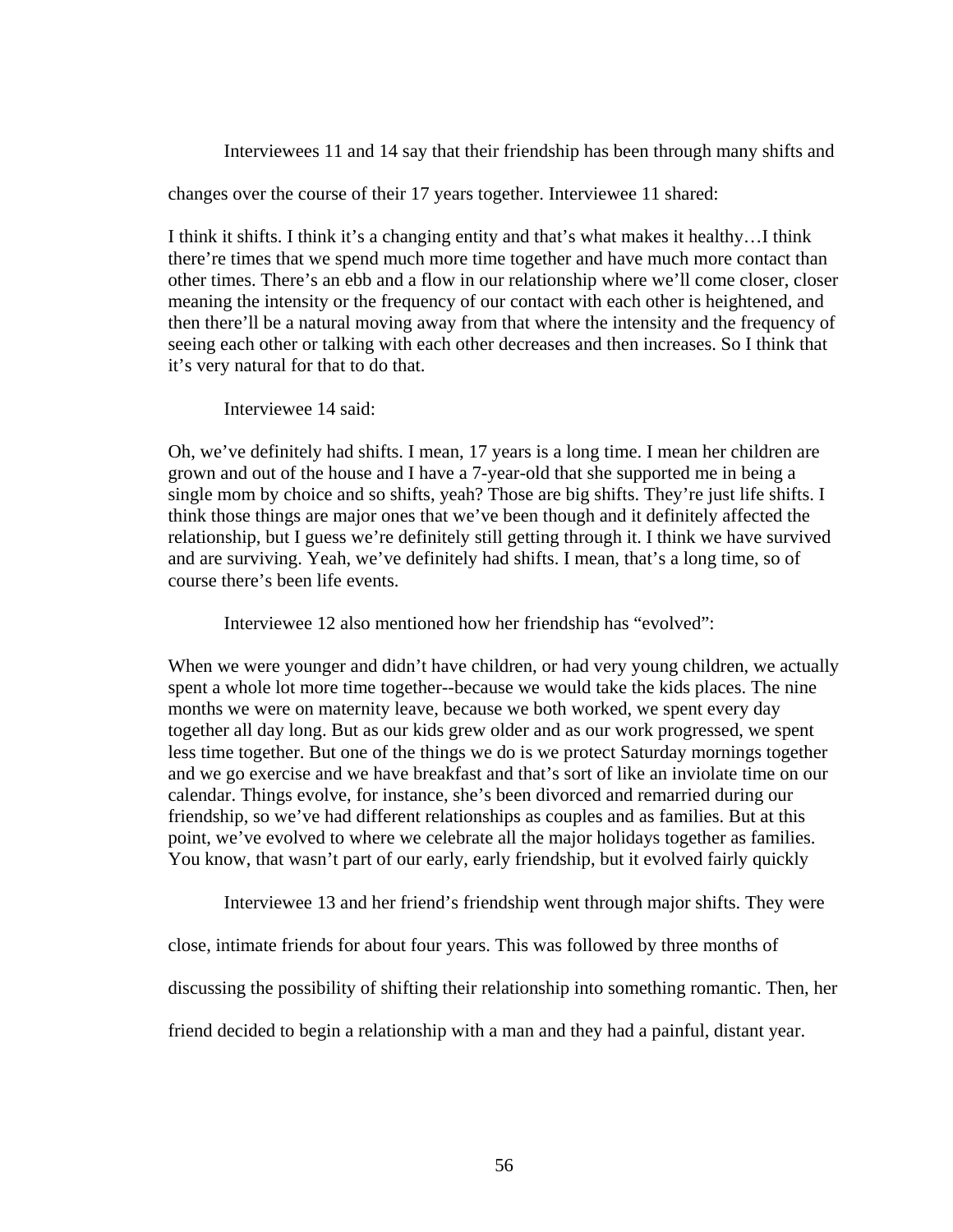Interviewees 11 and 14 say that their friendship has been through many shifts and

changes over the course of their 17 years together. Interviewee 11 shared:

I think it shifts. I think it's a changing entity and that's what makes it healthy…I think there're times that we spend much more time together and have much more contact than other times. There's an ebb and a flow in our relationship where we'll come closer, closer meaning the intensity or the frequency of our contact with each other is heightened, and then there'll be a natural moving away from that where the intensity and the frequency of seeing each other or talking with each other decreases and then increases. So I think that it's very natural for that to do that.

Interviewee 14 said:

Oh, we've definitely had shifts. I mean, 17 years is a long time. I mean her children are grown and out of the house and I have a 7-year-old that she supported me in being a single mom by choice and so shifts, yeah? Those are big shifts. They're just life shifts. I think those things are major ones that we've been though and it definitely affected the relationship, but I guess we're definitely still getting through it. I think we have survived and are surviving. Yeah, we've definitely had shifts. I mean, that's a long time, so of course there's been life events.

Interviewee 12 also mentioned how her friendship has "evolved":

When we were younger and didn't have children, or had very young children, we actually spent a whole lot more time together--because we would take the kids places. The nine months we were on maternity leave, because we both worked, we spent every day together all day long. But as our kids grew older and as our work progressed, we spent less time together. But one of the things we do is we protect Saturday mornings together and we go exercise and we have breakfast and that's sort of like an inviolate time on our calendar. Things evolve, for instance, she's been divorced and remarried during our friendship, so we've had different relationships as couples and as families. But at this point, we've evolved to where we celebrate all the major holidays together as families. You know, that wasn't part of our early, early friendship, but it evolved fairly quickly

Interviewee 13 and her friend's friendship went through major shifts. They were

close, intimate friends for about four years. This was followed by three months of

discussing the possibility of shifting their relationship into something romantic. Then, her

friend decided to begin a relationship with a man and they had a painful, distant year.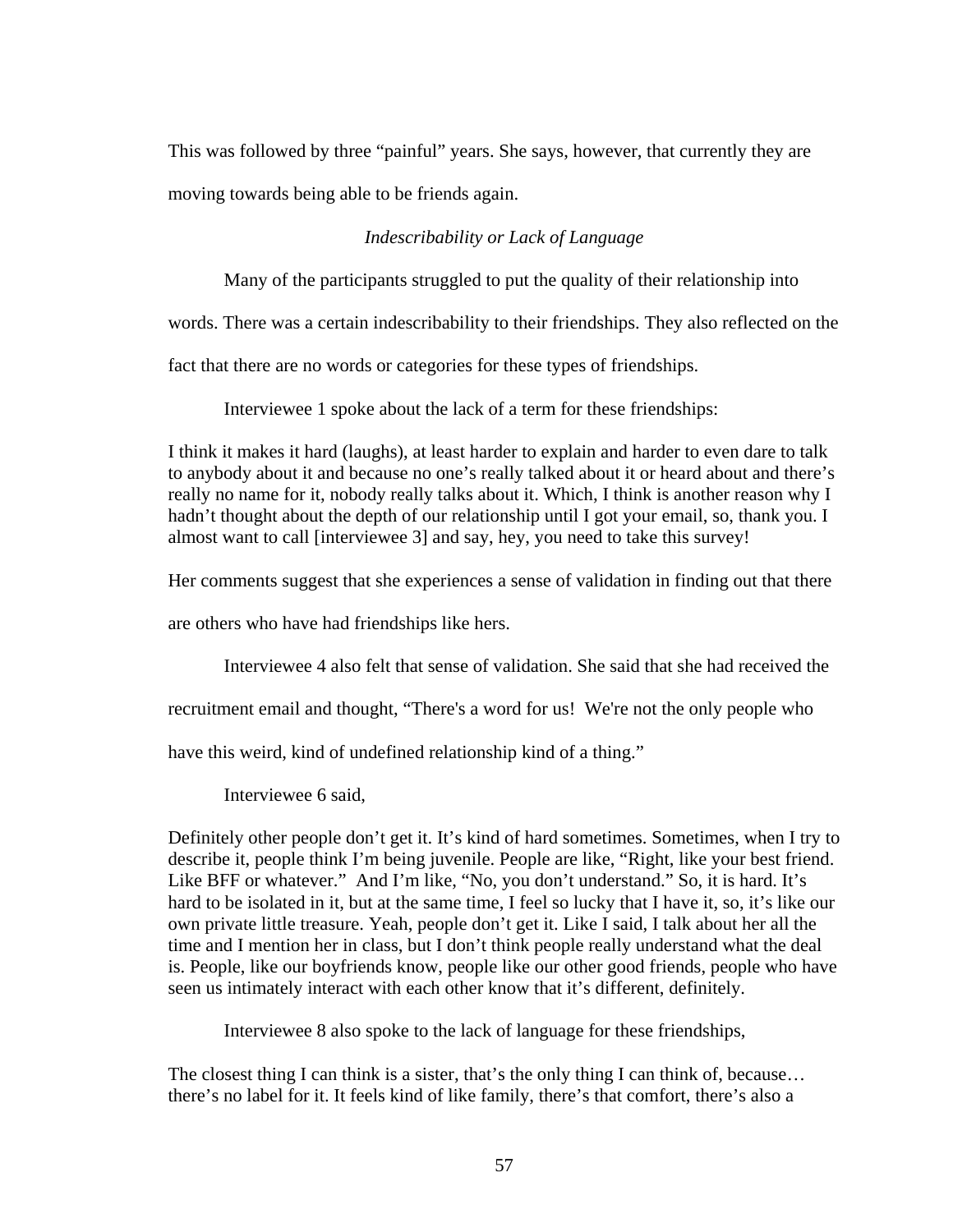This was followed by three "painful" years. She says, however, that currently they are moving towards being able to be friends again.

# *Indescribability or Lack of Language*

Many of the participants struggled to put the quality of their relationship into

words. There was a certain indescribability to their friendships. They also reflected on the

fact that there are no words or categories for these types of friendships.

Interviewee 1 spoke about the lack of a term for these friendships:

I think it makes it hard (laughs), at least harder to explain and harder to even dare to talk to anybody about it and because no one's really talked about it or heard about and there's really no name for it, nobody really talks about it. Which, I think is another reason why I hadn't thought about the depth of our relationship until I got your email, so, thank you. I almost want to call [interviewee 3] and say, hey, you need to take this survey!

Her comments suggest that she experiences a sense of validation in finding out that there

are others who have had friendships like hers.

Interviewee 4 also felt that sense of validation. She said that she had received the

recruitment email and thought, "There's a word for us! We're not the only people who

have this weird, kind of undefined relationship kind of a thing."

Interviewee 6 said,

Definitely other people don't get it. It's kind of hard sometimes. Sometimes, when I try to describe it, people think I'm being juvenile. People are like, "Right, like your best friend. Like BFF or whatever." And I'm like, "No, you don't understand." So, it is hard. It's hard to be isolated in it, but at the same time, I feel so lucky that I have it, so, it's like our own private little treasure. Yeah, people don't get it. Like I said, I talk about her all the time and I mention her in class, but I don't think people really understand what the deal is. People, like our boyfriends know, people like our other good friends, people who have seen us intimately interact with each other know that it's different, definitely.

Interviewee 8 also spoke to the lack of language for these friendships,

The closest thing I can think is a sister, that's the only thing I can think of, because... there's no label for it. It feels kind of like family, there's that comfort, there's also a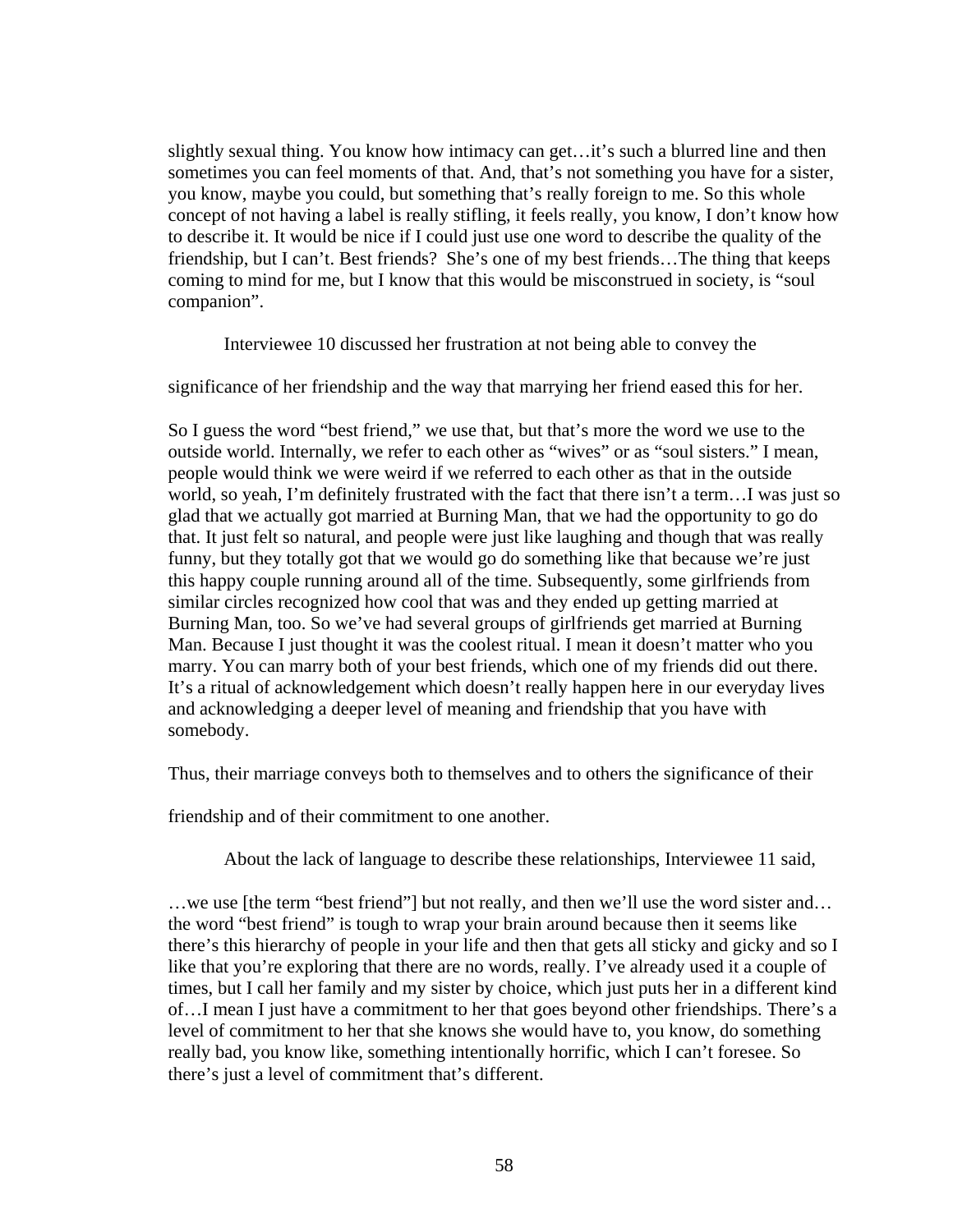slightly sexual thing. You know how intimacy can get…it's such a blurred line and then sometimes you can feel moments of that. And, that's not something you have for a sister, you know, maybe you could, but something that's really foreign to me. So this whole concept of not having a label is really stifling, it feels really, you know, I don't know how to describe it. It would be nice if I could just use one word to describe the quality of the friendship, but I can't. Best friends? She's one of my best friends…The thing that keeps coming to mind for me, but I know that this would be misconstrued in society, is "soul companion".

Interviewee 10 discussed her frustration at not being able to convey the

significance of her friendship and the way that marrying her friend eased this for her.

So I guess the word "best friend," we use that, but that's more the word we use to the outside world. Internally, we refer to each other as "wives" or as "soul sisters." I mean, people would think we were weird if we referred to each other as that in the outside world, so yeah, I'm definitely frustrated with the fact that there isn't a term…I was just so glad that we actually got married at Burning Man, that we had the opportunity to go do that. It just felt so natural, and people were just like laughing and though that was really funny, but they totally got that we would go do something like that because we're just this happy couple running around all of the time. Subsequently, some girlfriends from similar circles recognized how cool that was and they ended up getting married at Burning Man, too. So we've had several groups of girlfriends get married at Burning Man. Because I just thought it was the coolest ritual. I mean it doesn't matter who you marry. You can marry both of your best friends, which one of my friends did out there. It's a ritual of acknowledgement which doesn't really happen here in our everyday lives and acknowledging a deeper level of meaning and friendship that you have with somebody.

Thus, their marriage conveys both to themselves and to others the significance of their

friendship and of their commitment to one another.

About the lack of language to describe these relationships, Interviewee 11 said,

…we use [the term "best friend"] but not really, and then we'll use the word sister and… the word "best friend" is tough to wrap your brain around because then it seems like there's this hierarchy of people in your life and then that gets all sticky and gicky and so I like that you're exploring that there are no words, really. I've already used it a couple of times, but I call her family and my sister by choice, which just puts her in a different kind of…I mean I just have a commitment to her that goes beyond other friendships. There's a level of commitment to her that she knows she would have to, you know, do something really bad, you know like, something intentionally horrific, which I can't foresee. So there's just a level of commitment that's different.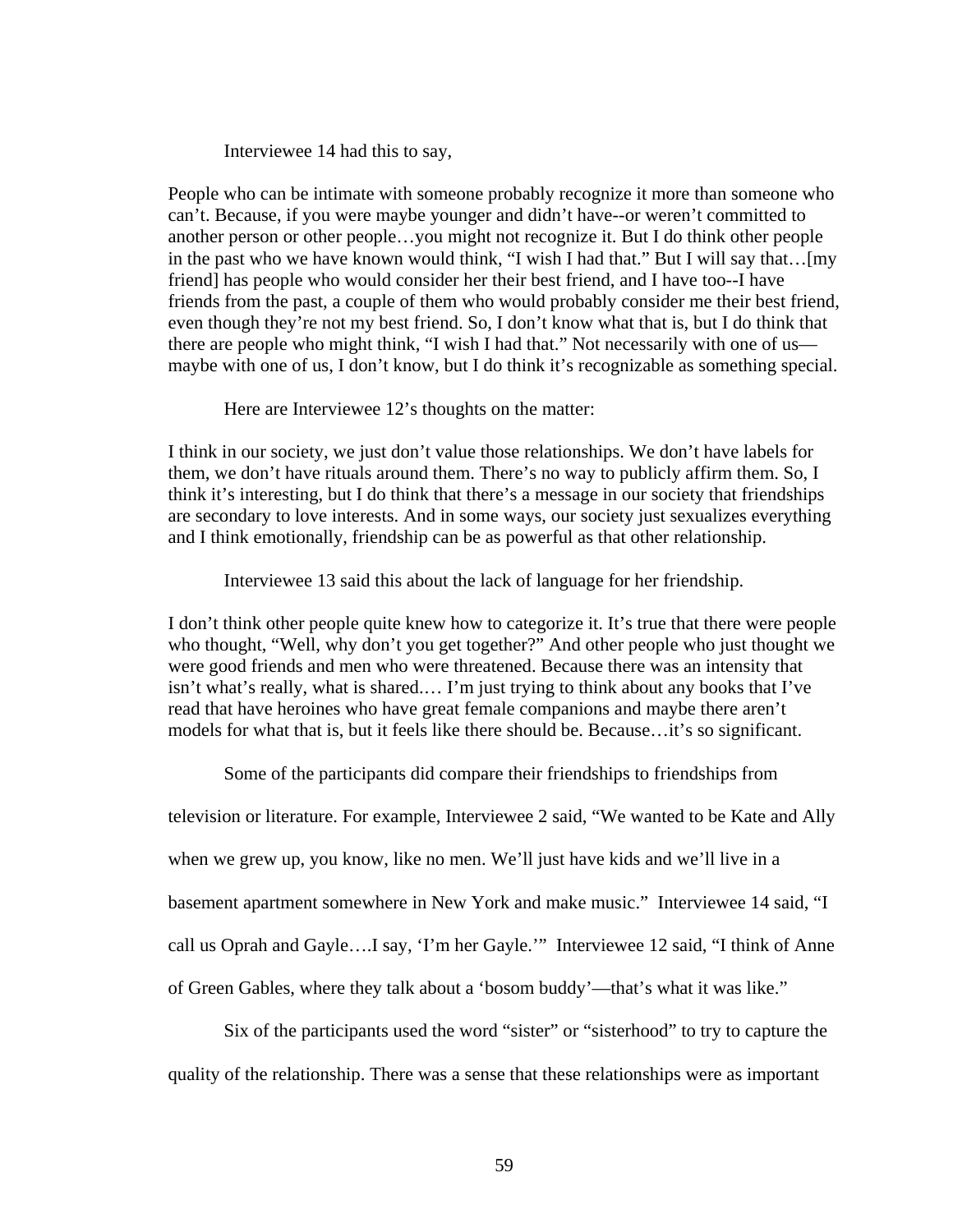Interviewee 14 had this to say,

People who can be intimate with someone probably recognize it more than someone who can't. Because, if you were maybe younger and didn't have--or weren't committed to another person or other people…you might not recognize it. But I do think other people in the past who we have known would think, "I wish I had that." But I will say that…[my friend] has people who would consider her their best friend, and I have too--I have friends from the past, a couple of them who would probably consider me their best friend, even though they're not my best friend. So, I don't know what that is, but I do think that there are people who might think, "I wish I had that." Not necessarily with one of us maybe with one of us, I don't know, but I do think it's recognizable as something special.

Here are Interviewee 12's thoughts on the matter:

I think in our society, we just don't value those relationships. We don't have labels for them, we don't have rituals around them. There's no way to publicly affirm them. So, I think it's interesting, but I do think that there's a message in our society that friendships are secondary to love interests. And in some ways, our society just sexualizes everything and I think emotionally, friendship can be as powerful as that other relationship.

Interviewee 13 said this about the lack of language for her friendship.

I don't think other people quite knew how to categorize it. It's true that there were people who thought, "Well, why don't you get together?" And other people who just thought we were good friends and men who were threatened. Because there was an intensity that isn't what's really, what is shared.… I'm just trying to think about any books that I've read that have heroines who have great female companions and maybe there aren't models for what that is, but it feels like there should be. Because…it's so significant.

Some of the participants did compare their friendships to friendships from

television or literature. For example, Interviewee 2 said, "We wanted to be Kate and Ally when we grew up, you know, like no men. We'll just have kids and we'll live in a basement apartment somewhere in New York and make music." Interviewee 14 said, "I call us Oprah and Gayle….I say, 'I'm her Gayle.'" Interviewee 12 said, "I think of Anne of Green Gables, where they talk about a 'bosom buddy'—that's what it was like."

Six of the participants used the word "sister" or "sisterhood" to try to capture the quality of the relationship. There was a sense that these relationships were as important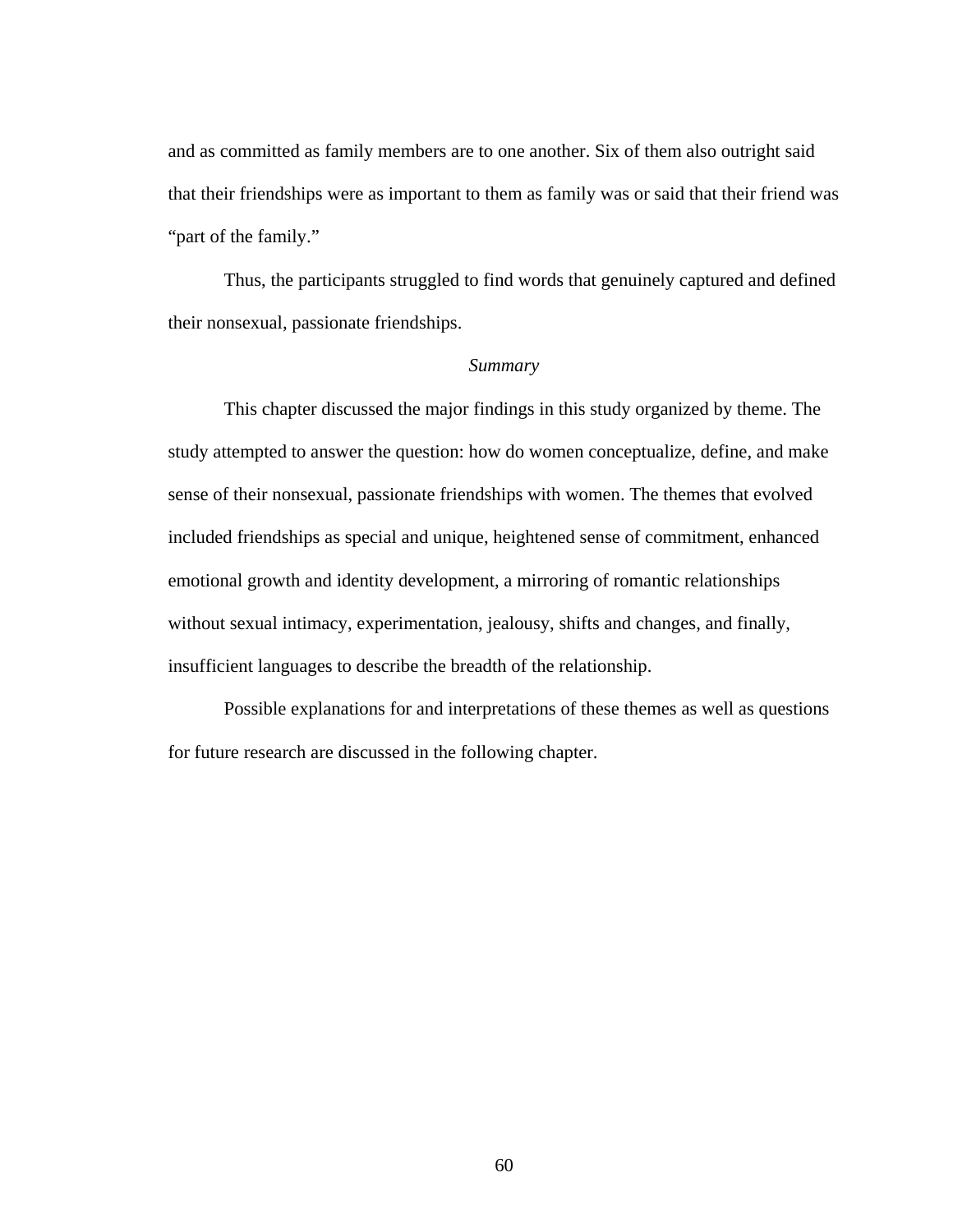and as committed as family members are to one another. Six of them also outright said that their friendships were as important to them as family was or said that their friend was "part of the family."

Thus, the participants struggled to find words that genuinely captured and defined their nonsexual, passionate friendships.

#### *Summary*

This chapter discussed the major findings in this study organized by theme. The study attempted to answer the question: how do women conceptualize, define, and make sense of their nonsexual, passionate friendships with women. The themes that evolved included friendships as special and unique, heightened sense of commitment, enhanced emotional growth and identity development, a mirroring of romantic relationships without sexual intimacy, experimentation, jealousy, shifts and changes, and finally, insufficient languages to describe the breadth of the relationship.

 Possible explanations for and interpretations of these themes as well as questions for future research are discussed in the following chapter.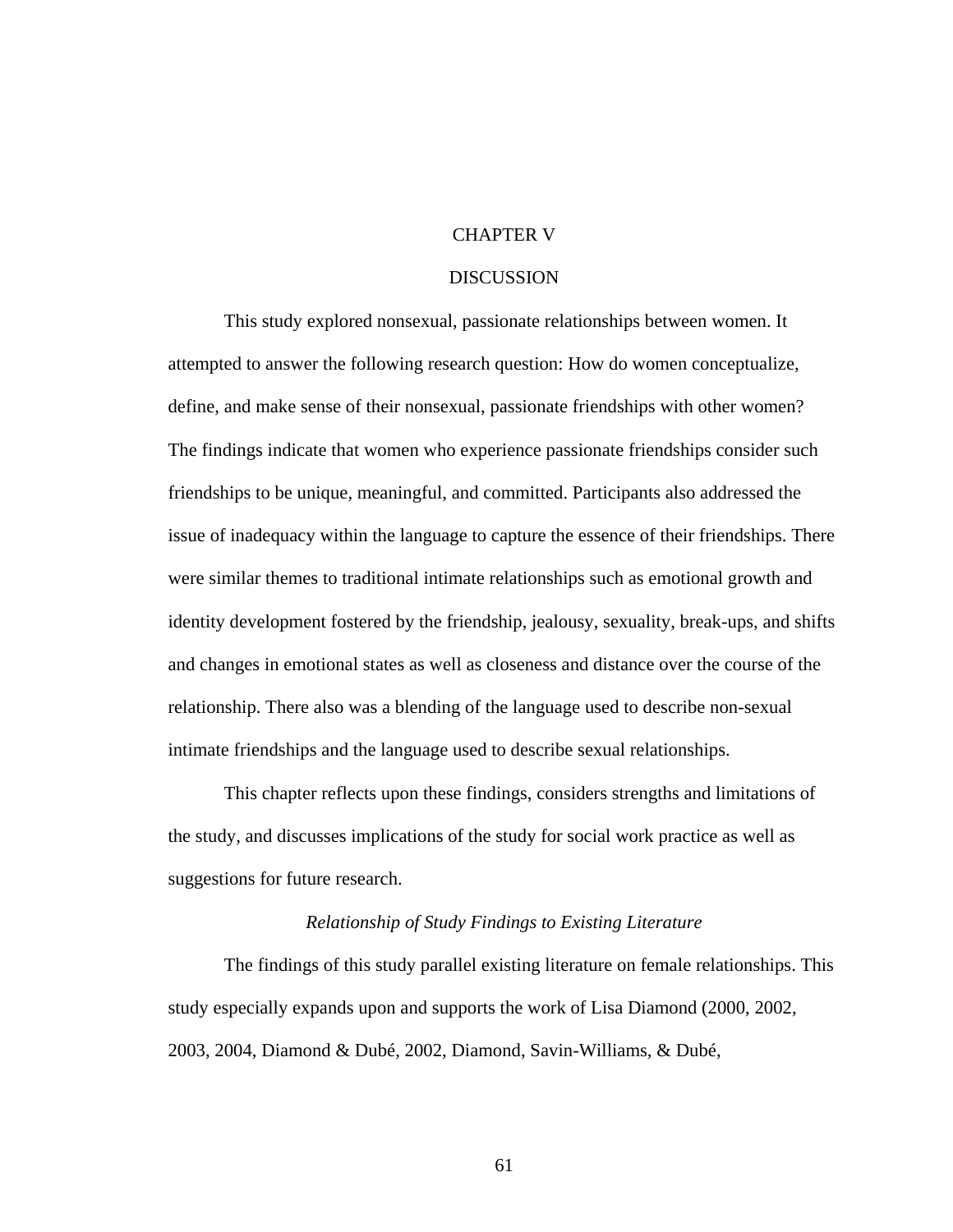## CHAPTER V

### DISCUSSION

 This study explored nonsexual, passionate relationships between women. It attempted to answer the following research question: How do women conceptualize, define, and make sense of their nonsexual, passionate friendships with other women? The findings indicate that women who experience passionate friendships consider such friendships to be unique, meaningful, and committed. Participants also addressed the issue of inadequacy within the language to capture the essence of their friendships. There were similar themes to traditional intimate relationships such as emotional growth and identity development fostered by the friendship, jealousy, sexuality, break-ups, and shifts and changes in emotional states as well as closeness and distance over the course of the relationship. There also was a blending of the language used to describe non-sexual intimate friendships and the language used to describe sexual relationships.

 This chapter reflects upon these findings, considers strengths and limitations of the study, and discusses implications of the study for social work practice as well as suggestions for future research.

### *Relationship of Study Findings to Existing Literature*

 The findings of this study parallel existing literature on female relationships. This study especially expands upon and supports the work of Lisa Diamond (2000, 2002, 2003, 2004, Diamond & Dubé, 2002, Diamond, Savin-Williams, & Dubé,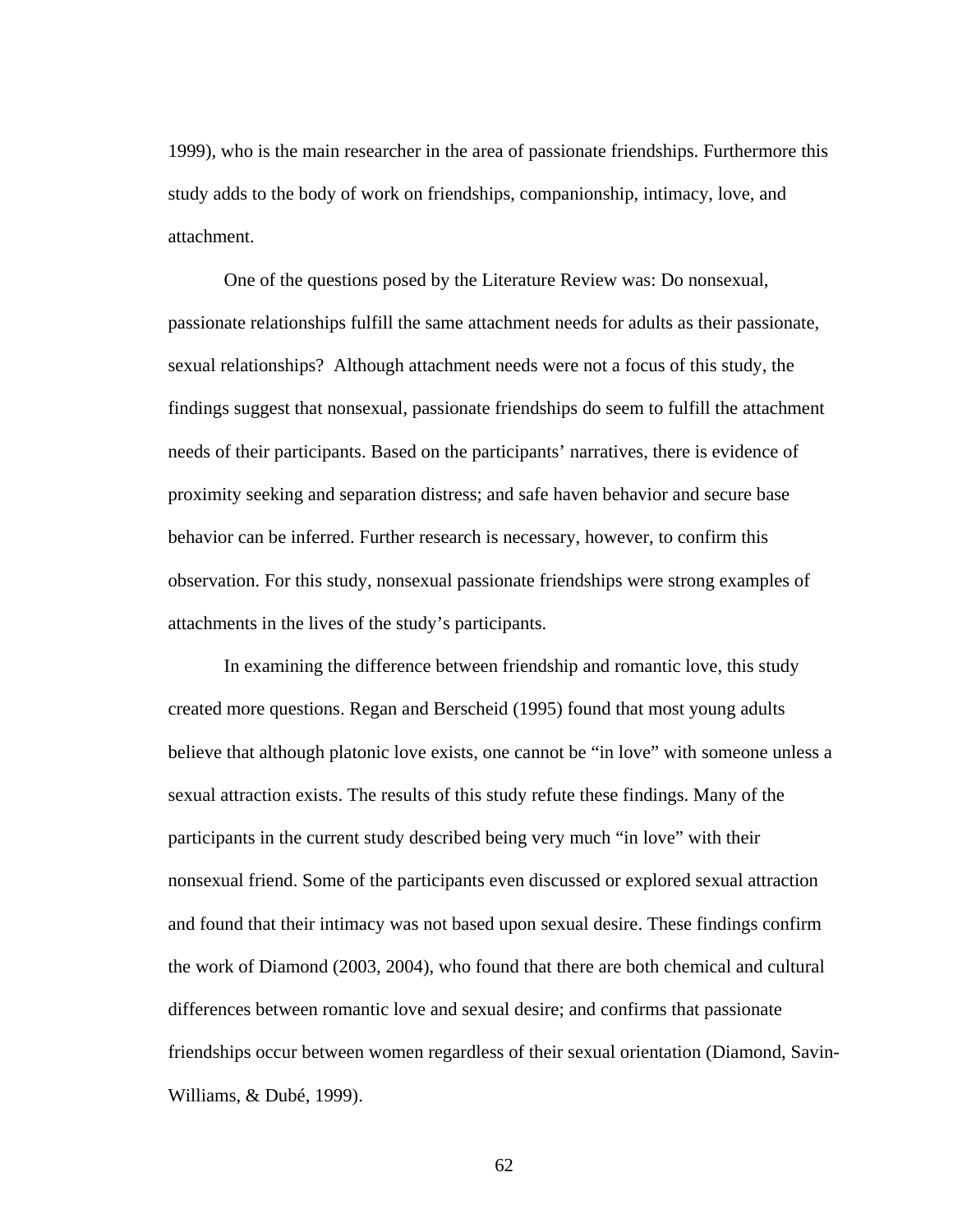1999), who is the main researcher in the area of passionate friendships. Furthermore this study adds to the body of work on friendships, companionship, intimacy, love, and attachment.

One of the questions posed by the Literature Review was: Do nonsexual, passionate relationships fulfill the same attachment needs for adults as their passionate, sexual relationships? Although attachment needs were not a focus of this study, the findings suggest that nonsexual, passionate friendships do seem to fulfill the attachment needs of their participants. Based on the participants' narratives, there is evidence of proximity seeking and separation distress; and safe haven behavior and secure base behavior can be inferred. Further research is necessary, however, to confirm this observation. For this study, nonsexual passionate friendships were strong examples of attachments in the lives of the study's participants.

In examining the difference between friendship and romantic love, this study created more questions. Regan and Berscheid (1995) found that most young adults believe that although platonic love exists, one cannot be "in love" with someone unless a sexual attraction exists. The results of this study refute these findings. Many of the participants in the current study described being very much "in love" with their nonsexual friend. Some of the participants even discussed or explored sexual attraction and found that their intimacy was not based upon sexual desire. These findings confirm the work of Diamond (2003, 2004), who found that there are both chemical and cultural differences between romantic love and sexual desire; and confirms that passionate friendships occur between women regardless of their sexual orientation (Diamond, Savin-Williams, & Dubé, 1999).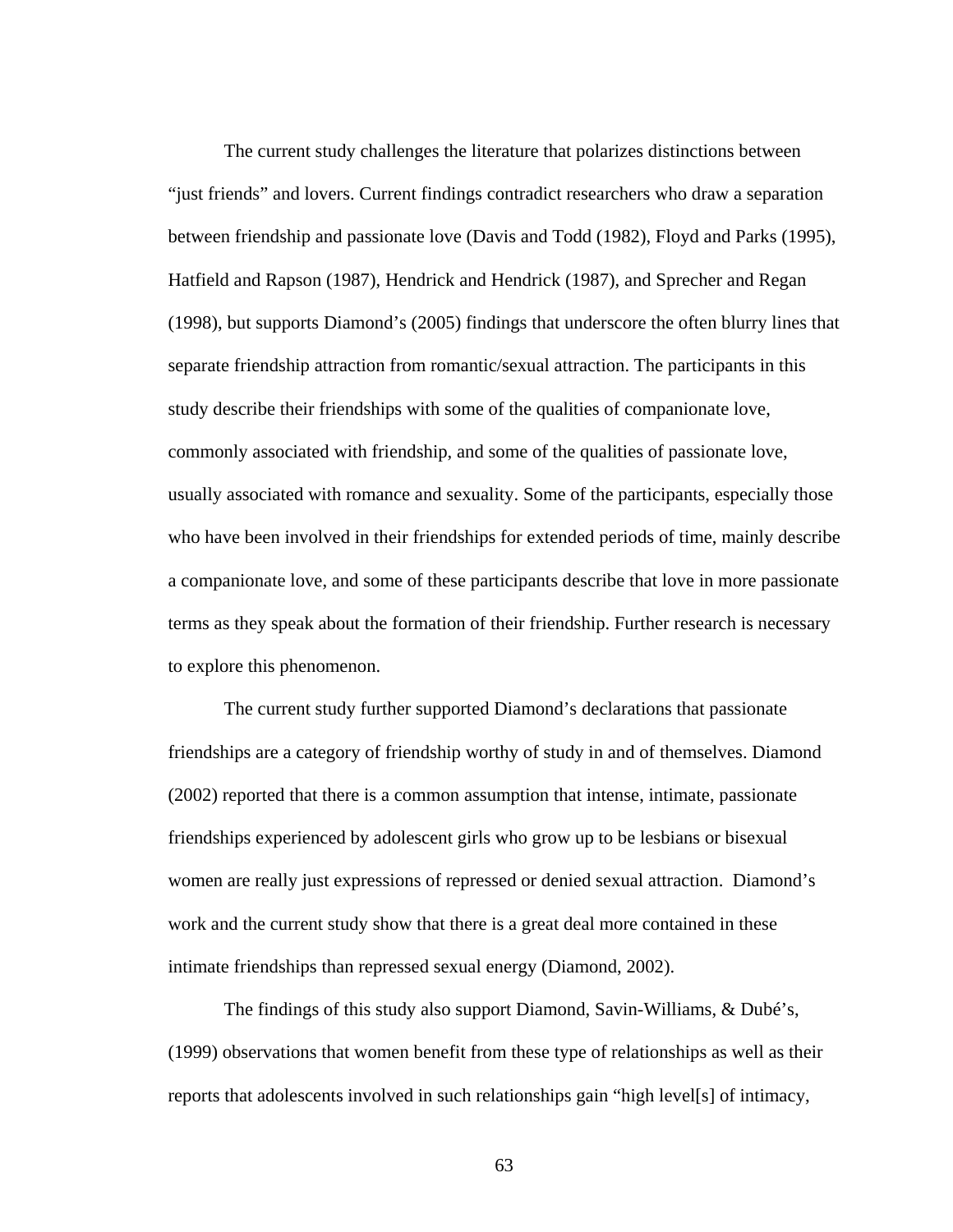The current study challenges the literature that polarizes distinctions between "just friends" and lovers. Current findings contradict researchers who draw a separation between friendship and passionate love (Davis and Todd (1982), Floyd and Parks (1995), Hatfield and Rapson (1987), Hendrick and Hendrick (1987), and Sprecher and Regan (1998), but supports Diamond's (2005) findings that underscore the often blurry lines that separate friendship attraction from romantic/sexual attraction. The participants in this study describe their friendships with some of the qualities of companionate love, commonly associated with friendship, and some of the qualities of passionate love, usually associated with romance and sexuality. Some of the participants, especially those who have been involved in their friendships for extended periods of time, mainly describe a companionate love, and some of these participants describe that love in more passionate terms as they speak about the formation of their friendship. Further research is necessary to explore this phenomenon.

 The current study further supported Diamond's declarations that passionate friendships are a category of friendship worthy of study in and of themselves. Diamond (2002) reported that there is a common assumption that intense, intimate, passionate friendships experienced by adolescent girls who grow up to be lesbians or bisexual women are really just expressions of repressed or denied sexual attraction. Diamond's work and the current study show that there is a great deal more contained in these intimate friendships than repressed sexual energy (Diamond, 2002).

The findings of this study also support Diamond, Savin-Williams, & Dubé's, (1999) observations that women benefit from these type of relationships as well as their reports that adolescents involved in such relationships gain "high level[s] of intimacy,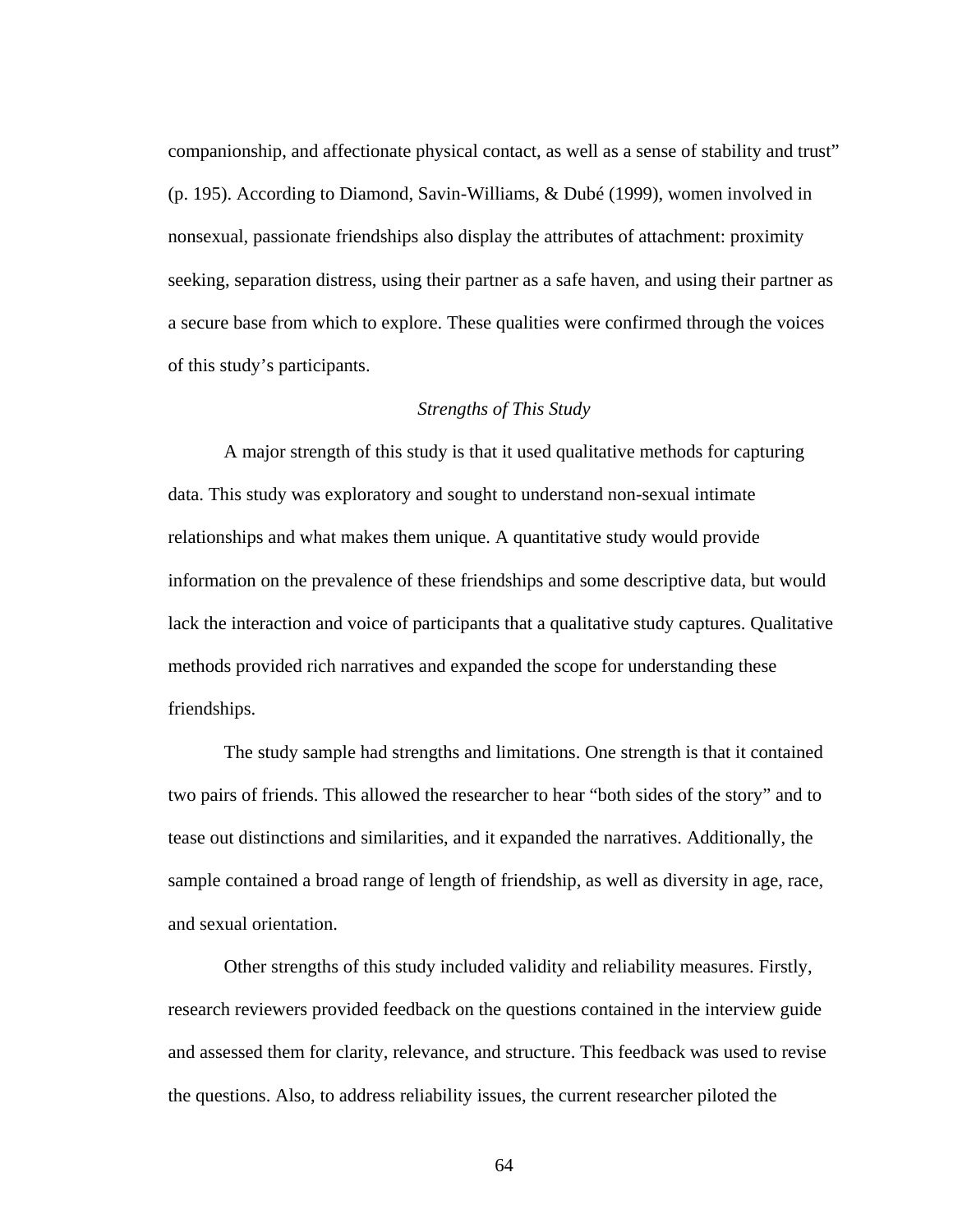companionship, and affectionate physical contact, as well as a sense of stability and trust" (p. 195). According to Diamond, Savin-Williams, & Dubé (1999), women involved in nonsexual, passionate friendships also display the attributes of attachment: proximity seeking, separation distress, using their partner as a safe haven, and using their partner as a secure base from which to explore. These qualities were confirmed through the voices of this study's participants.

### *Strengths of This Study*

A major strength of this study is that it used qualitative methods for capturing data. This study was exploratory and sought to understand non-sexual intimate relationships and what makes them unique. A quantitative study would provide information on the prevalence of these friendships and some descriptive data, but would lack the interaction and voice of participants that a qualitative study captures. Qualitative methods provided rich narratives and expanded the scope for understanding these friendships.

The study sample had strengths and limitations. One strength is that it contained two pairs of friends. This allowed the researcher to hear "both sides of the story" and to tease out distinctions and similarities, and it expanded the narratives. Additionally, the sample contained a broad range of length of friendship, as well as diversity in age, race, and sexual orientation.

Other strengths of this study included validity and reliability measures. Firstly, research reviewers provided feedback on the questions contained in the interview guide and assessed them for clarity, relevance, and structure. This feedback was used to revise the questions. Also, to address reliability issues, the current researcher piloted the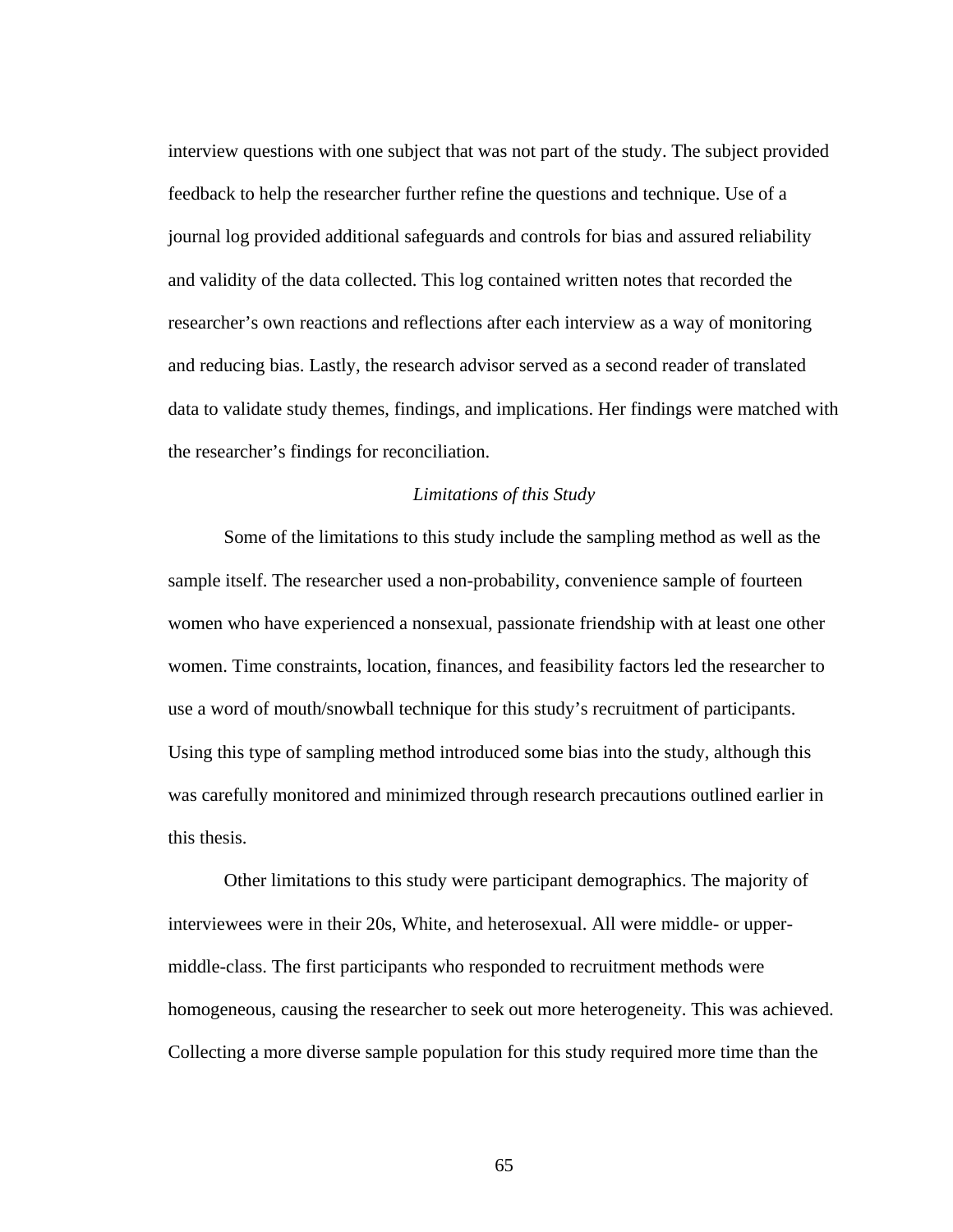interview questions with one subject that was not part of the study. The subject provided feedback to help the researcher further refine the questions and technique. Use of a journal log provided additional safeguards and controls for bias and assured reliability and validity of the data collected. This log contained written notes that recorded the researcher's own reactions and reflections after each interview as a way of monitoring and reducing bias. Lastly, the research advisor served as a second reader of translated data to validate study themes, findings, and implications. Her findings were matched with the researcher's findings for reconciliation.

#### *Limitations of this Study*

 Some of the limitations to this study include the sampling method as well as the sample itself. The researcher used a non-probability, convenience sample of fourteen women who have experienced a nonsexual, passionate friendship with at least one other women. Time constraints, location, finances, and feasibility factors led the researcher to use a word of mouth/snowball technique for this study's recruitment of participants. Using this type of sampling method introduced some bias into the study, although this was carefully monitored and minimized through research precautions outlined earlier in this thesis.

Other limitations to this study were participant demographics. The majority of interviewees were in their 20s, White, and heterosexual. All were middle- or uppermiddle-class. The first participants who responded to recruitment methods were homogeneous, causing the researcher to seek out more heterogeneity. This was achieved. Collecting a more diverse sample population for this study required more time than the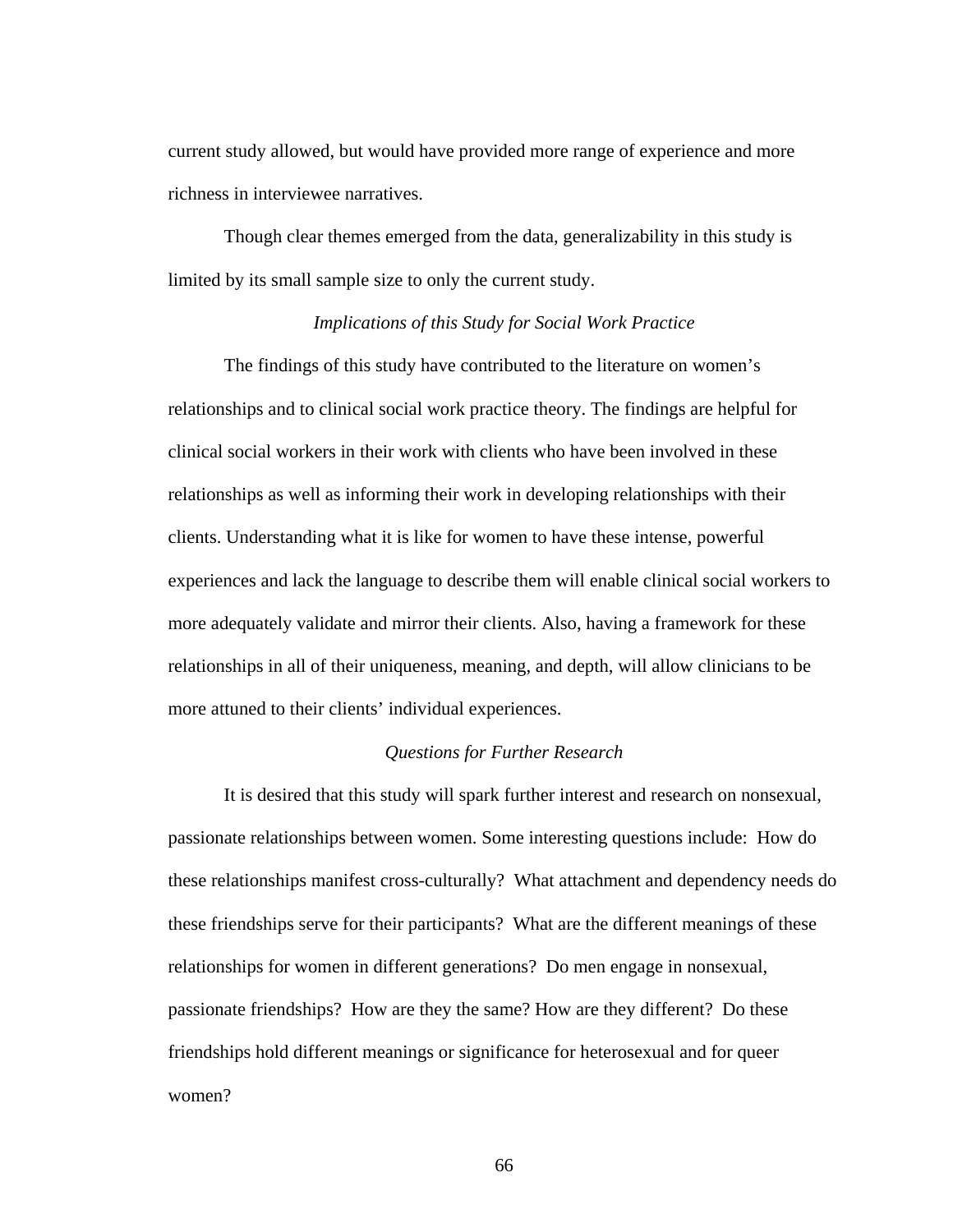current study allowed, but would have provided more range of experience and more richness in interviewee narratives.

Though clear themes emerged from the data, generalizability in this study is limited by its small sample size to only the current study.

#### *Implications of this Study for Social Work Practice*

The findings of this study have contributed to the literature on women's relationships and to clinical social work practice theory. The findings are helpful for clinical social workers in their work with clients who have been involved in these relationships as well as informing their work in developing relationships with their clients. Understanding what it is like for women to have these intense, powerful experiences and lack the language to describe them will enable clinical social workers to more adequately validate and mirror their clients. Also, having a framework for these relationships in all of their uniqueness, meaning, and depth, will allow clinicians to be more attuned to their clients' individual experiences.

# *Questions for Further Research*

It is desired that this study will spark further interest and research on nonsexual, passionate relationships between women. Some interesting questions include: How do these relationships manifest cross-culturally? What attachment and dependency needs do these friendships serve for their participants? What are the different meanings of these relationships for women in different generations? Do men engage in nonsexual, passionate friendships? How are they the same? How are they different? Do these friendships hold different meanings or significance for heterosexual and for queer women?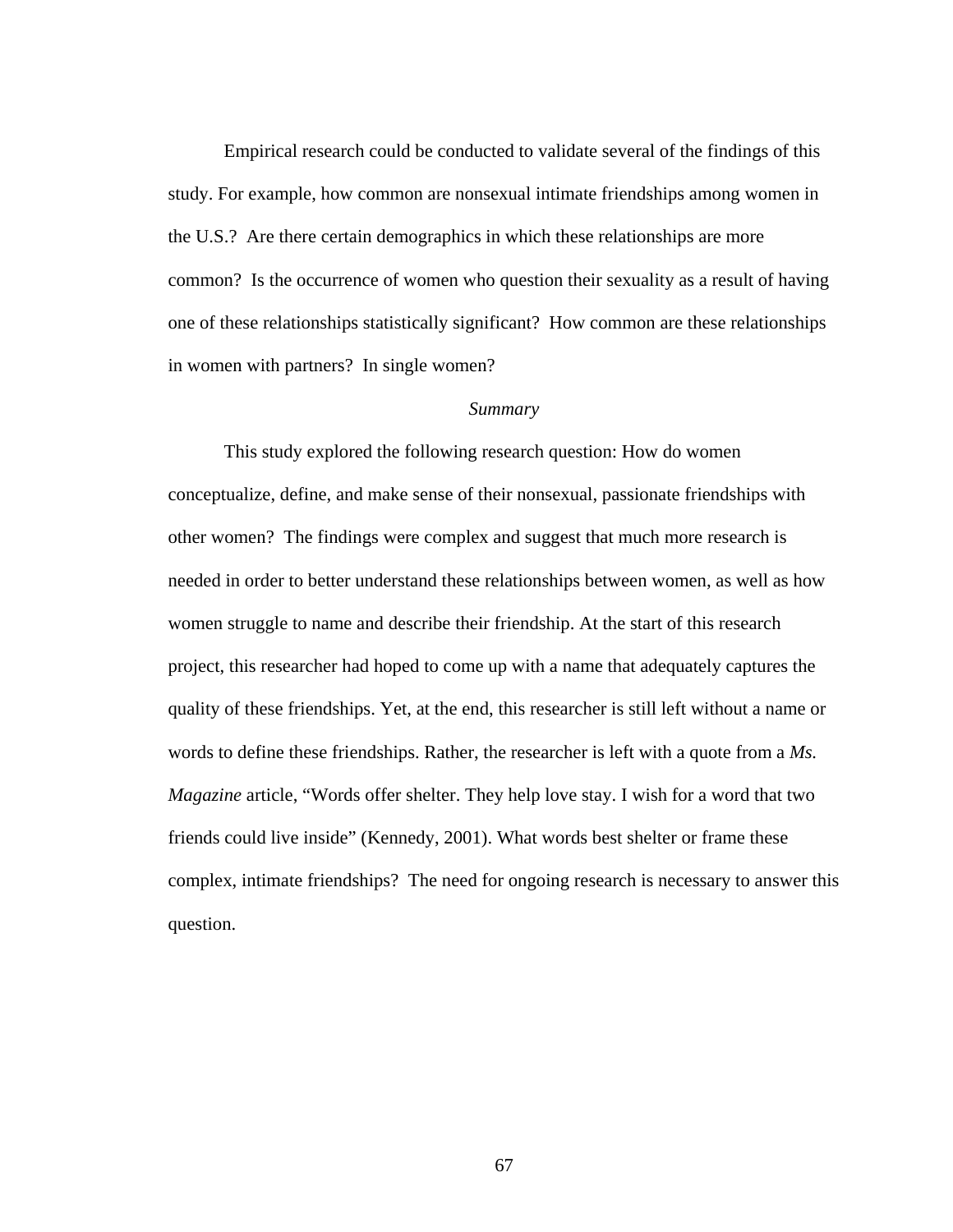Empirical research could be conducted to validate several of the findings of this study. For example, how common are nonsexual intimate friendships among women in the U.S.? Are there certain demographics in which these relationships are more common? Is the occurrence of women who question their sexuality as a result of having one of these relationships statistically significant? How common are these relationships in women with partners? In single women?

### *Summary*

This study explored the following research question: How do women conceptualize, define, and make sense of their nonsexual, passionate friendships with other women? The findings were complex and suggest that much more research is needed in order to better understand these relationships between women, as well as how women struggle to name and describe their friendship. At the start of this research project, this researcher had hoped to come up with a name that adequately captures the quality of these friendships. Yet, at the end, this researcher is still left without a name or words to define these friendships. Rather, the researcher is left with a quote from a *Ms. Magazine* article, "Words offer shelter. They help love stay. I wish for a word that two friends could live inside" (Kennedy, 2001). What words best shelter or frame these complex, intimate friendships? The need for ongoing research is necessary to answer this question.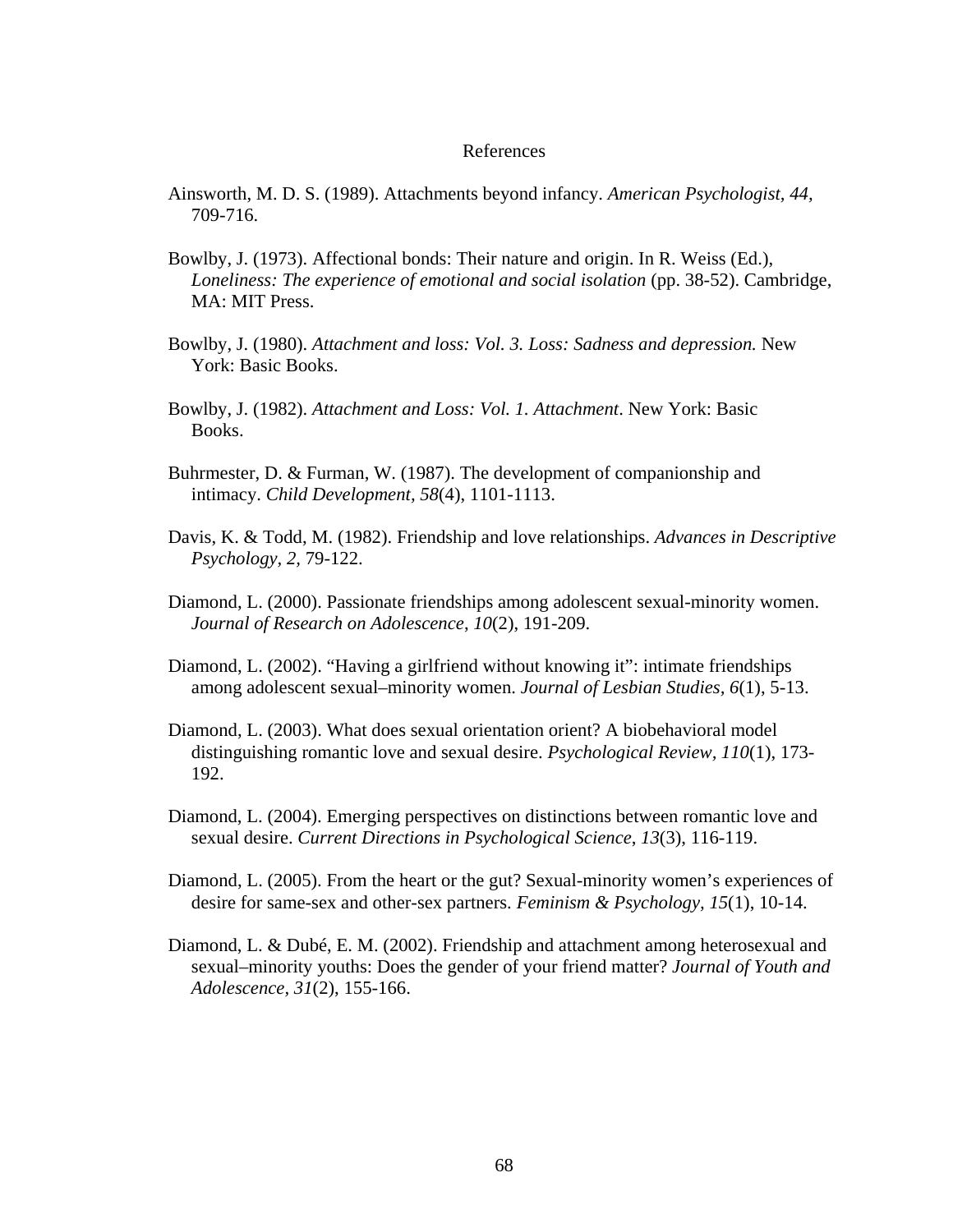#### References

- Ainsworth, M. D. S. (1989). Attachments beyond infancy. *American Psychologist, 44,* 709-716.
- Bowlby, J. (1973). Affectional bonds: Their nature and origin. In R. Weiss (Ed.), *Loneliness: The experience of emotional and social isolation* (pp. 38-52). Cambridge, MA: MIT Press.
- Bowlby, J. (1980). *Attachment and loss: Vol. 3. Loss: Sadness and depression.* New York: Basic Books.
- Bowlby, J. (1982). *Attachment and Loss: Vol. 1. Attachment*. New York: Basic Books.
- Buhrmester, D. & Furman, W. (1987). The development of companionship and intimacy. *Child Development, 58*(4), 1101-1113.
- Davis, K. & Todd, M. (1982). Friendship and love relationships. *Advances in Descriptive Psychology, 2,* 79-122.
- Diamond, L. (2000). Passionate friendships among adolescent sexual-minority women. *Journal of Research on Adolescence*, *10*(2), 191-209.
- Diamond, L. (2002). "Having a girlfriend without knowing it": intimate friendships among adolescent sexual–minority women. *Journal of Lesbian Studies, 6*(1), 5-13.
- Diamond, L. (2003). What does sexual orientation orient? A biobehavioral model distinguishing romantic love and sexual desire. *Psychological Review, 110*(1), 173- 192.
- Diamond, L. (2004). Emerging perspectives on distinctions between romantic love and sexual desire. *Current Directions in Psychological Science*, *13*(3), 116-119.
- Diamond, L. (2005). From the heart or the gut? Sexual-minority women's experiences of desire for same-sex and other-sex partners. *Feminism & Psychology, 15*(1), 10-14.
- Diamond, L. & Dubé, E. M. (2002). Friendship and attachment among heterosexual and sexual–minority youths: Does the gender of your friend matter? *Journal of Youth and Adolescence, 31*(2), 155-166.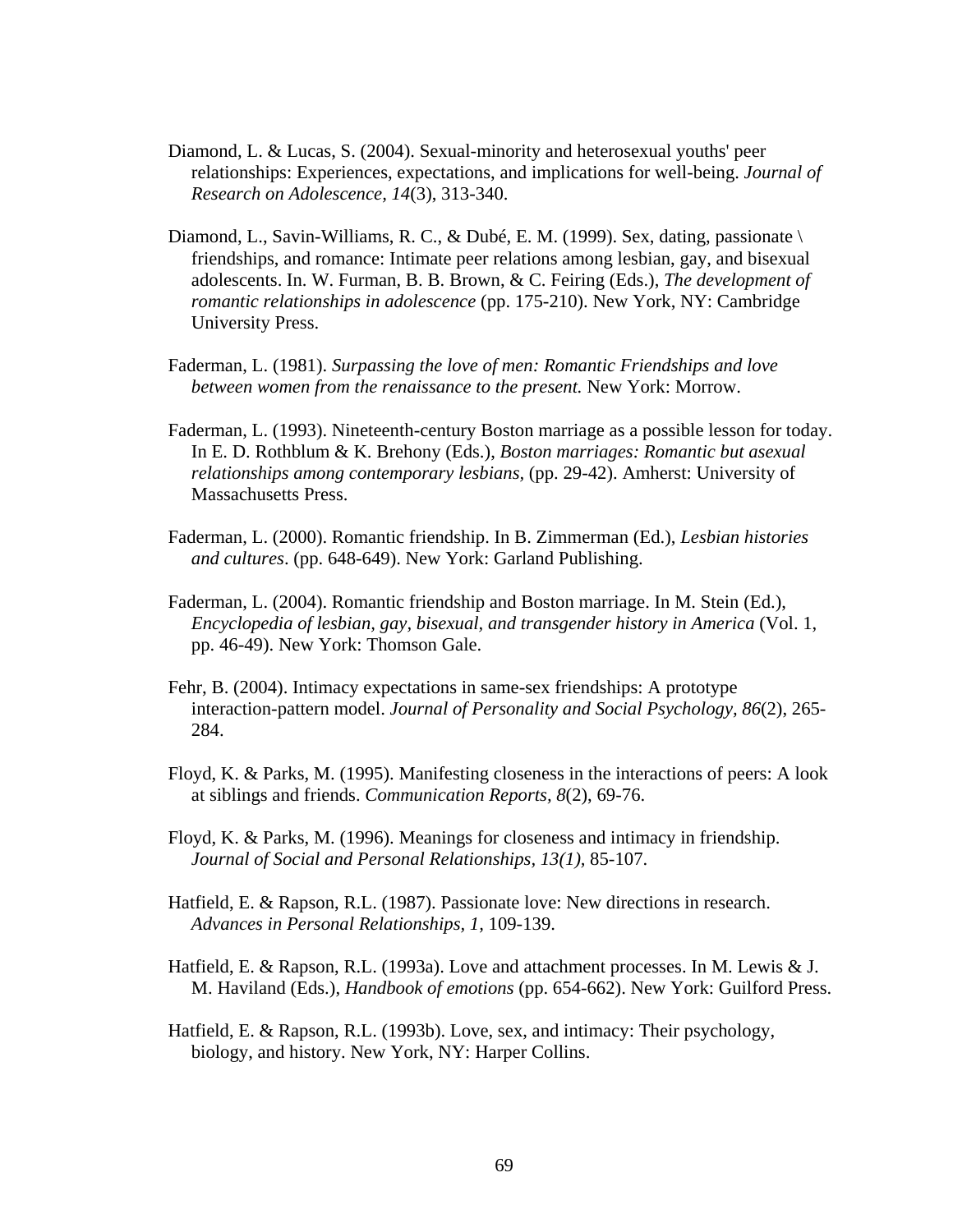- Diamond, L. & Lucas, S. (2004). Sexual-minority and heterosexual youths' peer relationships: Experiences, expectations, and implications for well-being. *Journal of Research on Adolescence, 14*(3), 313-340.
- Diamond, L., Savin-Williams, R. C., & Dubé, E. M. (1999). Sex, dating, passionate \ friendships, and romance: Intimate peer relations among lesbian, gay, and bisexual adolescents. In. W. Furman, B. B. Brown, & C. Feiring (Eds.), *The development of romantic relationships in adolescence* (pp. 175-210). New York, NY: Cambridge University Press.
- Faderman, L. (1981). *Surpassing the love of men: Romantic Friendships and love between women from the renaissance to the present.* New York: Morrow.
- Faderman, L. (1993). Nineteenth-century Boston marriage as a possible lesson for today. In E. D. Rothblum & K. Brehony (Eds.), *Boston marriages: Romantic but asexual relationships among contemporary lesbians, (pp. 29-42). Amherst: University of* Massachusetts Press.
- Faderman, L. (2000). Romantic friendship. In B. Zimmerman (Ed.), *Lesbian histories and cultures*. (pp. 648-649). New York: Garland Publishing.
- Faderman, L. (2004). Romantic friendship and Boston marriage. In M. Stein (Ed.), *Encyclopedia of lesbian, gay, bisexual, and transgender history in America* (Vol. 1, pp. 46-49). New York: Thomson Gale.
- Fehr, B. (2004). Intimacy expectations in same-sex friendships: A prototype interaction-pattern model. *Journal of Personality and Social Psychology, 86*(2), 265- 284.
- Floyd, K. & Parks, M. (1995). Manifesting closeness in the interactions of peers: A look at siblings and friends. *Communication Reports, 8*(2), 69-76.
- Floyd, K. & Parks, M. (1996). Meanings for closeness and intimacy in friendship. *Journal of Social and Personal Relationships, 13(1),* 85-107.
- Hatfield, E. & Rapson, R.L. (1987). Passionate love: New directions in research. *Advances in Personal Relationships, 1,* 109-139.
- Hatfield, E. & Rapson, R.L. (1993a). Love and attachment processes. In M. Lewis & J. M. Haviland (Eds.), *Handbook of emotions* (pp. 654-662). New York: Guilford Press.
- Hatfield, E. & Rapson, R.L. (1993b). Love, sex, and intimacy: Their psychology, biology, and history. New York, NY: Harper Collins.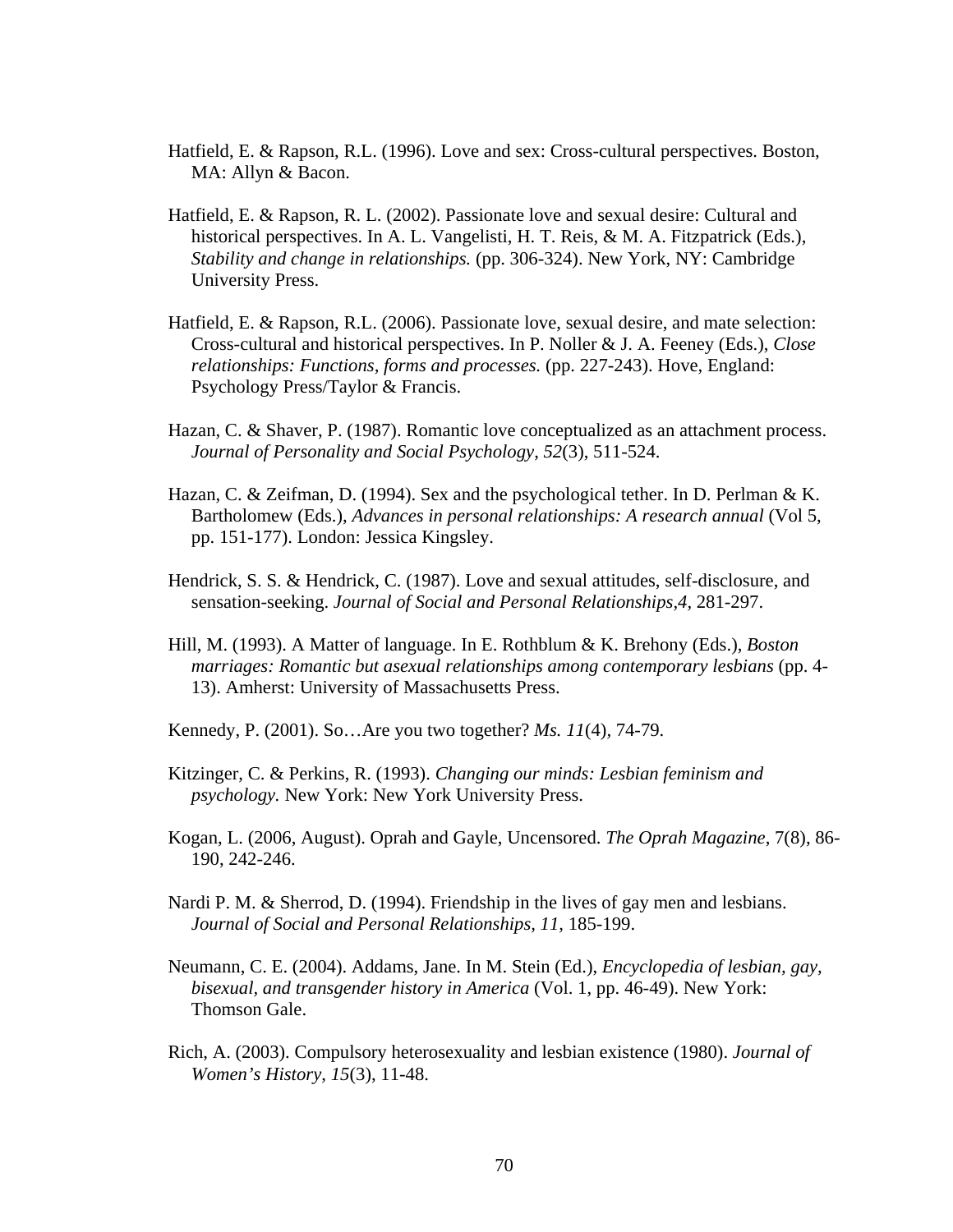- Hatfield, E. & Rapson, R.L. (1996). Love and sex: Cross-cultural perspectives. Boston, MA: Allyn & Bacon.
- Hatfield, E. & Rapson, R. L. (2002). Passionate love and sexual desire: Cultural and historical perspectives. In A. L. Vangelisti, H. T. Reis, & M. A. Fitzpatrick (Eds.), *Stability and change in relationships.* (pp. 306-324). New York, NY: Cambridge University Press.
- Hatfield, E. & Rapson, R.L. (2006). Passionate love, sexual desire, and mate selection: Cross-cultural and historical perspectives. In P. Noller & J. A. Feeney (Eds.), *Close relationships: Functions, forms and processes.* (pp. 227-243). Hove, England: Psychology Press/Taylor & Francis.
- Hazan, C. & Shaver, P. (1987). Romantic love conceptualized as an attachment process. *Journal of Personality and Social Psychology*, *52*(3), 511-524.
- Hazan, C. & Zeifman, D. (1994). Sex and the psychological tether. In D. Perlman & K. Bartholomew (Eds.), *Advances in personal relationships: A research annual* (Vol 5, pp. 151-177). London: Jessica Kingsley.
- Hendrick, S. S. & Hendrick, C. (1987). Love and sexual attitudes, self-disclosure, and sensation-seeking. *Journal of Social and Personal Relationships,4,* 281-297.
- Hill, M. (1993). A Matter of language. In E. Rothblum & K. Brehony (Eds.), *Boston marriages: Romantic but asexual relationships among contemporary lesbians* (pp. 4- 13). Amherst: University of Massachusetts Press.
- Kennedy, P. (2001). So…Are you two together? *Ms. 11*(4)*,* 74-79.
- Kitzinger, C. & Perkins, R. (1993). *Changing our minds: Lesbian feminism and psychology.* New York: New York University Press.
- Kogan, L. (2006, August). Oprah and Gayle, Uncensored. *The Oprah Magazine*, 7(8), 86- 190, 242-246.
- Nardi P. M. & Sherrod, D. (1994). Friendship in the lives of gay men and lesbians. *Journal of Social and Personal Relationships, 11,* 185-199.
- Neumann, C. E. (2004). Addams, Jane. In M. Stein (Ed.), *Encyclopedia of lesbian, gay, bisexual, and transgender history in America* (Vol. 1, pp. 46-49). New York: Thomson Gale.
- Rich, A. (2003). Compulsory heterosexuality and lesbian existence (1980). *Journal of Women's History*, *15*(3), 11-48.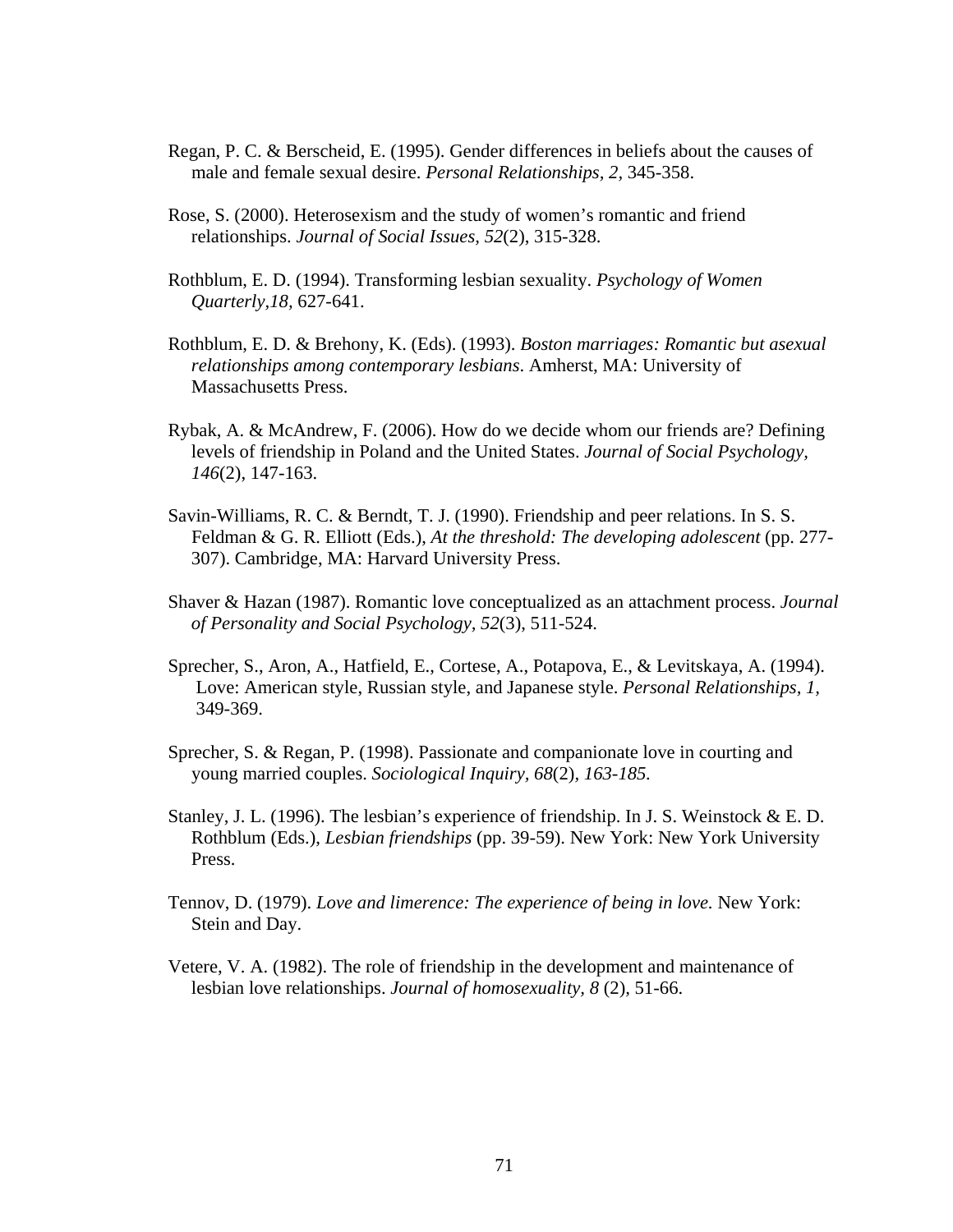- Regan, P. C. & Berscheid, E. (1995). Gender differences in beliefs about the causes of male and female sexual desire. *Personal Relationships, 2,* 345-358.
- Rose, S. (2000). Heterosexism and the study of women's romantic and friend relationships. *Journal of Social Issues, 52*(2), 315-328.
- Rothblum, E. D. (1994). Transforming lesbian sexuality. *Psychology of Women Quarterly,18,* 627-641.
- Rothblum, E. D. & Brehony, K. (Eds). (1993). *Boston marriages: Romantic but asexual relationships among contemporary lesbians*. Amherst, MA: University of Massachusetts Press.
- Rybak, A. & McAndrew, F. (2006). How do we decide whom our friends are? Defining levels of friendship in Poland and the United States. *Journal of Social Psychology, 146*(2), 147-163.
- Savin-Williams, R. C. & Berndt, T. J. (1990). Friendship and peer relations. In S. S. Feldman & G. R. Elliott (Eds.), *At the threshold: The developing adolescent* (pp. 277-307). Cambridge, MA: Harvard University Press.
- Shaver & Hazan (1987). Romantic love conceptualized as an attachment process. *Journal of Personality and Social Psychology, 52*(3), 511-524.
- Sprecher, S., Aron, A., Hatfield, E., Cortese, A., Potapova, E., & Levitskaya, A. (1994). Love: American style, Russian style, and Japanese style. *Personal Relationships, 1,* 349-369.
- Sprecher, S. & Regan, P. (1998). Passionate and companionate love in courting and young married couples. *Sociological Inquiry, 68*(2)*, 163-185.*
- Stanley, J. L. (1996). The lesbian's experience of friendship. In J. S. Weinstock  $\&$  E. D. Rothblum (Eds.), *Lesbian friendships* (pp. 39-59). New York: New York University Press.
- Tennov, D. (1979). *Love and limerence: The experience of being in love.* New York: Stein and Day.
- Vetere, V. A. (1982). The role of friendship in the development and maintenance of lesbian love relationships. *Journal of homosexuality, 8* (2)*,* 51-66.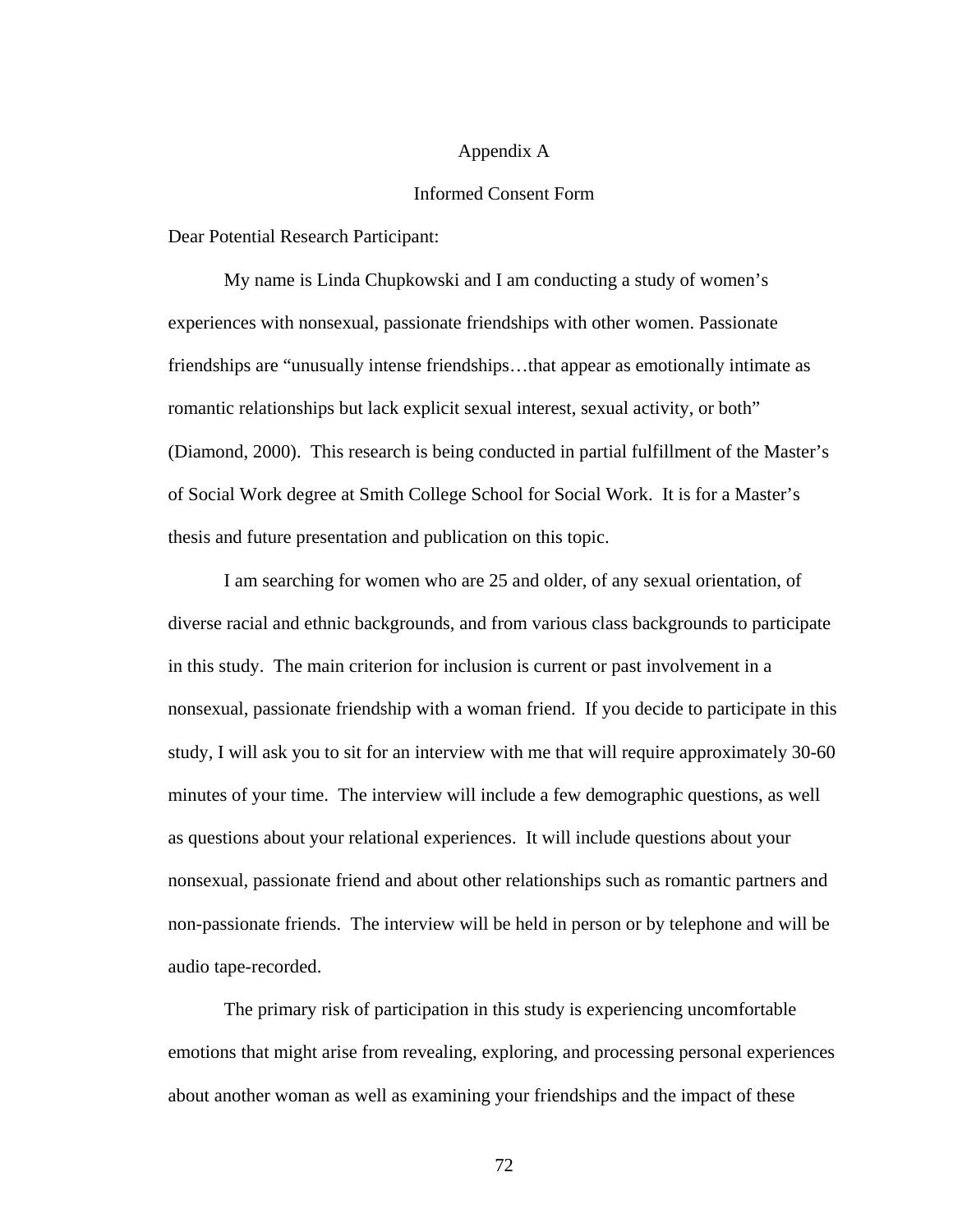#### Appendix A

### Informed Consent Form

Dear Potential Research Participant:

 My name is Linda Chupkowski and I am conducting a study of women's experiences with nonsexual, passionate friendships with other women. Passionate friendships are "unusually intense friendships…that appear as emotionally intimate as romantic relationships but lack explicit sexual interest, sexual activity, or both" (Diamond, 2000). This research is being conducted in partial fulfillment of the Master's of Social Work degree at Smith College School for Social Work. It is for a Master's thesis and future presentation and publication on this topic.

I am searching for women who are 25 and older, of any sexual orientation, of diverse racial and ethnic backgrounds, and from various class backgrounds to participate in this study. The main criterion for inclusion is current or past involvement in a nonsexual, passionate friendship with a woman friend. If you decide to participate in this study, I will ask you to sit for an interview with me that will require approximately 30-60 minutes of your time. The interview will include a few demographic questions, as well as questions about your relational experiences. It will include questions about your nonsexual, passionate friend and about other relationships such as romantic partners and non-passionate friends. The interview will be held in person or by telephone and will be audio tape-recorded.

 The primary risk of participation in this study is experiencing uncomfortable emotions that might arise from revealing, exploring, and processing personal experiences about another woman as well as examining your friendships and the impact of these

72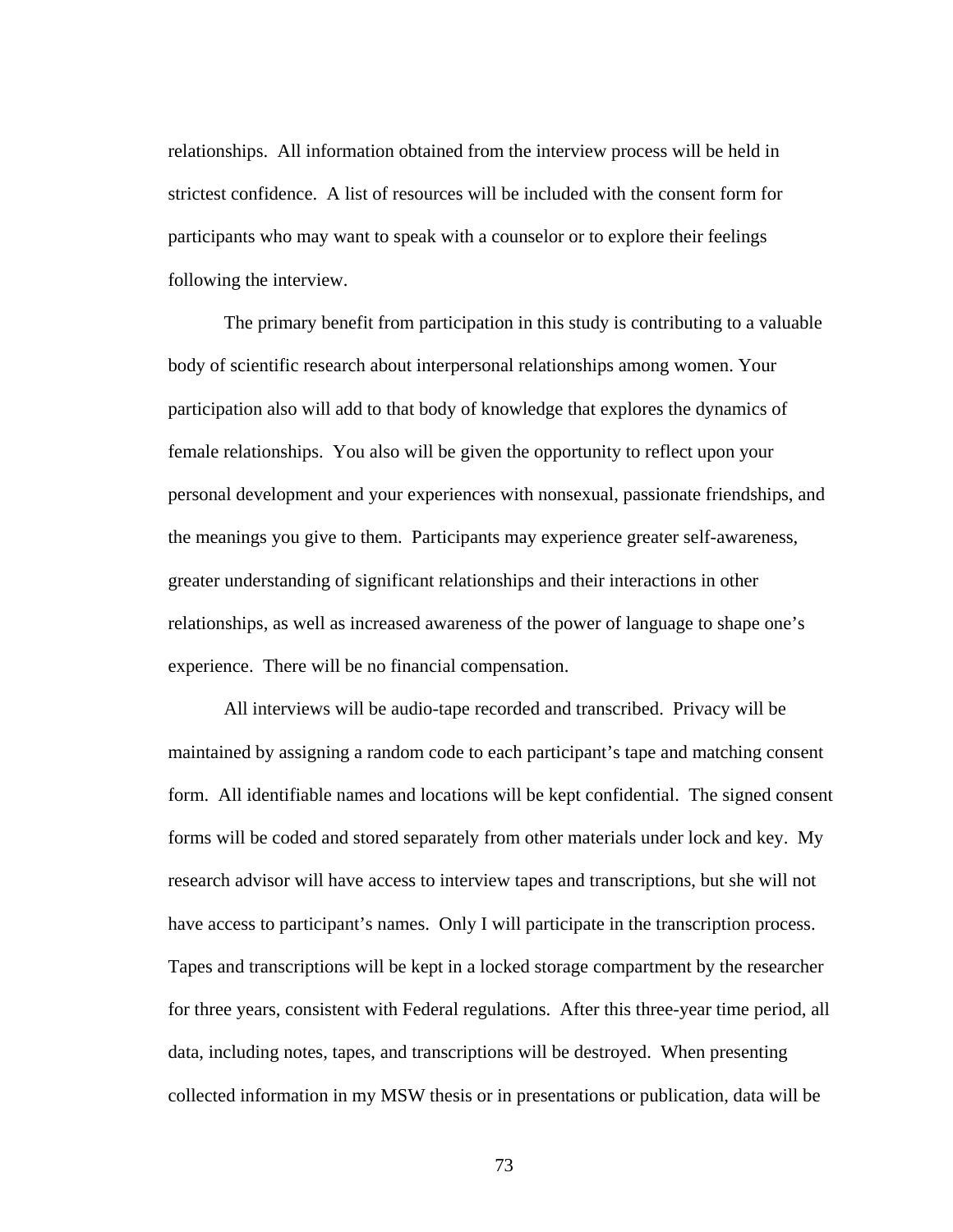relationships. All information obtained from the interview process will be held in strictest confidence. A list of resources will be included with the consent form for participants who may want to speak with a counselor or to explore their feelings following the interview.

 The primary benefit from participation in this study is contributing to a valuable body of scientific research about interpersonal relationships among women. Your participation also will add to that body of knowledge that explores the dynamics of female relationships. You also will be given the opportunity to reflect upon your personal development and your experiences with nonsexual, passionate friendships, and the meanings you give to them. Participants may experience greater self-awareness, greater understanding of significant relationships and their interactions in other relationships, as well as increased awareness of the power of language to shape one's experience. There will be no financial compensation.

All interviews will be audio-tape recorded and transcribed. Privacy will be maintained by assigning a random code to each participant's tape and matching consent form. All identifiable names and locations will be kept confidential. The signed consent forms will be coded and stored separately from other materials under lock and key. My research advisor will have access to interview tapes and transcriptions, but she will not have access to participant's names. Only I will participate in the transcription process. Tapes and transcriptions will be kept in a locked storage compartment by the researcher for three years, consistent with Federal regulations. After this three-year time period, all data, including notes, tapes, and transcriptions will be destroyed. When presenting collected information in my MSW thesis or in presentations or publication, data will be

73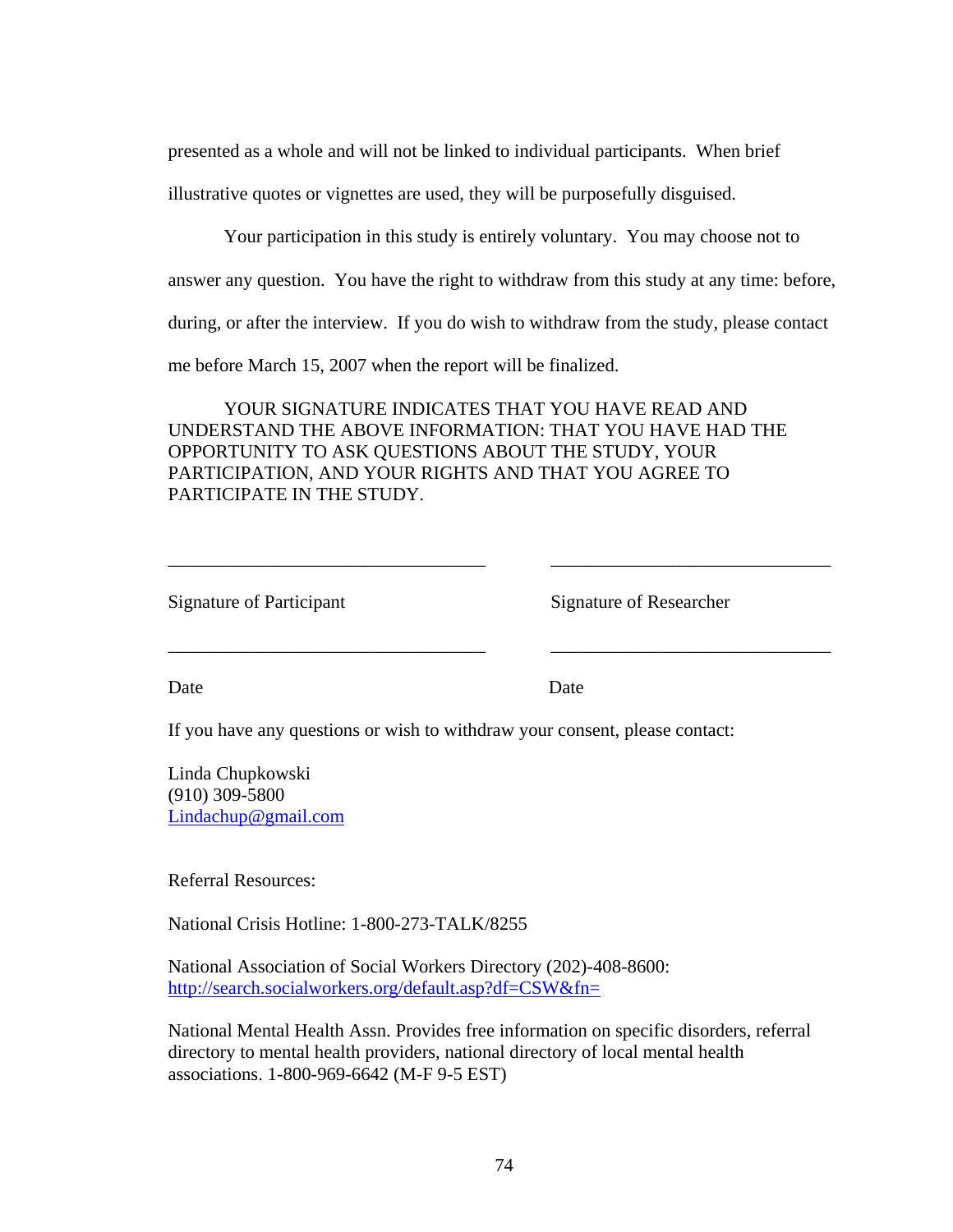presented as a whole and will not be linked to individual participants. When brief

illustrative quotes or vignettes are used, they will be purposefully disguised.

Your participation in this study is entirely voluntary. You may choose not to

answer any question. You have the right to withdraw from this study at any time: before,

during, or after the interview. If you do wish to withdraw from the study, please contact

me before March 15, 2007 when the report will be finalized.

 YOUR SIGNATURE INDICATES THAT YOU HAVE READ AND UNDERSTAND THE ABOVE INFORMATION: THAT YOU HAVE HAD THE OPPORTUNITY TO ASK QUESTIONS ABOUT THE STUDY, YOUR PARTICIPATION, AND YOUR RIGHTS AND THAT YOU AGREE TO PARTICIPATE IN THE STUDY.

\_\_\_\_\_\_\_\_\_\_\_\_\_\_\_\_\_\_\_\_\_\_\_\_\_\_\_\_\_\_\_\_\_\_ \_\_\_\_\_\_\_\_\_\_\_\_\_\_\_\_\_\_\_\_\_\_\_\_\_\_\_\_\_\_

\_\_\_\_\_\_\_\_\_\_\_\_\_\_\_\_\_\_\_\_\_\_\_\_\_\_\_\_\_\_\_\_\_\_ \_\_\_\_\_\_\_\_\_\_\_\_\_\_\_\_\_\_\_\_\_\_\_\_\_\_\_\_\_\_

| <b>Signature of Participant</b> |  |  |  |  |
|---------------------------------|--|--|--|--|
|---------------------------------|--|--|--|--|

Signature of Researcher

Date Date Date

If you have any questions or wish to withdraw your consent, please contact:

Linda Chupkowski (910) 309-5800 [Lindachup@gmail.com](mailto:Lindachup@gmail.com)

Referral Resources:

National Crisis Hotline: 1-800-273-TALK/8255

National Association of Social Workers Directory (202)-408-8600: <http://search.socialworkers.org/default.asp?df=CSW&fn=>

National Mental Health Assn. Provides free information on specific disorders, referral directory to mental health providers, national directory of local mental health associations. 1-800-969-6642 (M-F 9-5 EST)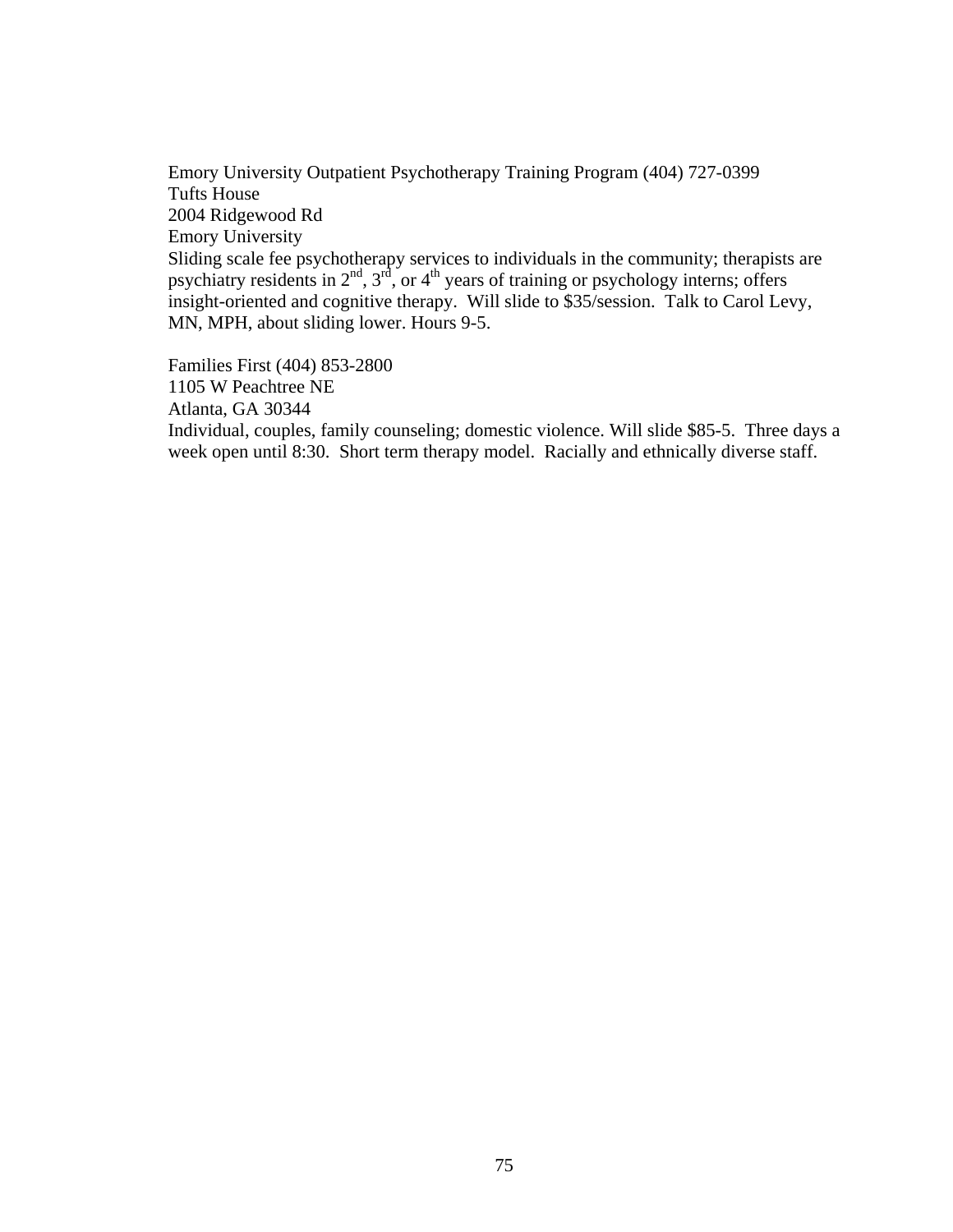Emory University Outpatient Psychotherapy Training Program (404) 727-0399 Tufts House 2004 Ridgewood Rd Emory University Sliding scale fee psychotherapy services to individuals in the community; therapists are psychiatry residents in  $2<sup>nd</sup>$ ,  $3<sup>rd</sup>$ , or  $4<sup>th</sup>$  years of training or psychology interns; offers insight-oriented and cognitive therapy. Will slide to \$35/session. Talk to Carol Levy, MN, MPH, about sliding lower. Hours 9-5.

Families First (404) 853-2800 1105 W Peachtree NE Atlanta, GA 30344 Individual, couples, family counseling; domestic violence. Will slide \$85-5. Three days a week open until 8:30. Short term therapy model. Racially and ethnically diverse staff.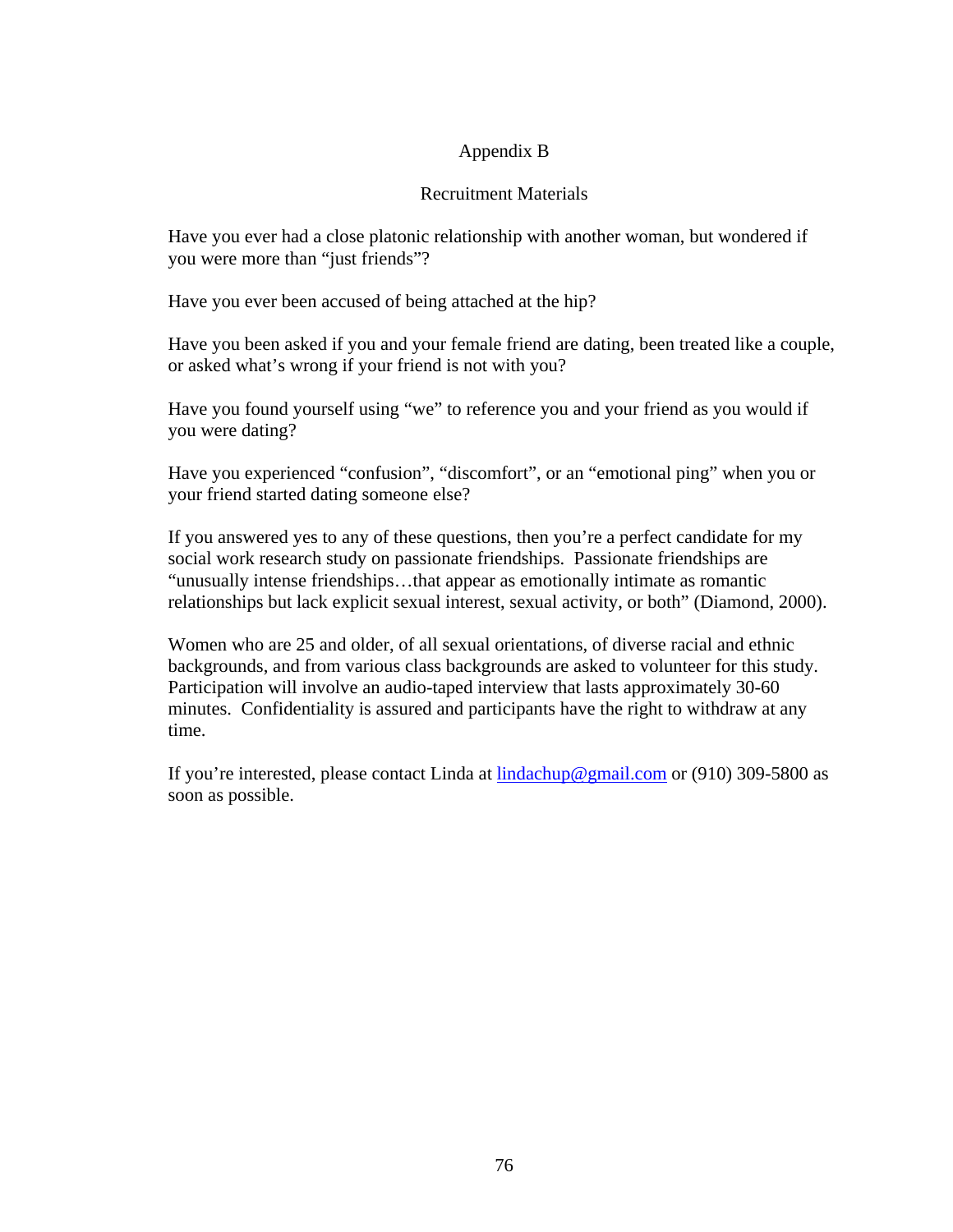# Appendix B

# Recruitment Materials

Have you ever had a close platonic relationship with another woman, but wondered if you were more than "just friends"?

Have you ever been accused of being attached at the hip?

Have you been asked if you and your female friend are dating, been treated like a couple, or asked what's wrong if your friend is not with you?

Have you found yourself using "we" to reference you and your friend as you would if you were dating?

Have you experienced "confusion", "discomfort", or an "emotional ping" when you or your friend started dating someone else?

If you answered yes to any of these questions, then you're a perfect candidate for my social work research study on passionate friendships. Passionate friendships are "unusually intense friendships…that appear as emotionally intimate as romantic relationships but lack explicit sexual interest, sexual activity, or both" (Diamond, 2000).

Women who are 25 and older, of all sexual orientations, of diverse racial and ethnic backgrounds, and from various class backgrounds are asked to volunteer for this study. Participation will involve an audio-taped interview that lasts approximately 30-60 minutes. Confidentiality is assured and participants have the right to withdraw at any time.

If you're interested, please contact Linda at [lindachup@gmail.com](mailto:lindachup@gmail.com) or (910) 309-5800 as soon as possible.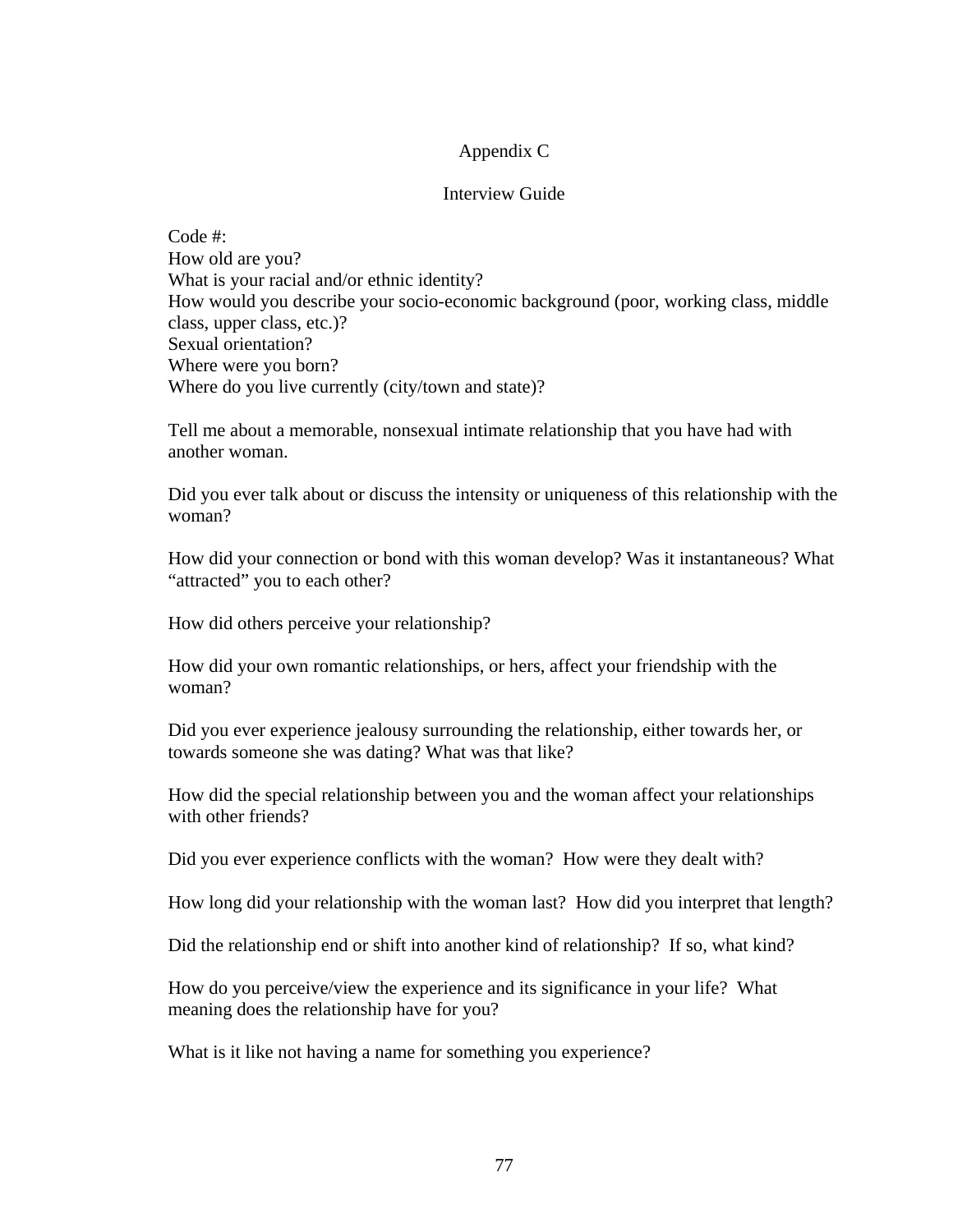## Appendix C

## Interview Guide

Code #: How old are you? What is your racial and/or ethnic identity? How would you describe your socio-economic background (poor, working class, middle class, upper class, etc.)? Sexual orientation? Where were you born? Where do you live currently (city/town and state)?

Tell me about a memorable, nonsexual intimate relationship that you have had with another woman.

Did you ever talk about or discuss the intensity or uniqueness of this relationship with the woman?

How did your connection or bond with this woman develop? Was it instantaneous? What "attracted" you to each other?

How did others perceive your relationship?

How did your own romantic relationships, or hers, affect your friendship with the woman?

Did you ever experience jealousy surrounding the relationship, either towards her, or towards someone she was dating? What was that like?

How did the special relationship between you and the woman affect your relationships with other friends?

Did you ever experience conflicts with the woman? How were they dealt with?

How long did your relationship with the woman last? How did you interpret that length?

Did the relationship end or shift into another kind of relationship? If so, what kind?

How do you perceive/view the experience and its significance in your life? What meaning does the relationship have for you?

What is it like not having a name for something you experience?